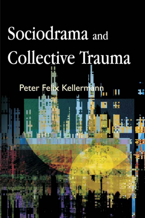# Sociodrama and **Collective Trauma**

Peter Felix Kellermann H

11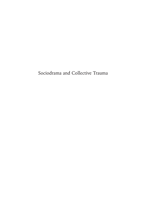Sociodrama and Collective Trauma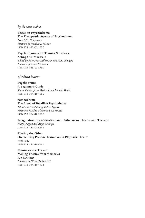*by the same author*

# **Focus on Psychodrama**

**The Therapeutic Aspects of Psychodrama** *Peter Felix Kellermann Foreword by Jonathan D Moreno* ISBN 978 1 85302 127 5

# **Psychodrama with Trauma Survivors**

**Acting Out Your Pain**

*Edited by Peter Felix Kellermann and M.K. Hudgins Foreword by Zerka T Moreno* ISBN 978 1 85302 893 9

# *of related interest*

**Psychodrama A Beginner's Guide** Zoran Djurić, Jasna Veljković and Miomir Tomić ISBN 978 1 84310 411 7

**Sambadrama The Arena of Brazilian Psychodrama** *Edited and translated by Zoltán Figusch Forewords by Adam Blatner and José Fonseca* ISBN 978 1 84310 363 9

**Imagination, Identification and Catharsis in Theatre and Therapy** *Mary Duggan and Roger Grainger* ISBN 978 1 85302 431 3

**Playing the Other Dramatizing Personal Narratives in Playback Theatre** *Nick Rowe* ISBN 978 1 84310 421 6

**Reminiscence Theatre Making Theatre from Memories** *Pam Schweitzer Foreword by Glenda Jackson MP* ISBN 978 1 84310 430 8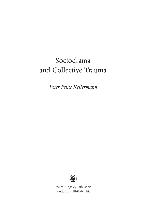# Sociodrama and Collective Trauma

*Peter Felix Kellermann*



Jessica Kingsley Publishers London and Philadelphia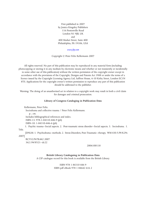First published in 2007 by Jessica Kingsley Publishers 116 Pentonville Road London N1 9JB, UK and 400 Market Street, Suite 400 Philadelphia, PA 19106, USA

# *www.jkp.com*

Copyright © Peter Felix Kellermann 2007

All rights reserved. No part of this publication may be reproduced in any material form (including photocopying or storing it in any medium by electronic means and whether or not transiently or incidentally to some other use of this publication) without the written permission of the copyright owner except in accordance with the provisions of the Copyright, Designs and Patents Act 1988 or under the terms of a licence issued by the Copyright Licensing Agency Ltd, Saffron House, 6-10 Kirby Street, London EC1N 8TS. Applications for the copyright owner's written permission to reproduce any part of this publication should be addressed to the publisher.

Warning: The doing of an unauthorised act in relation to a copyright work may result in both a civil claim for damages and criminal prosecution.

## **Library of Congress Cataloging in Publication Data**

Kellermann, Peter Felix. Sociodrama and collective trauma / Peter Felix Kellermann. p. ; cm. Includes bibliographical references and index. ISBN-13: 978-1-84310-446-9 (pb) ISBN-10: 1-84310-446-6 (pb) 1. Psychic trauma--Social aspects. 2. Post-traumatic stress disorder--Social aspects. 3. Sociodrama. I. Title.

[DNLM: 1. Psychodrama--methods. 2. Stress Disorders, Post-Traumatic--therapy. WM 430.5.P8 K29s 2007]

RC552.P67K442 2007 362.196'8521--dc22

2006100118

**British Library Cataloguing in Publication Data** A CIP catalogue record for this book is available from the British Library

> ISBN 978 1 84310 446 9 ISBN pdf eBook 978 1 84642 616 2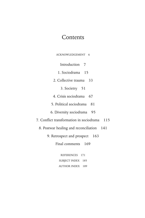# Contents

- ACKNOWLEDGEMENT 6
	- Introduction 7
- 1. Sociodrama 15
- 2. Collective trauma 33
	- 3. Societry 51
- 4. Crisis sociodrama 67
- 5. Political sociodrama 81
- 6. Diversity sociodrama 95
- 7. Conflict transformation in sociodrama 115
	- 8. Postwar healing and reconciliation 141
		- 9. Retrospect and prospect 163
			- Final comments 169
				- REFERENCES 171 SUBJECT INDEX 185 AUTHOR INDEX 189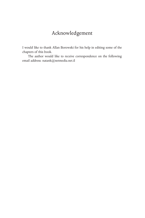# Acknowledgement

I would like to thank Allan Borowski for his help in editing some of the chapters of this book.

The author would like to receive correspondence on the following email address: natank@netmedia.net.il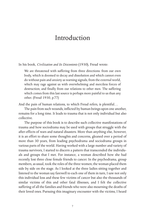# Introduction

In his book, *Civilization and Its Discontents* (1930), Freud wrote:

We are threatened with suffering from three directions: from our own body, which is doomed to decay and dissolution and which cannot even do without pain and anxiety as warning signals; from the external world, which may rage against us with overwhelming and merciless forces of destruction; and finally from our relations to other men. The suffering which comes from this last source is perhaps more painful to us than any other. (Freud 1930, p.77)

And the pain of human relations, to which Freud refers, is plentiful…

The pain from such wounds, inflicted by human beings upon one another, remains for a long time. It leads to trauma that is not only individual but also collective.

The purpose of this book is to describe such collective manifestations of trauma and how sociodrama may be used with groups that struggle with the after-effects of wars and natural disasters. More than anything else, however, it is an effort to share some thoughts and concerns, gleaned over a period of more than 30 years, from leading psychodrama and sociodrama groups in various parts of the world. Having worked with a large number and variety of trauma survivors, I started to discern a pattern that transcended the individuals and groups that I met. For instance, a woman described how she had recently lost three close female friends to cancer. In the psychodrama, group members, as usual, took the roles of the three women; the woman placed them side by side on the stage. As I looked at the three ladies sitting together and listened to the woman say farewell to each one of them in turn, I saw not only this individual loss and these few victims of cancer but also the thousands of similar victims of this and other fatal illnesses, and I felt the collective suffering of all the families and friends who were also mourning the deaths of their loved ones. Pursuing this imaginary encounter with the victims, I heard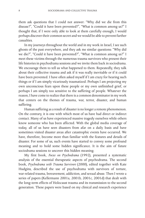them ask questions that I could not answer: "Why did we die from this disease?", "Could it have been prevented?", "What is common among us?" I thought that, if I were only able to look at them carefully enough, I would perhaps discover their common secret and we would be able to prevent further casualties.

In my journeys throughout the world and in my work in Israel, I see such ghosts of the past everywhere, and they ask me similar questions: "Why did we die?", "Could it have been prevented?", "What is common among us?" I meet these victims through the numerous trauma survivors who present their life histories in psychodrama sessions and we invite them back in sociodrama. We encourage them to tell us what happened to them. Repeatedly, they talk about their collective trauma and ask if it was really inevitable or if it could have been prevented. I have often asked myself if I am crazy for hearing such things or if I am simply vicariously traumatized. Perhaps I am projecting my own unconscious fears upon these people or my own unfinished grief, or perhaps I am simply too sensitive to the suffering of people. Whatever the reason, I have come to realize that there is a common denominator in my work that centers on the themes of trauma, war, terror, disaster, and human suffering.

Human suffering as a result of disaster is no longer a remote phenomenon. On the contrary, it is one with which most of us have had direct or indirect contact. Many of us have experienced massive tragedy ourselves while others know someone who has been affected. With the global media coverage of today, all of us have seen disasters from afar on a daily basis and have sometimes visited disaster areas after catastrophic events have occurred. We have, therefore, become more than familiar with the features and details of disaster. For some of us, such events have started to convey some profound meaning and to hold some hidden significance. It is the aim of future sociodrama sessions to uncover this hidden meaning.

My first book, *Focus on Psychodrama* (1992), presented a systematic analysis of the essential therapeutic aspects of psychodrama. The second book, *Psychodrama with Trauma Survivors* (2000), edited together with Kate Hudgins, described the use of psychodrama with survivors of torture, war-related trauma, bereavement, addiction, and sexual abuse. Then I wrote a series of papers (Kellermann 2001a, 2001b, 2001c, 2001d) that dealt with the long-term effects of Holocaust trauma and its transmission to the second generation. These papers were based on my clinical and research experience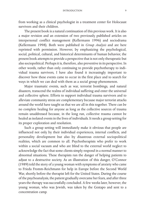# INTRODUCTION 9

from working as a clinical psychologist in a treatment center for Holocaust survivors and their children.

The present book is a natural continuation of this previous work. It is also a major revision and an extension of two previously published articles on interpersonal conflict management (Kellermann 1996) and sociodrama (Kellermann 1998). Both were published in *Group Analysis* and are here reprinted with permission. However, by emphasizing the psychological, social, political, cultural, and historical determinants of human behavior, the present book attempts to provide a perspective that is not only therapeutic but also sociopolitical. Perhaps it is, therefore, also preventive in its perspective. In other words, rather than only continuing to provide psychotherapy to individual trauma survivors, I have also found it increasingly important to discover how these events came to occur in the first place and to search for ways in which we can deal with them as a social group phenomenon.

Major traumatic events, such as war, terrorist bombings, and natural disasters, transcend the realms of individual suffering and enter the universal and collective sphere. Efforts to support individual trauma survivors and to alleviate community stress are complementary because major terrorist attacks around the world have taught us that we are all in this together. There can be no complete healing for anyone as long as the collective sources of trauma remain unaddressed because, in the long run, collective trauma cannot be healed as isolated events in the lives of individuals. It needs a group setting for its proper exploration and resolution.

Such a group setting will immediately make it obvious that people are influenced not only by their individual experiences, internal conflicts, and personality development but also by disastrous external sociopolitical realities, which are common to all. Psychotherapists who prefer to work within a social vacuum and who are blind to the external world neglect to acknowledge the fact that some clients simply respond in a normal manner to abnormal situations. These therapists run the danger of helping patients to adjust to a destructive society. As an illustration of this danger, O'Connor (1989) told the story of a young woman with symptoms of anxiety who came to Frieda Fromm-Reichmann for help in Europe before the Second World War, shortly before the therapist left for the United States. During the course of the psychoanalysis, the patient gradually overcame her fears, and after three years the therapy was successfully concluded. A few weeks later, however, the young woman, who was Jewish, was taken by the Gestapo and sent to a concentration camp.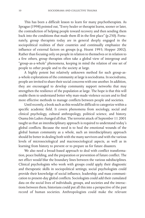This has been a difficult lesson to learn for many psychotherapists. As Sprague (1998) pointed out, "Every healer or therapist learns, sooner or later, the contradiction of helping people toward recovery and then sending them back into the conditions that made them ill in the first place" (p.250). Fortunately, group therapists today are in general deeply engaged in the sociopolitical realities of their countries and continually emphasize the influence of external factors on groups (e.g. Hearst 1993; Hopper 2002). Rather than focusing only on people in relation to themselves or in relation to a few others, group therapists often take a global view of intergroup and "group-as-a-whole" phenomena, keeping in mind the relation of one set of people to other people and to the society at large.

A highly potent but relatively unknown method for such group-asa-whole explorations of the community at large is sociodrama. In sociodrama, people are invited to share their social concerns with one another. In addition, they are encouraged to develop community support networks that may strengthen the resilience of the population at large. The hope is that this will enable them to understand better why man-made violence occurs and to find more effective methods to manage conflicts between people and societies.

Until recently, a book such as this would be difficult to categorize within a specific academic field. It covers phenomena from sociology, social and clinical psychology, cultural anthropology, political science, and history. Osama bin Laden changed all that. The terrorist attack of September 11 2001 taught us that an interdisciplinary approach is required to understand today's global conflicts. Because the need is to heal the emotional wounds of the global human community as a whole, such an interdisciplinary approach should be better in dealing both with the many survivors and with the various levels of microsociological and macrosociological aspects, as well as in learning from history to prevent or to prepare us for future disasters.

We also need a broad-based approach to deal with conflict transformation, peace building, and the preparation or prevention of future conflict. The net effect would blur the boundary lines between the various subdisciplines. Clinical psychologists who work with groups could apply their diagnostic and therapeutic skills in sociopolitical settings; social psychologists could provide their knowledge of social influence, leadership, and mass communication to present-day global conflicts. Sociologists could add their cumulated data on the social lives of individuals, groups, and societies and the interactions between them; historians could put all this into a perspective of the past record of human societies. Anthropologists could make the relevant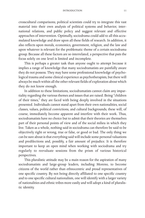INTRODUCTION 11

crosscultural comparisons; political scientists could try to integrate this vast material into their own analysis of political systems and behavior, international relations, and public policy and suggest relevant and effective approaches of intervention. Optimally, sociodrama could add to all this accumulated knowledge and draw upon all these fields of research. In addition, it also reflects upon morals, economics, government, religion, and the law and upon whatever is relevant for the problematic theme of a certain sociodrama group. Because all these factors are so interrelated, a perspective that puts the focus solely on one level is limited and incomplete.

This is perhaps a greater task than anyone ought to attempt because it implies a range of knowledge that many sociodramatists are painfully aware they do not possess. They may have some professional knowledge of psychological trauma and some clinical experience as psychotherapists, but there will always be much within all the other relevant fields of exploration about which they do not know enough.

In addition to these limitations, sociodramatists cannot claim any impartiality regarding the various themes and issues that are raised. Being "children of their times," they are faced with being deeply involved in the situations presented. Individuals cannot stand apart from their own nationalities, social classes, values, political convictions, and cultural backgrounds; these will, of course, immediately become apparent and interfere with their work. Thus, sociodramatists have no choice but to admit that their theories are themselves part of their personal points of view and of the social milieu in which they live. Taken as a whole, nothing said in sociodrama can therefore be said to be objectively right or wrong, true or false, or good or bad. The only thing we can be sure about is that everything said will include some personal valuations and predilections and, possibly, a fair amount of prejudice. It is therefore important to keep an open mind when working with sociodrama and try regularly to reevaluate sessions from the prism of various historical perspectives.

This pluralistic attitude may be a main reason for the aspiration of many sociodramatists and large-group leaders, including Moreno, to become citizens of the world rather than ethnocentric and proud representatives of one specific country. By not being directly affiliated to one specific country and to one specific cultural nationalism, one will identify with a larger variety of nationalities and ethnic tribes more easily and will adopt a kind of pluralistic identity.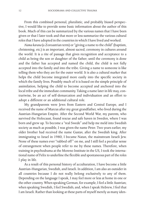From this combined personal, pluralistic, and probably biased perspective, I would like to provide some basic information about the author of this book. Much of this can be summarized by the various names that I have been given or that I later took and that more or less summarize the various cultural roles that I have adopted in the countries in which I have lived and worked.

*Nama karana*(a Zoroastrian term) or "giving a name to the child" (baptism, christening, etc.) is an important, almost sacred, ceremony in cultures around the world. It is a rite of passage that gives recognition and acceptance to a child as being the son or daughter of the father; until the ceremony is done and the father has accepted and named the child, the child is not fully accepted into the family and into the tribe. Giving a name to someone is like telling them who they are for the outer world. It is also a cultural marker that helps the child become integrated more easily into the specific society in which the family lives. Possibly much of it is based on the simple principle of assimilation, helping the child to become accepted and anchored into the local tribe and the immediate community. Taking a name later in life may, contrariwise, be an act of self-demarcation and individuation and an effort to adopt a different or an additional cultural role.

My grandparents were Jews from Eastern and Central Europe, and I received the name of Marcus after my great grandfather, who lived during the Austrian-Hungarian Empire. After the Second World War, my parents, who survived the Holocaust, found rescue and safe haven in Sweden, where I was born and grew up. To become a "real Swede" and help me meld into Swedish society as much as possible, I was given the name Peter. Two years earlier, my older brother had received the name Gustav, after the Swedish king. After immigrating to Israel in 1980, I became Natan, the mainstream Israeli Jew. None of these names ever "rubbed off " on me, and I still feel a peculiar sense of estrangement when people refer to me by these names. Therefore, when training in psychodrama at the Moreno Institute in the US, I took the international name of Felix to underline the flexible and spontaneous part of the roles I play in life.

As a result of this personal history of acculturation, I have become a little Austrian-Hungarian, Swedish, and Israeli. In addition, I am also an outsider in all countries because I do not really belong exclusively to any of them. Depending on the language I speak, I may feel more or less at home in one or the other country. When speaking German, for example, I feel a little Austrian; when speaking Swedish, I feel Swedish; and, when I speak Hebrew, I feel that I am Israeli. Rather than looking at these parts of myself merely as many iden-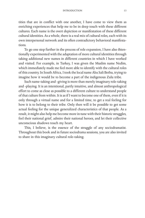## INTRODUCTION 13

tities that are in conflict with one another, I have come to view them as enriching experiences that help me to be in deep touch with these different cultures. Each name is the overt depiction or manifestation of these different cultural identities. As a whole, there is a real mix of cultural roles, each with its own interpersonal network and its often contradictory behavioral manifestations.

To go one step further in the process of role expansion, I have also intentionally experimented with the adaptation of more cultural identities through taking additional new names in different countries in which I have worked and visited. For example, in Turkey, I was given the Muslim name Nedím, which immediately made me feel more able to identify with the cultural roles of this country. In South Africa, I took the local name Aba Sali Bethu, trying to imagine how it would be to become a part of the indigenous Zulu tribe.

Such name-taking and -giving is more than merely imaginary role-taking and -playing. It is an intentional, partly intuitive, and almost anthropological effort to come as close as possible to a different culture to understand people of that culture from within. It is as if I want to become one of them, even if it is only through a virtual name and for a limited time, to get a real feeling for how it is to belong to their tribe. Only then will it be possible to get some actual feeling for the unique generalized characteristics of that people. As a result, it might also help me become more in tune with their historic struggles, feel their national grief, admire their national heroes, and let their collective unconscious shadows touch my heart.

This, I believe, is the essence of the struggle of any sociodramatist. Throughout this book and in future sociodrama sessions, you are also invited to share in this imaginary cultural role-taking.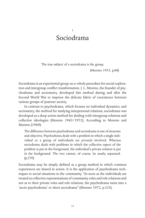# Sociodrama

1

The true subject of a sociodrama is the group.

(Moreno 1953, p.88)

Sociodrama is an experiential group-as-a-whole procedure for social exploration and intergroup conflict transformation. J. L. Moreno, the founder of psychodrama and sociometry, developed this method during and after the Second World War to improve the delicate fabric of coexistence between various groups of postwar society.

In contrast to psychodrama, which focuses on individual dynamics, and sociometry, the method for studying interpersonal relations, sociodrama was developed as a deep action method for dealing with intergroup relations and collective ideologies (Moreno 1943/1972). According to Moreno and Moreno (1969):

The difference between psychodrama and sociodrama is one of structure and objective. Psychodrama deals with a problem in which a single individual or a group of individuals are *privately* involved. Whereas sociodrama deals with problems in which the collective aspect of the problem is put in the foreground, the individual's private relation is put in the background. The two cannot, of course, be neatly separated. (p.270)

Sociodrama may be simply defined as a group method in which common experiences are shared in action. It is the application of psychodrama techniques to social situations in the community. "As soon as the individuals are treated as collective representations of community roles and role relations and not as to their private roles and role relations, the psychodrama turns into a 'socio-psychodrama' or short sociodrama" (Moreno 1972, p.325).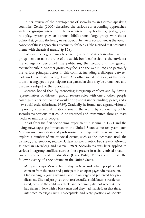In her review of the development of sociodrama in German-speaking countries, Geisler (2005) described the various corresponding approaches, such as group-centered or theme-centered psychodrama, pedagogical role-play, system-play, axiodrama, bibliodrama, large-group workshops, political stage, and the living newspaper. In her view, sociodrama is the overall concept of these approaches, succinctly defined as "the method that presents a theme with theatrical means" (p.158).

For example, a group may be enacting a terrorist attack in which various group members take the roles of the suicide bomber, the victims, the survivors, the emergency personnel, the politicians, the media, and the general bystander public. Another group may focus on the war in Iraq and personify the various principal actors in this conflict, including a dialogue between Saddam Hussein and George Bush. Any other social, political, or historical topic that engages the participants at a particular time may be dramatized and become a subject of the sociodrama.

Moreno hoped that, by reenacting intergroup conflicts and by having representatives of different groups reverse roles with one another, people could gain a perspective that would bring about understanding, peace, and a new social order (Marineau 1989). Gradually, he formulated a grand vision of improving intercultural relations around the world by conducting public sociodrama sessions that could be recorded and transmitted through mass media to millions of people.

Apart from his first sociodrama experiment in Vienna in 1921 and the living newspaper performances in the United States some ten years later, Moreno used sociodrama at professional meetings with mass audiences to explore a number of major social events, such as the Eichmann trial, the Kennedy assassination, and the Harlem riots, to mention but a few (Z. Moreno as cited in Sternberg and Garcia 1989). Sociodrama was later applied to various intergroup conflicts, such as those present in racially mixed areas, in law enforcement, and in education (Haas 1948). Monica Zuretti told the following story of a sociodrama in the United States:

Many years ago, Moreno had a stage in New York where people could come in from the street and participate in an open psychodrama session. One evening, a young woman came up on stage and presented her predicament. She had just given birth to a beautiful child, but she was devastated, because the child was black, and her family did not accept it. She had fallen in love with a black man and they had married. At that time, inter-race marriages were unacceptable and large portions of society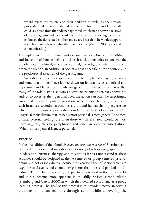would reject the couple and their children as well. As the session proceeded and the woman shared her concerns for the future of the small child, a woman from the audience appeared. By chance, she was a relative of the protagonist and had heard her cry for help. In a moving scene, she embraced the devastated mother and assured her that she would support them both, mindless of what their families felt. (Zuretti 2005, personal communication)

A complex mixture of internal and external factors influences the attitudes and behavior of human beings; and each sociodrama tries to uncover the broader social, political, economic, cultural, and religious determinants of a problem situation. In addition, it occurs within a specific historic context and the psychosocial situation of the participants.

Sociodrama sometimes appears similar to simple role-playing sessions, and some practitioners have looked down on its practice as superficial and impersonal and based too heavily on generalizations. While it is true that many of the role-playing activities allow participants to remain anonymous and/or to cover up their personal lives, the action can often be surprisingly emotional, touching upon themes about which people feel very strongly. In such instances, sociodrama becomes a profound human sharing experience, which is not inferior to psychodrama in terms of depth of experience. Carl Rogers' famous dictum that "What is most personal is most general" (the most private, personal feelings are often those which, if shared, would be most universal), may thus be paraphrased and stated in a contrariwise fashion: "What is most general is most personal."

# **Practice**

In the first edition of their book *Sociodrama: Who's in Your Shoes?* Sternberg and Garcia (1989) described sociodrama as a variety of role-playing applications in education, business, therapy, and theater. As far as I understand it, these activities should be designed as theme-centered or group-centered psychodrama and not as sociodrama because the expressed goal of sociodrama is to explore social events and community patterns that transcend particular individuals. This includes especially the practices described in their chapter 14 and it has become more apparent in the fully revised second edition (Sternberg and Garcia 2000) in which they defined sociodrama as a group learning process. The goal of this process is to provide practice in solving problems of human relations through action while uncovering the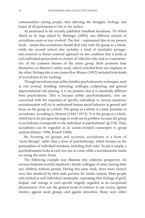commonalities among people, thus allowing the thoughts, feelings, and hopes of all participants to rise to the surface.

As mentioned in the recently published *Handbook Sociodrama: The Whole World on the Stage* edited by Wittinger (2005), two different schools of sociodrama seem to have evolved. The first – represented also in my present book – insists that sociodrama should deal only with the group as a whole, while the second school also includes a kind of (multiple) protagonist-centered or theme-centered approach on the condition that it looks at each individual person both as a bearer of collective roles and as a representative of the common themes of the entire group. Both positions base themselves on Moreno's earlier work, which switched from one emphasis to the other. Perhaps this is one reason Ron Wiener (1997) included both kinds of sociodrama in his teaching.

Though sociodrama may utilize familiar psychodramatic techniques, such as role reversal, doubling, mirroring, soliloquy, sculpturing, and general improvisational role-playing, it is my position that it is essentially different from psychodrama. This is because unlike psychodramatists, who are concerned with the responses of specific individuals to various situations, sociodramatists will try to understand human social behavior in general and focus on the group as a whole. The group as a whole is a basic postulate in sociodrama, according to Moreno (1943/1972). "It is the group as a whole, which has to be put upon the stage to work out its problem, because the group in sociodrama corresponds to the individual in psychodrama" (p.354). Thus, sociodrama can be regarded as an action-oriented counterpart to group analysis (Hamer 1990; Powell 1986).

By focusing on groups and societies, sociodrama is a form of "socio-therapy" rather than a form of psychotherapy, which focuses on the personalities of individual members, including their roles. To put it simply, a psychodramatist looks at each tree one at a time while a sociodramatist insists on seeing the entire forest.

The following example may illustrate this collective perspective. An envious husband recently murdered a female colleague of mine, leaving their two children without parents. During this same week, three more women were also murdered by their male partners for similar reasons. Most people only looked at each individual catastrophe, expressing their feelings of grief, despair, and outrage at each specific tragedy, regarded as an exceptional phenomenon. Few saw the general trend of violence in our society against women, against weak groups, and against minorities. Many were either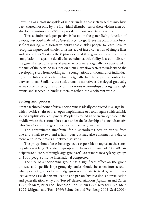unwilling or almost incapable of understanding that such tragedies may have been caused not only by the individual disturbances of these violent men but also by the norms and attitudes prevalent in our society as a whole.

This sociodramatic perspective is based on the generalizing function of people, described in detail by Gestalt psychology. It sees the brain as a holistic, self-organizing, and formative entity that enables people to learn how to recognize figures and whole forms instead of just a collection of simple lines and curves. This "Gestalt effect" provides the skill to generalize a whole from a compilation of separate details. In sociodrama, this ability is used to discern the general effect of a series of events, which were originally not contained in the sum of the parts. As in a motion picture, we slowly start to understand the developing story from looking at the compilations of thousands of individual lights, pictures, and scenes, which originally had no apparent connection between them. Similarly, the sociodramatic narrative is developed gradually as we come to recognize some of the various relationships among the single events and succeed in binding them together into a coherent whole.

# **Setting and process**

From a technical point of view, sociodrama is ideally conducted in a large hall with movable chairs or in an open amphitheatre or a town square with suitable sound amplification equipment. People sit around an open empty space in the middle where the action takes place under the leadership of a sociodramatist who tries to keep the group focused and actively involved.

The approximate timeframe for a sociodrama session varies from one-and-a-half to two-and-a-half hours but may also continue for a day or more with some breaks in between sessions.

The group should be as heterogeneous as possible to represent the actual population at large. The size of group varies from a minimum of 20 to 40 participants to 40 to 80 through large groups of 100 or more to very large groups of 1000 people at some international congresses.

The size of a sociodrama group has a significant effect on the group process, and specific large-group dynamics should be taken into account when practicing sociodrama. Large groups are characterized by various projective processes, depersonalization and personality invasion, anonymization and generalization, envy, and "forced" democratization (Agazarian and Carter 1993; de Maré, Piper and Thompson 1991; Klein 1993; Kreeger 1975; Main 1975; Milgram and Toch 1969; Schneider and Weinberg 2003; Seel 2001).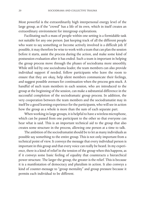Most powerful is the extraordinarily high interpersonal energy level of the large group, as if the "crowd" has a life of its own, which in itself creates an extraordinary environment for intergroup explorations.

Facilitating such a mass of people within one setting is a formidable task not suitable for any one person. Just keeping track of all the different people who want to say something or become actively involved is a difficult job. If possible, it may therefore be wise to work with a team that can plan the session before it starts, assist the process during the action, and make some kind of postsession evaluation after it has ended. Such a team is important in helping the group process move through the phases of sociodrama more smoothly. While still led by one sociodrama leader, the team members can also provide individual support if needed, follow participants who leave the room to ensure that they are okay, help silent members communicate their feelings, and suggest possible avenues for continuation when the process gets stuck. A handful of such team members in each session, who are introduced to the group at the beginning of the session, can make a substantial difference in the successful completion of the sociodramatic group process. In addition, the very cooperation between the team members and the sociodramatist may in itself be a good learning experience for the participants, who will see in action how the group as a whole is more than the sum of each separate part.

When working in large groups, it is helpful to have a wireless microphone, which can be passed from one participant to the other so that everyone can hear what is said. This is an important technical aid to the group that also creates some structure in the process, allowing one person at a time to talk.

The ambition of the sociodramatist should be to let as many individuals as possible say something to the entire group. This is not only important from a technical point of view. It conveys the message that every individual person is important in this group and that every voice can really be heard. In my experience, there is a kind of relief in the tension of the group when this happens, as if it conveys some basic feeling of equality that counteracts a hierarchical power structure. The larger the group, the greater is the relief. This is because it is a manifestation of democracy and pluralism in action. It also conveys a kind of counter-message to "group mentality" and group pressure because it permits each individual to be different.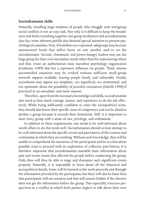# **Sociodramatist skills**

Naturally, handling large numbers of people who struggle with intergroup social conflicts is not an easy task. Not only is it difficult to keep the boundaries and hold everything together, but group facilitators and sociodramatists also face some inherent pitfalls that demand special attention to prevent psychological casualties. First, if hostilities are expressed, subgroups may become unrestrained herds that inflict harm on one another and/or on the sociodramatist. Second, charismatic and power-hungry leaders may use the large group for their own narcissistic needs rather than for empowering others and thus create an authoritarian mass marathon psychology organization (Cushman 1989) that has a repressive influence on people. Third, intense uncontrolled emotions may be evoked without sufficient small-group network support available, leaving people lonely and vulnerable. Finally, sociodrama may appear too simplistic, too superficial, too sentimental, and too optimistic about the possibility of peaceful coexistence (Sabelli 1990) if practiced in an unrealistic and naive manner.

Therefore, apart from the necessary knowledge and skills, sociodramatists also need to have much courage, stature, and experience to do the job effectively. While being sufficiently confident to enter the sociopolitical scene, they should also know their specific areas of competence and not be afraid to decline a group because it exceeds their limitations. Still, it is important to meet every group with a sense of awe, privilege, and enthusiasm.

In addition to these requirements, one needs to be well-informed about world affairs to do this work well. Sociodramatists should at least attempt to be well-informed about the specific recent and past history of the country and community in which they are working. Without such knowledge, they will be unable to comprehend the narratives of the participants and be at a loss about possible ways to proceed with an exploration of collective past history. It is therefore important that sociodramatists assemble basic information about past and recent events that affected the people before conducting the group. Only then will they be able to stage and dramatize such significant events properly. Naturally, it is impossible to learn about all the historical and sociopolitical details. Some will be learned as the work proceeds and through the information provided by the participants, but there will also be basic facts that participants will not mention and that will remain hidden if the director does not get the information before the group. This especially concerns perspectives in a conflict in which both parties neglect to talk about their own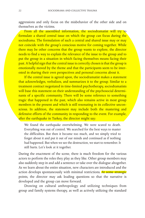aggressions and only focus on the misbehavior of the other side and on themselves as the victims.

From all the assembled information, the sociodramatist will try to formulate a shared central issue on which the group can focus during the sociodrama. The formulation of such a central and shared issue may or may not coincide with the group's conscious motive for coming together. While there may be other concerns that the group wants to explore, the director needs to find a way to explain the relevance of the issue to the group and to put the group in a situation in which facing themselves means facing their past. A helpful sign that the central issue is correctly chosen is that the group is emotionally moved by the theme and that the participants seem to be interested in sharing their own perspectives and personal concerns about it.

If the central issue is agreed upon, the sociodramatist makes a statement that acknowledges, verbalizes, and summarizes it to the group. Similar to a treatment contract negotiated in time-limited psychotherapy, sociodramatists will base this statement on their understanding of the psychosocial determinants of a specific community. There will be some reference to something tragic that happened in the past, which also remains active in most group members in the present and which is still resonating in its collective unconscious. In addition, the statement may include both the mastering and defensive efforts of the community in responding to the event. For example, after the earthquake in Turkey, the director might say:

We found the earthquake overwhelming. We were scared to death. Everything was out of control. We searched for the best ways to master the difficulties. But then it became too much, and we simply tried to forget about it and put it out of our minds and continued as if nothing had happened. But when we see the destruction, we start to remember. It still hurts. Let's look at it together.

During the enactment of the scene, there is much freedom for the various actors to perform the roles they play as they like. Other group members may also suddenly step in and add a sentence or take over the dialogue altogether. As we learn about the entire situation, new characters are introduced and the action develops spontaneously with minimal restrictions. At some strategic points, the director may ask leading questions so that the narrative is developed and the group can move forward.

Drawing on cultural anthropology and utilizing techniques from group and family systems therapy, as well as actively utilizing the standard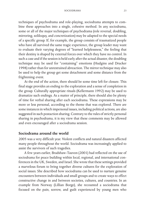techniques of psychodrama and role-playing, sociodrama attempts to combine these approaches into a single, cohesive method. In any sociodrama, some or all of the major techniques of psychodrama (role reversal, doubling, mirroring, soliloquy, and concretization) may be adapted to the special needs of a specific group. If, for example, the group consists of traumatized people who have all survived the same tragic experience, the group leader may want to evaluate their varying degrees of "learned helplessness," the feeling that their destiny is shaped by external forces over which they have no control. In such a case and if the session is held early after the actual disaster, the doubling technique may be used for "containing" emotions (Hudgins and Drucker 1998) rather than for unrestrained abreaction. The mirror technique may also be used to help the group get some detachment and some distance from the frightening event.

At the end of the action, there should be some time left for closure. This final stage provides an ending to the exploration and a sense of completion in the group. Culturally appropriate rituals (Kellermann 1992) may be used to dramatize such endings. As a matter of principle, there should also be plenty of time for verbal sharing after each sociodrama. These expressions may be more or less personal, according to the theme that was explored. There are some instances in which impersonal issues, including political actions, are also suggested in such postaction sharing. Contrary to the rules of strictly personal sharing in psychodrama, it is my view that these comments may be allowed and even encouraged after a sociodrama session.

# **Sociodrama around the world**

2005 was a very difficult year. Violent conflicts and natural disasters affected many people throughout the world. Sociodrama was increasingly applied to assist the survivors of such tragedies.

A few years earlier, Bradshaw-Tauvon (2001) had reflected on the use of sociodrama for peace building within local, regional, and international conferences in the UK, Sweden, and Israel. She wrote that these settings provided a marvelous forum to bring together diverse cultures for the exploration of social issues. She described how sociodrama can be used to nurture genuine encounters between individuals and small groups and to create ways to effect constructive change in and between societies, cultures, and countries. In an example from Norway (Lillian Borge), she recounted a sociodrama that focused on the pain, sorrow, and guilt experienced by young men who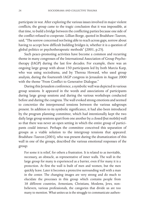participate in war. After exploring the various issues involved in major violent conflicts, the group came to the tragic conclusion that it was impossible, at that time, to build a bridge between the conflicting parties because one side of the conflict refused to cooperate. Lillian Borge, quoted in Bradshaw-Tauvon, said, "The sorrow concerned not being able to reach across gaps, sorrow about having to accept how difficult building bridges is, whether it is a question of global politics or psychotherapeutic methods" (2001, p.25).

Such peace-promoting activities have become a common and recurring theme in many congresses of the International Association of Group Psychotherapy (IAGP) during the last few decades. For example, there was an ongoing large group with about 150 participants led by both Marcia Karp, who was using sociodrama, and by Theresa Howard, who used group analysis, during the fourteenth IAGP congress in Jerusalem in August 2000 with the theme "From Conflict to Generative Dialogue."

During this Jerusalem conference, a symbolic wall was depicted in various group sessions. It appeared in the words and associations of participants during large group sessions and during the various workshops conducted before and during the congress. The wall evoked strong emotions and seemed to concretize the interpersonal tensions between the various subgroups present. In addition to its symbolic significance, it had also been introduced by the program planning committee, which had intentionally kept the two daily large group sessions apart from one another by a closed (but mobile) wall so that there was never an open setting in which the entire group of participants could interact. Perhaps the committee conceived this separation of groups as a viable solution to the intergroup tensions that appeared. Bradshaw-Tauvon (2001), who was present during the dramatization of this wall in one of the groups, described the various emotional responses of the group:

For some it is relief, for others a frustration. It is related to as inevitable, necessary, an obstacle, as representative of inner walls. The wall in the large group for many is experienced as a barrier, even if for many it is a protection. At first the wall is built of men and women, but the men quickly leave. Later it becomes a protective surrounding wall with a man in the center. The changing images are very strong and do much to elucidate the processes in this group which contains people from 38 different countries, Armenians, Christians, Moslems, Jews, nonbelievers, various professionals, the categories that divide us are too many to mention. What unites us is the struggle to communicate authen-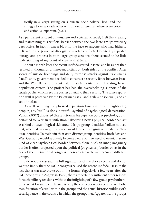tically in a larger setting on a human, socio-political level and the struggle to accept each other with all our differences where every voice and action is important. (p.27)

As a permanent resident of Jerusalem and a citizen of Israel, I felt that creating and maintaining this artificial barrier between the two large groups was very destructive. In fact, it was a blow in the face to anyone who had hitherto believed in the power of dialogue to resolve conflicts. Despite my repeated outrage and protests in both large group sessions, there seemed to be little understanding of my point of view at that time.

About a month later, the recent Intifada started in Israel and has since then resulted in thousands of innocent victims on both sides of the conflict. After scores of suicide bombings and daily terrorist attacks against its civilians, Israel's unity government decided to construct a security fence between Israel and the West Bank to prevent Palestinian terrorists from infiltrating Israeli population centers. The project has had the overwhelming support of the Israeli public, which sees the barrier as vital to their security. The same separation wall is perceived by the Palestinians as a land grab, a prison wall, and an act of racism.

As well as filling the physical separation function for all neighboring peoples, any "wall" is also a powerful symbol of psychological demarcation. Volkan (2002) discussed this function in his paper on border psychology as it pertained to German reunification. Observing how a physical border can act as a kind of psychological skin around large-group identities, Volkan noticed that, when taken away, this border would force both groups to redefine their own identities. To maintain their own distinct group identities, both East and West Germany would suddenly become aware of their need to maintain some kind of clear psychological border between them. Such an inner, imaginary border is often projected upon the political (or physical) border or, as in the case of the international congress, upon any movable wall between different groups.

I do not understand the full significance of the above events and do not want to imply that the IAGP congress caused the recent Intifada. Despite the fact that a war also broke out in the former Yugoslavia a few years after the IAGP congress in Zagreb in 1986, there are certainly sufficient other reasons for such military tensions, without the infighting of a few group psychotherapists. What I want to emphasize is only the connection between the symbolic manifestation of a wall within the groups and the actual historic building of a security fence in the country in which the groups met. Apparently, the groups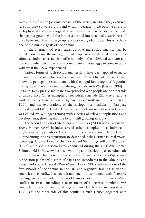were a true reflection (or a microcosm) of the society in which they occurred. As such, they conveyed profound wisdom because, if we become aware of such physical and psychological demarcations, we may be able to facilitate change that goes beyond the intrapsychic and interpersonal disturbances of our clients and affects intergroup tensions on a global scale. This is perhaps one of the humble goals of sociodrama.

In the aftermath of every catastrophic event, sociodramatists may be called upon to assist the many groups of people who are affected. In such situations, sociodrama has much to offer not only to the individual survivors and to their families but also to entire communities that struggle to come to terms with what they have experienced.

Various forms of such sociodrama sessions have been applied to major international catastrophic events (Knepler 1970). One of the most well known is perhaps the sociodrama with the anguished people of Argentina during the military junta and later during the Falklands War (Bustos 1994). In England, Ken Sprague and Marcia Karp worked with people on the other side of this conflict. Other examples of sociodrama include Ella-Mae Shearon's work on the German election of right-wing extremists in 1989 (Feldhendler 1994) and the explorations of the sociopolitical realities in Paraguay (Carvalho and Otero 1994). A recent handbook on sociodrama in German was edited by Wittinger (2005) with a series of relevant applications and developments, showing that the field is still growing in scope.

The second edition of Sternberg and Garcia's (2000) book *Sociodrama: Who's in Your Shoes?* includes several other examples of sociodrama in English-speaking countries. Accounts of some sessions conducted in Eastern Europe during the great transition are described in the German journal *Psychodrama* (e.g. Lobeck 1990; Zichy 1990), and Stein, Ingersoll and Treadwell (1995) write about a sociodrama conducted during the Gulf War. Roman Solotowitzki in Moscow has been working and developing a sociodramatic institute that will focus on role reversal with the enemy. The Kiev *Psychodrama* Association published a series of papers on sociodrama in the Ukraine and Russia (Solotowitzki 2004). Ron Wiener (1997, 2001), who leads one of the few schools of sociodrama in the UK and organizes training in various countries, has utilized a sociodrama method combined with "creative training" in various parts of the world. An exploration of the Jewish–Arab conflict in Israel, including a reenactment of a terrorist bombing, was conducted at the International Psychodrama Conference in Jerusalem in 1996. On the other side of this conflict, Ursula Hauser, together with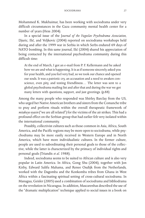Mohammed K. Mukhaimar, has been working with sociodrama under very difficult circumstances in the Gaza community mental health center for a number of years (Hess 2004).

In a special issue of the J*ournal of the Yugoslav Psychodrama Association*, Djuric, Ilić, and Veljkovic (2004) reported on sociodrama workshops held during and after the 1999 war in Serbia in which Serbs endured 69 days of NATO bombing. In this same journal, Ilić (2004) shared his appreciation of being contacted by the international psychodrama community during this difficult time:

At the end of March, I got an e-mail from P. F. Kellermann and he asked how we are and what is happening. It is as if someone sincerely asked you for your health, and you feel very bad, so we took our chance and opened our souls. It was a patriotic cry, an accusation and a need to awaken conscience, even pity, and testing friendliness… The letter was sent to a global psychodrama mailing list and after that and during the war we got many letters with questions, support, and just greetings. (p.88)

Among the many people who responded was Shirley Barclay from the US, who urged her Native American brothers and sisters from the Comanche tribe to pray and perform rituals within the overall therapeutic framework of *mitakuye oyasin* ("we are all related") for the victims of the air strikes. This had a profound effect on the Serbian group that had earlier felt very isolated within the international community.

Possibly, collectivist cultures such as those common in Asia, Africa, South America, and the Pacific regions may be more open to sociodrama, while psychodrama may be more easily received in Western Europe and in North America, which have more individualistic cultures. In the former culture, people are used to subordinating their personal goals to those of the collective, while the latter is characterized by the primacy of individual rights and personal goals (Triandis *et al*. 1988).

Indeed, sociodrama seems to be suited to African culture and is also very popular in Latin America. In Africa, Gong Shu (2004), together with Jon Kirby, Edward Salifu Mahama, and Renee Oudijk from the Netherlands, worked with the Dagomba and the Konkomba tribes from Ghana in West Africa within a fascinating spiritual setting of cross-cultural sociodrama. In Managua, Geisler (2005) used a combination of sociodrama and bibliodrama on the revolution in Nicaragua. In addition, Mascarenhas described the use of the "dramatic multiplication" technique applied to social issues in a book on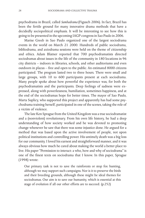psychodrama in Brazil, called *Sambadrama* (Figusch 2006). In fact, Brazil has been the fertile ground for many innovative drama methods that have a decidedly sociopolitical emphasis. It will be interesting to see how this is going to be presented in the upcoming IAGP congress in Sao Paulo in 2006.

Marise Greeb in Sao Paulo organized one of the largest sociodrama events in the world on March 21 2000. Hundreds of public sociodrama, bibliodrama, and axiodrama sessions were held on the theme of citizenship and ethics. Adam Blatner reported that 700 psychodramatists directed sociodramas about issues in the life of the community in 180 locations in 96 city districts – indoors in libraries, schools, and other auditoriums and even outdoors in plazas – free and open to the public. An estimated 8000 citizens participated. The program lasted two to three hours. There were small and large groups, with 10 to 600 participants present at each sociodrama. Many people spoke about how powerful the experience was, for both the psychodramatists and the participants. Deep feelings of sadness were expressed, along with powerlessness, humiliation, sometimes happiness, and at the end of the sociodramas hope for better times. The mayor of Sao Paulo, Marta Suplicy, who supported this project and apparently has had some psychodrama training herself, participated in one of the scenes, taking the role of a victim of violence.

The late Ken Sprague from the United Kingdom was a true sociodramatist and a (nonviolent) revolutionary. From his own life history, he had a deep understanding of how society worked and he was devoted to promoting change whenever he saw that there was some injustice done. He argued for a method that was based upon the active involvement of people, not upon political institutions and controlling power. His untimely death was a big loss for our community. I loved his earnest and straightforward manner, and it was always obvious how much he cared about making the world a better place to live. His paper "Permission to interact: a who, how and why of sociodrama" is one of the finest texts on sociodrama that I know. In this paper, Sprague (1998) wrote:

Our primary task is not to save the rainforests or stop fox hunting, although we may support such campaigns. Nor is it to preserve the birds and their breeding grounds, although these might be ideal themes for sociodramas. Our aim is to save our humanity, which is essential at this stage of evolution if all our other efforts are to succeed. (p.252)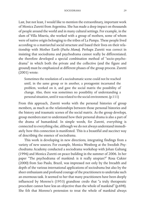Last, but not least, I would like to mention the extraordinary, important work of Monica Zuretti from Argentina. She has made a deep impact on thousands of people around the world and in many cultural settings. For example, in the slum of Villa Miseria, she worked with a group of mothers, some of whom were of native origin belonging to the tribes of La Pampa. These people lived according to a matriarchal social structure and based their lives on their relationship with Mother Earth (*Pacha Mama*). Perhaps Zuretti was correct in insisting that sociodrama and psychodrama cannot really be differentiated; she therefore developed a special combination method of "socio-psychodrama" in which both the private and the collective (and the figure and ground) must be emphasized at different phases of the group process. Zuretti (2001) wrote:

Sometimes the resolution of a sociodramatic scene could not be reached until, in the same group or in another, a protagonist incarnated the problem, worked on it, and gave the social matrix the possibility of change. Also, there was sometimes no possibility of understanding a personal situation, until it was related to the social environment. (p.111)

From this approach, Zuretti works with the personal histories of group members, as much as the relationships between those personal histories and the history and traumatic scenes of the social matrix. As the group develops, group members start to understand how their personal drama is also a part of the drama of humankind. In simple words, for Zuretti, everything is connected to everything else, although we do not always understand immediately how this connection is manifested. This is a beautiful and succinct way of describing the essence of sociodrama.

This work is developing in new directions, integrating findings from a variety of new sources. For example, Monica Westberg at the Swedish Psychodrama Academy conducted a sociodrama workshop with Johan Galtung (1996) and Monica Zuretti on peace building in the summer of 2006. In her paper "The psychodrama of mankind: is it really utopian?" Rosa Cukier (2000) from Sao Paulo, Brazil, was impressed not only by the breadth and depth of the various international applications of sociodrama but also by the sheer enthusiasm and profound courage of the practitioners to undertake such an enormous task. It seemed to her that many practitioners have been deeply influenced by Moreno's (1953) grandiose credo that "a truly therapeutic procedure cannot have less an objective than the whole of mankind" (p.698). She felt that Moreno's pretension to treat the whole of mankind always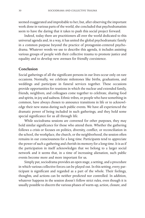seemed exaggerated and improbable to her; but, after observing the important work done in various parts of the world, she concluded that psychodramatists seem to have the daring that it takes to push this social project forward.

Indeed, today there are practitioners all over the world dedicated to this universal agenda and, in a way, it has united the global psychodramatic family in a common purpose beyond the practice of protagonist-centered psychodrama. Whatever words we use to describe this agenda, it includes assisting various groups of people with their collective trauma to promote justice and equality and to develop new avenues for friendly coexistence.

# **Conclusion**

Social gatherings of all the significant persons in our lives occur only on rare occasions. Normally, we celebrate milestones like births, graduations, and weddings and participate in funeral services together. These occasions provide opportunities for reunions in which the nuclear and extended family, friends, neighbors, and colleagues come together to celebrate, sharing food and spirits, in joy and sadness. Ethnic tribes, or people who have something in common, have always chosen to announce transitions in life or to acknowledge their new status during such public events. We have all experienced the dramatic power of being included in such gatherings, and they hold some special significance for us all through life.

While sociodrama sessions are convened for other purposes, they may hold similar significance for those who attend them. Whether the gathering follows a crisis or focuses on politics, diversity, conflict, or reconciliation in the school, the workplace, the church, or the neighborhood, the session often remains in our consciousness for a long time. Participants tend to appreciate the power of such a gathering and cherish its memory for a long time. It is as if the participation in itself acknowledges that we belong to a larger social network and it seems that, in a time of increasing alienation, such public events become more and more important for us.

Simply put, sociodrama provides an open stage, a setting, and a procedure in which various collective forces can be played out. In this setting, every participant is significant and regarded as a part of the whole. Their feelings, thoughts, and actions can be neither predicted nor controlled. In addition, whatever happens in the session doesn't follow strict rules, even though it is usually possible to discern the various phases of warm-up, action, closure, and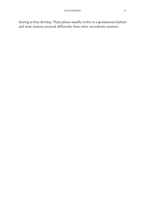sharing as they develop. These phases usually evolve in a spontaneous fashion and most sessions proceed differently from other sociodrama sessions.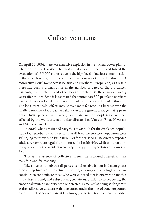# Collective trauma

2

On April 26 1986, there was a massive explosion in the nuclear power plant at Chernobyl in the Ukraine. The blast killed at least 30 people and forced the evacuation of 135,000 citizens due to the high level of nuclear contamination in the area. However, the effects of the disaster were not limited to this area. A radioactive cloud swept across Belarus and Northern Europe; and, as a result, there has been a dramatic rise in the number of cases of thyroid cancer, leukemia, birth defects, and other health problems in these areas. Twenty years after the accident, it is estimated that more than 800 people in northern Sweden have developed cancer as a result of the radioactive fallout in this area. The long-term health effects may be even more far-reaching because even the smallest amounts of radioactive fallout can cause genetic damage that appears only in future generations. Overall, more than 6 million people may have been affected by the world's worst nuclear disaster (see Van den Bout, Havenaar and Meijler-Iljina 1995).

In 2005, when I visited Slavutych, a town built for the displaced population of Chernobyl, I could see for myself how the survivor population were still trying to recover and build new lives for themselves. The directly exposed adult survivors were regularly monitored for health risks, while children born many years after the accident were perpetually painting pictures of houses on fire.

This is the essence of collective trauma. Its profound after-effects are manifold and far-reaching.

Like a nuclear bomb that disperses its radioactive fallout in distant places even a long time after the actual explosion, any major psychological trauma continues to contaminate those who were exposed to it in one way or another in the first, second, and subsequent generations. Similar to radioactivity, the emotional trauma cannot be seen or detected. Perceived as being as dangerous as the radioactive substances that lie buried under the tons of concrete poured over the nuclear power plant at Chernobyl, collective trauma remains hidden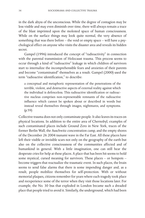in the dark abyss of the unconscious. While the degree of contagion may be less visible and may even diminish over time, there will always remain a trace of the blast imprinted upon the molested space of human consciousness. While on the surface things may look quite normal, the very absence of something that was there before – the void or empty space – will have a psychological effect on anyone who visits the disaster area and reveals its hidden secret.

Gampel (1996) introduced the concept of "radioactivity" in connection with the parental transmission of Holocaust trauma. This process seems to occur through a kind of "radioactive" leakage in which children of survivors start to internalize the incomprehensible fears and anxieties of their parents and become "contaminated" themselves as a result. Gampel (2000) used the term "radioactive identification," to describe:

a conceptual and metaphoric representation of the penetrations of the terrible, violent, and destructive aspects of external reality against which the individual is defenceless. This radioactive identification or radioactive nucleus comprises non-representable remnants of the radioactive influence which cannot be spoken about or described in words but instead reveal themselves through images, nightmares, and symptoms. (p.59)

Collective trauma does not only contaminate people. It also leaves its traces on physical locations. In addition to the entire area of Chernobyl, examples of such contaminated places include Ground Zero in New York, traces of the former Berlin Wall, the Auschwitz concentration camp, and the empty shores of the December 26 2004 tsunami wave in the Far East. All these places have left their visible or invisible scars not only on the geography of the earth but also on the collective consciousness of the communities affected and of humankind in general. With a little imagination, one can still hear the desperate cries for help at these places. A place that has been hit seems to hold some mystical, cursed meaning for survivors. These places – or hotspots – become triggers that reactualize the traumatic event. In such places, the brain seems to send false alarms that there is some impending danger and, as a result, people mobilize themselves for self-protection. With or without memorial plaques, citizens remember for years where each tragedy took place and reexperience some of the terror when they visit those locations later. For example, the No. 30 bus that exploded in London became such a dreaded place that people tried to avoid it. Similarly, the underground, which had been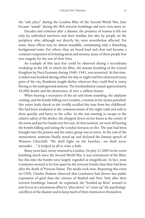the "safe place" during the London Blitz of the Second World War, later became "unsafe" during the IRA terrorist bombings and now even more so.

Decades and centuries after a disaster, the presence of trauma is felt not only by individual survivors and their families but also by people on the periphery who, although not directly hit, were nevertheless affected. For some, these effects may be almost inaudible, constituting only a disturbing background noise. For others, they are heard loud and clear and become a constant companion of irritating stress and anxiety; many of these people fear new tragedy for the rest of their lives.

An example of this tacit fear could be observed during a sociodrama workshop in the UK in which the Blitz, the intense bombing of the United Kingdom by Nazi Germany during 1940–1941, was reenacted. At that time, London was bombed during either the day or night and fires destroyed many parts of the city. Residents sought shelter wherever they could find it, many fleeing to the underground stations. The bombardment caused approximately 43,000 deaths and the destruction of over a million houses.

When hearing a recreation of the air raid sirens sounding, the airplanes coming, and the bombs falling over London, a woman in her sixties panicked. Her entire body shook as she vividly recalled this time from her childhood. She had been awakened at the commencement of the night raids and told to dress quickly and hurry to the cellar. As she was running to escape to the relative safety of the shelter, she dropped down on her knees at the corner of the room and put her hands over her ears. At that moment, we were all hearing the bombs falling and seeing the London horizon on fire. The past had been brought into the present and the entire group was in terror. At the end of the reenactment, someone finally stood up and declared the famous speech of Winston Churchill: "We shall fight on the beaches…we shall never surrender…" It helped us all to relax a little.

Many years later, terror returned to London. On July 12 2005 in the worst bombing attack since the Second World War, it was reminiscent of the Blitz; but this time the bombs were largely regarded as insignificant. In fact, most Londoners seemed to be less upset by the terrorist bombs than they had been after the death of Princess Diana. The media took note. Reporting this event on CNN, Charles Hudson observed that Londoners had shown less public expression of grief than the citizens of Madrid and New York after their terrorist bombings. Instead, he explained, the "bottled-up Brits" seemed to join forces in a unanimous effort to "play down" or "cover up" the psychological effects of the disaster and to keep much of their emotions to themselves.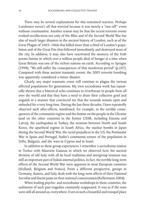There may be several explanations for this restrained reaction. Perhaps Londoners weren't all that worried because it was merely a "one-off" event without continuation. Another reason may be that the recent terrorist events evoked recollections not only of the Blitz and of the Second World War but also of much larger disasters in the ancient history of London, such as of the Great Plague of 1665–1666 that killed more than a third of London's population and of the Great Fire that followed immediately and destroyed most of the city. In addition, it may also have reactivated the memory of the Irish potato famine in which over a million people died of hunger at a time when Great Britain was one of the richest nations on earth. According to Sprague (1998), "We still suffer the consequences of that murderous period" (p.247). Compared with these ancient traumatic events, the 2005 terrorist bombing was apparently considered a minor disaster.

Clearly, any major traumatic event will continue to plague the various affected populations for generations. My own sociodrama work has repeatedly shown that a historical echo continues to reverberate in people from all over the world and that they have a need to share their collective grief and anguish in a manner that convinced me that the wounds remain open and unhealed for a very long time. During the last three decades, I have repeatedly observed such after-effects, manifested, for example, in the terrible consequences of the communist regime and the famine on the people in the Ukraine (and on the other countries in the former USSR, including Estonia and Latvia), the earthquakes in Turkey, the tensions between North and South Korea, the apartheid regime in South Africa, the nuclear bombs in Japan during the Second World War, the racial prejudices in the US, the Peninsular War in Spain and Portugal, Stalin's communist torture of the population in Sofia, Bulgaria, and the wars in Cyprus and in Israel.

In addition to these group experiences, I remember a sociodrama session in Torino with Maurizio Gasseau in which we observed how the ancient division of old Italy with all its local traditions and intergroup tensions was still an important part of Italian internal politics. In fact, the terrible long-term effects of the Second World War were apparent in most European countries (Holland, Belgium and France). From a different perspective, groups in Germany, Austria, and Italy dealt with the long-term effects of their National Socialist and fascist pasts on their national consciousness (Kellermann 2004).

When leading psycho- and sociodrama workshops in these countries, the sediments of such past tragedies constantly reappeared. It was as if the wars were still all around us, everywhere. Even in such a beautiful and tranquil place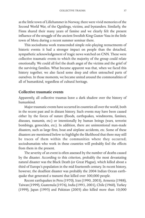as the little town of Lillehammer in Norway, there were vivid memories of the Second World War, of the Quislings, victims, and bystanders. Similarly, the Finns shared their many years of famine and we clearly felt the present influence of the struggle of the ancient Swedish King Gustav Vasa in the little town of Mora during a recent summer seminar there.

This sociodrama work transcended simple role-playing reenactments of historic events: it had a stronger impact on people than the detached, sympathetic acknowledgement of tragic news watched on CNN. These were collective traumatic events to which the majority of the group could relate emotionally. We could all feel the death angst of the victims and the grief of the surviving families. What became apparent was that, when we faced this history together, we also faced some deep and often untouched parts of ourselves. In those moments, we became united around the commonalities of all of humankind, regardless of cultural heritage.

## **Collective traumatic events**

Apparently, all collective traumas leave a dark shadow over the history of humankind.

Major traumatic events have occurred in countries all over the world, both in the recent past and in distant history. Such events may have been caused either by the forces of nature (floods, earthquakes, windstorms, famines, diseases, tsunamis, etc.) or intentionally by human beings (wars, terrorist bombings, genocides, etc.). In addition, there are unintentional man-made disasters, such as large fires, boat and airplane accidents, etc. Some of these disasters are mentioned below to highlight the likelihood that there may still be traces of them within the communities where they occurred; sociodramatists who work in these countries will probably feel the effects from them in the present.

The severity of an event is often assessed by the number of deaths caused by the disaster. According to this criterion, probably the most devastating natural disaster was the Black Death (or Great Plague), which killed about a third of Europe's population in the mid fourteenth century. In recent history, however, the deadliest disaster was probably the 2004 Indian Ocean earthquake that generated a tsunami that killed over 300,000 people.

Recent earthquakes in Peru (1970), Iran (1990, 2003), Armenia (1988), Taiwan (1999), Guatemala (1976), India (1993, 2001), Chile (1960), Turkey (1999), Japan (1995) and Pakistan (2005) also killed more than 10,000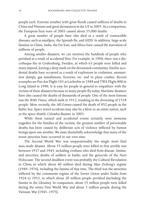people each. Extreme weather with great floods caused millions of deaths in China and Vietnam and great devastation in the US in 2005. As a comparison, the European heat wave of 2003 caused about 35,000 deaths.

A great number of people have also died as a result of contractible diseases, such as smallpox, the Spanish flu, and AIDS. In addition, large-scale famines in China, India, the Far East, and Africa have caused the starvation of millions of people.

Among smaller disasters, we can mention the hundreds of people who perished as a result of accidental fires. For example, in 1998, there was a discotheque fire in Gothenburg, Sweden, in which 63 people were killed and many injured, leaving a deep mark on the devastated community. Similar accidental deaths have occurred as a result of explosions in coalmines, ammunition dumps, gas installations, factories, etc. and in plane crashes. Recent examples are Pan Am Flight 103 at Lockerbie in 1988 and TWA Flight 800 in Long Island in 1996. It is easy for people in general to empathize with the victims of these disasters because so many people fly today. Maritime disasters have also caused the deaths of thousands of people. One of the most famous was the *RMS Titanic*, which sunk in 1912, resulting in the drowning of 1518 people. More recently, the *MS Estonia* caused the death of 852 people in the Baltic Sea. Space travel accidents may also be a blow to an entire nation, such as the space shuttle *Columbia* disaster in 2003.

While these natural and accidental events certainly were immense tragedies for the families of the victims, the greatest number of preventable deaths has been caused by deliberate acts of violence inflicted by human beings upon one another. We must shamefully acknowledge that many of the worst atrocities have occurred in our own time.

The Second World War was unquestionably the single most fatal man-made disaster. About 55 million people were killed in that terrible war between 1937 and 1945, including civilians who died from disease, famine, and atrocities; deaths of soldiers in battle; and the genocide of the Nazi Holocaust. The second deadliest event was probably the Cultural Revolution in China in which about 40 million died during Mao Zedong's regime (1949–1976), including the famine of that time. The third was the atrocities inflicted by the communist regime of the Soviet Union under Stalin from 1924 to 1953, in which about 20 million people perished (including the famine in the Ukraine). In comparison, about 15 million people were killed during the entire First World War and about 3 million people during the Vietnam War (1945–1975).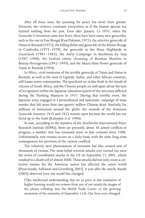After all these wars, the yearning for peace has never been greater. However, the violence continues everywhere as if the human species has learned nothing from the past. Even after January 12 1951, when the Genocide Convention came into force, there have been many new genocides, such as the one in East Bengal (East Pakistan, 1971), the selective genocide of Hutus in Burundi (1972), the killing fields and genocide of the Khmer Rouge in Cambodia (1975–1979), the genocide in the Maya Highlands in Guatemala (1981–1983), the Anfal Campaign in Kurdistan by Iraq (1987–1988), the Serbian ethnic cleansing of Bosnian Muslims in Bosnia-Herzegovina (1992–1995), and the Akazu Hutu Power genocide of Tutsis in Rwanda (1994).

In Africa, vivid memories of the terrible genocide of Tutsis and Hutus in Rwanda, as well as the wars in Uganda, Sudan, and other African countries, still haunt entire communities. The apartheid era is also fresh in the minds of citizens of South Africa, and the Chinese people are still upset about the lack of recognition within the Japanese education system of the atrocities inflicted during the Nanking Massacre in 1937. During that terrible event, the Japanese army engaged in a premeditated and systematic campaign of mass murder that left more than one-quarter million Chinese dead. Similarly, for millions of Armenians around the globe, the wounds of the Armenian Genocide between 1915 and 1923 remain open because the world has not faced up to the truth (Kalayjian *et al*. 1996).

In sum, according to the statistics of the Stockholm International Peace Research Institute (SIPRI), there are presently about 30 armed conflicts in progress, a number that has remained more or less constant since 1986. Unfortunately, new trauma occurs on a daily basis, with the same long-term consequences for survivors of the various conflicts.

The relatively new phenomenon of terrorism has also created tens of thousands of victims. The most lethal terrorist attacks ever carried out were the series of coordinated attacks in the US on September 11 2001, which resulted in a death toll of almost 3000. These attacks did not only create a collective trauma for the American nation but affected the entire world (Pyszczynski, Solomon and Greenberg 2003). A year after the attack, Ayoub (2002) observed how our world has changed:

[T]he intellectual understanding that we so prize at this institution of higher learning would not remove from any of our minds the images of the planes colliding into the World Trade Center or the growing awareness of the enormity of September 11th. Our lives were changed.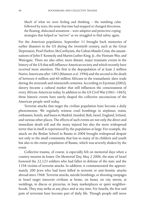Much of what we were feeling and thinking – the numbing calm followed by tears, the sense that time had stopped or changed directions, the floating, dislocated sensations – were adaptive and protective coping strategies that helped us "survive" as we struggled to find safety again.

For the American population, September 11 brought back memories of earlier disasters in the US during the twentieth century, such as the Great Depression, Pearl Harbor, McCarthyism, the Cuban Missile Crisis, the assassinations of John F. Kennedy and Martin Luther King, Jr., the Vietnam War, and Watergate. There are also other, more distant, major traumatic events in the history of the US that still influence American society and which recently have received more attention. The first is the depopulation of at least 2 million Native Americans after 1492 (Manson *et al*. 1996) and the second is the death of between 6 million and 60 million Africans in the transatlantic slave trade during the sixteenth and nineteenth centuries. According to Eyerman (2002), slavery became a cultural marker that still influences the consciousness of every African-American today. In addition to the US Civil War (1861–1865), these historic events have surely shaped the collective unconscious of the American people until today.

Terrorist attacks that target the civilian population have become a daily phenomenon. We regularly witness cruel bombings in airplanes, trains, embassies, hotels, and buses in Madrid, Istanbul, Bali, Israel, England, Ireland, and various other places. The effects of such events are not only the direct and immediate death toll and the many injured but also the more widespread terror that in itself is experienced by the population at large. For example, the attack on the Beslan School in Russia in 2004 brought widespread despair not only to the small community that lost so many of its children and youth but also to the entire population of Russia, which was severely shaken by the event.

Collective trauma, of course, is especially felt on memorial days when a country mourns its losses. On Memorial Day, May 2 2006, the state of Israel honored the 22,123 soldiers who had fallen in defense of the state and the 1358 victims of terrorist attacks. In addition, it commemorated the approximately 200 Jews who had been killed in terrorist or anti-Semitic attacks abroad since 1968. Terrorist attacks, suicide bombings, or shooting rampages in Israel target innocent civilians at home, on buses, on city streets, at weddings, in discos or pizzerias, in busy marketplaces or quiet neighborhoods. They may strike at any place and at any time. For Israelis, the fear and pain of terrorism have become part of daily life. Though people still move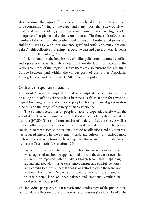about as usual, the impact of the attacks is slowly taking its toll. Israelis seem to be constantly "living on the edge" and many worry that a new bomb will explode at any time. Many jump at every loud noise and there is a high level of interpersonal suspicion and violence on the street. The thousands of bereaved families of the victims – the mothers and fathers and brothers and sisters and children – struggle with their immense grief and suffer constant emotional pain. All this collective mourning has become part and parcel of what it means to be an Israeli (Dasberg *et al*. 1987).

In Latin America, the long history of military dictatorship, armed conflict, and oppression have also left a deep mark on the fabric of society in the various countries of that region. Finally, there are also tensions that remain in Europe between (and within) the various parts of the former Yugoslavia, Turkey, Greece, and the former USSR to mention just a few.

## **Collective responses to trauma**

The word *trauma* was originally used as a surgical concept, indicating a breaking point of body tissue. It later became a useful metaphor for a psychological breaking point in the lives of people who experienced great misfortune outside the range of ordinary human experience.

The common responses of people unable to cope adequately with the stressful events were summarized within the diagnosis of post-traumatic stress disorder (PTSD). This condition consists of anxiety and depression, as well as various other signs of emotional turmoil and mental distress. The person continues to reexperience the trauma (in vivid recollections and nightmares), has reduced interest in the external world, and suffers from various more or less physical symptoms such as hyper-alertness and sleep disturbances (American Psychiatric Association 1994).

Frequently, there is a contradictory effort both to remember and to forget what happened and both to approach and to avoid the traumatic event in a compulsive repeated fashion. Like a broken record that is spinning around and around, intrusive experienced images and painful memories keep coming back while there is a conscious effort to avoid them and not to think about them. Desperate and often futile efforts are attempted to regain some kind of inner balance and emotional equilibrium. (Kellermann 2000, p.24)

The individual perspective on traumatization guides most of the public intervention data collection process after wars and disasters (Erickson 1994). The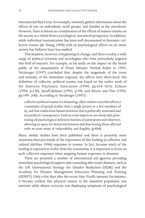International Red Cross, for example, routinely gathers information about the effects of war on individuals, small groups, and families at the microlevel. However, there is almost no consideration of the effects of massive trauma on the society as a whole from a sociological, macrolevel perspective. In addition, while individual traumatization has been well documented in literature, collective trauma (de Young 1998) with its psychological effects on an entire society has hitherto been less studied.

This situation, however, is beginning to change; and there is today a wide range of political scientists and sociologists who have particularly targeted this field of research. For example, in his study on the impact on the Israeli public of the assassination of Prime Minister Yitzhak Rabin in 1995, Verzberger (1997) concluded that, despite the magnitude of the event and intensity of the immediate response, the effects were short-lived. His definition of collective political trauma was based on the earlier work of the American Psychiatric Association (1994, pp.424–425), Erikson (1994, p.230), Janoff-Bulman (1992, p.59), and Moore and Fine (1990, pp.199–200). According to Verzberger (1997):

collective political trauma is a shattering, often violent event that affects a community of people (rather than a single person or a few members of it), and that results from human behavior that is politically motivated and has political consequences. Such an event injures in one sharp stab, penetrating all psychological defensive barriers of participants and observers, allowing no space for denial mechanisms and thus leaving those affected with an acute sense of vulnerability and fragility. (p.864)

Many similar studies have been published and there is presently more awareness than previously of the importance of also looking at collective and cultural (deVries 1996) responses to trauma. In fact, because much of the healing is expected to evolve from the community, it is important to focus on such collective responses when mapping human responses to disasters.

There are presently a number of international aid agencies providing immediate psychological support and counseling after major disasters, such as the UN International Strategy for Disaster Reduction (ISDR) and the Academy for Disaster Management Education Planning and Training (ADEPT). Only a few days after the recent Asia–Pacific tsunami, for instance, it became evident that physical trauma in the unsettled population was minimal while almost everyone was displaying symptoms of psychological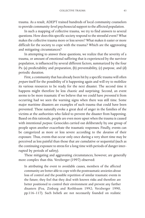trauma. As a result, ADEPT trained hundreds of local community counselors to provide community-level psychosocial support to the affected population.

In such a mapping of collective trauma, we try to find answers to several questions. How does this specific society respond to the stressful event? What makes the collective trauma more or less severe? What makes it easier or more difficult for the society to cope with the trauma? Which are the aggravating and mitigating circumstances?

In attempting to answer these questions, we realize that the severity of a trauma, or amount of emotional suffering that is experienced by the survivor population, is influenced by several different factors, summarized by the four Ps: (a) predictability and preparation, (b) preventability, (c) purpose, and (d) periodic duration.

First, a community that has already been hit by a specific trauma will often *prepare* itself for the possibility of it happening again and will try to mobilize its various resources to be ready for the next disaster. The second time it happens might therefore be less chaotic and surprising. Second, an event seems to be more traumatic if we believe that we could have *prevented* it from occurring had we seen the warning signs when there was still time. Some major maritime disasters are examples of such trauma that could have been prevented. These naturally evoke a great deal of anger in the families of the victims at the authorities who failed to prevent the disaster from happening. Based on this rationale, people are even more upset when the trauma is caused with intentional *purpose*. Genocides carried out deliberately by one group of people upon another exacerbate the traumatic responses. Finally, events can be categorized as more or less severe according to the *duration* of their exposure. Thus, events that occur only once during a very short time may be perceived as less painful than those that are cumulative or sequential (such as the continuing exposure to stress for a long time with periods of danger interrupted by periods of safety).

These mitigating and aggravating circumstances, however, are generally more complex than this. Verzberger (1997) observed:

In attributing the event to avoidable causes, members of the affected community are better able to cope with the posttraumatic anxieties about loss of control and the possible repetition of similar traumatic events in the future; they feel that they deal with known risks and therefore are better positioned to control their environment and prevent any further disasters (Foa, Zinbarg and Rothbaum 1992; Verzberger 1990, pp.116–117). Such beliefs are not necessarily founded on realistic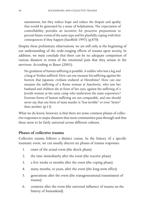assessments, but they induce hope and reduce the despair and apathy that would be generated by a sense of helplessness. The expectation of controllability provides an incentive for proactive preparations to prevent future events of the same type and for planfully coping with their consequences if they happen (Suedfeld 1997). (p.870)

Despite these preliminary observations, we are still only at the beginning of our understanding of the wide-ranging effects of trauma upon society. In addition, we must conclude that there can be no adequate comparison of various disasters in terms of the emotional pain that they arouse in the survivors. According to Bauer (2001):

No gradation of human suffering is possible. A soldier who lost a leg and a lung at Verdun suffered. How can one measure his suffering against the horrors that Japanese civilians endured at Hiroshima? How can one measure the suffering of a Roma woman at Auschwitz, who saw her husband and children die in front of her eyes, against the suffering of a Jewish woman at the same camp who underwent the same experience? Extreme forms of human suffering are not comparable, and one should never say that one form of mass murder is "less terrible" or even "better" than another. (p.13)

What we do know, however, is that there are some common phases of collective responses to major disasters that most communities pass through and that these seem to be fairly universal across different cultures.

## **Phases of collective trauma**

Collective trauma follows a distinct course. In the history of a specific traumatic event, we can usually discern six phases of trauma responses:

- 1. onset of the actual event (the shock phase)
- 2. the time immediately after the event (the reactive phase)
- 3. a few weeks or months after the event (the coping phase)
- 4. many months, or years, after the event (the long-term effect)
- 5. generations after the event (the transgenerational transmission of trauma)
- 6. centuries after the event (the universal influence of trauma on the history of humankind).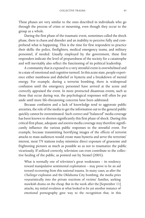These phases are very similar to the ones described in individuals who go through the process of crises or mourning, even though they occur to the group as a whole.

During the first phase of the traumatic event, sometimes called the shock phase, there is chaos and disorder and an inability to perceive fully and comprehend what is happening. This is the time for first responders to practice their skills: the police, firefighters, medical emergency teams, and military personnel, if needed. Usually employed by the government, these first responders indicate the level of preparedness of the society for a catastrophe and will inevitably also reflect the functioning of its political leadership.

A community that is exposed to a very stressful event is overwhelmed and in a state of emotional and cognitive turmoil. In this acute state, people experience either numbness and disbelief or hysteria and a breakdown of mental energy. For example, during a terrorist bombing, there is widespread confusion until the emergency personnel have arrived at the scene and correctly appraised the event. In more protracted disastrous events, such as those that occur during war, the psychological responses will often be put aside until more life-threatening concerns have been addressed.

Because confusion and a lack of knowledge tend to aggravate public anxieties, the role of the media to get the information out to the general public quickly cannot be overestimated. Such correct and "balanced" media coverage has been known to shorten significantly this first phase of shock. During this critical first phase, adequate *and sensitive* media coverage may therefore significantly influence the various public responses to the stressful event. For example, because transmitting horrifying images of the effects of terrorist attacks to mass audiences would create mass hysteria and serve the terrorists' interest, most TV stations today minimize direct exposure of gruesome and frightening pictures as much as possible so as not to traumatize the public vicariously. If utilized correctly, television can even contribute to the collective healing of the public, as pointed out by Stossel (2001):

What is normally one of television's great weaknesses – its tendency toward manipulative sentimental exploitation – may prove to be an aid toward recovering from this national trauma. In many cases, as after the *Challenger* explosion and the Oklahoma City bombing, the media pries voyeuristically into the private reactions of victims' families, seeking mawkish drama on the cheap. But in the week after the [September 11] attacks, my initial revulsion at what looked to be yet another instance of emotional pornography gave way to the recognition that, in this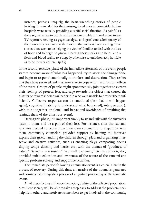instance, perhaps uniquely, the heart-wrenching stories of people looking (in vain, alas) for their missing loved ones in Lower-Manhattan hospitals were actually providing a useful social function. As painful as these segments are to watch, and as uncomfortable as it makes me to see TV reporters serving as psychoanalysts and grief counselors (many of them sincerely overcome with emotion themselves), broadcasting these stories does seem to be helping the victims' families to deal with the loss of hope and to begin to grieve. Hearing these stories also helps lend a flesh-and-blood reality to a tragedy otherwise so unfathomably horrible as to be merely abstract. (p.35)

In the second, reactive, phase of the immediate aftermath of the event, people start to become aware of what has happened, try to assess the damage done, and begin to respond emotionally to the loss and destruction. They realize that they have survived and must now start to cope with the disastrous effects of the event. Groups of people might spontaneously join together to express their feelings of protest, fear, and rage towards the object that caused the disaster or towards their own leadership who were unable to protect them sufficiently. Collective responses can be emotional (fear that it will happen again), cognitive (inability to understand what happened), interpersonal (a wish to be together or alone), and behavioral (avoidance of anything that reminds them of the disastrous event).

During this phase, it is important simply to sit and talk with the survivors, listen to them, and be a part of their loss. For instance, after the tsunami, survivors needed someone from their own community to empathize with them; community counselors provided support by helping the bereaved express their grief, handling the children through play, and organizing interactive and creative activities, such as enacting plays, composing poems, singing songs, dancing and music, etc., with the themes of "goodness of nature," "tsunami is transient," "we shall overcome," etc. In addition, they provided public education and awareness of the nature of the tsunami and specific problem-solving and supportive activities.

The immediate period following a traumatic event is a crucial time in the process of recovery. During this time, a narrative of the trauma is generated and constructed alongside a process of cognitive processing of the traumatic events.

All of these factors influence the coping ability of the affected population. A resilient society will be able to take a step back to address the problem, seek help from others, and motivate its members to get involved in the community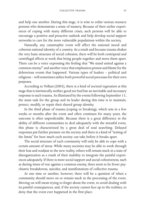and help one another. During this stage, it is wise to enlist various resource persons who demonstrate a sense of mastery. Because of their earlier experiences of coping with many different crises, such persons will be able to encourage a positive and proactive outlook and help develop social support networks to care for the more vulnerable populations within the society.

Naturally, any catastrophic event will affect the national mood and coherent national identity of a country. As a result and because trauma shakes the very basic structure of social cohesion, there will be both centripetal and centrifugal effects at work that bring people together and move them apart. There can be a voice expressing the feeling that "We stand united against a common enemy!" and another voice that emphasizes protest and blame for the deleterious events that happened. Various types of leaders – political and religious – will sometimes utilize both powerful social processes for their own purposes.

According to Volkan (2001), there is a kind of societal regression at this stage that is intrinsically neither good nor bad but an inevitable and necessary response to such trauma. As illustrated by the events following September 11, the main task for the group and its leader during this time is to maintain, protect, modify, or repair their shared group identity.

In the third phase of trauma (coping or breaking), which sets in a few weeks or months after the event and often continues for many years, the outcome is often unpredictable. Because there is a great difference in the ability of different communities to deal adequately with the stressful event, this phase is characterized by a great deal of soul searching. Delayed responses put further pressure on the society and there is a kind of "testing of the limits" for how much each society can take before it breaks apart.

The social structure of each community will only be able to cope with a certain amount of stress. While many societies may be able to work through their loss and readjust to the new reality, others will remain stuck in a state of disorganization as a result of their inability to integrate the painful experiences adequately. If there is more social support and social cohesiveness, such as during times of war against a common enemy, there seem to be fewer psychiatric breakdowns, suicides, and manifestations of collective trauma.

At one time or another, however, there will be a question of when a community should move on or remain stuck in the processing of the event. Moving on will mean trying to forget about the event, to avoid dealing with its painful consequences, and, if the society cannot face up to the realities, to deny that the event ever happened in the first place.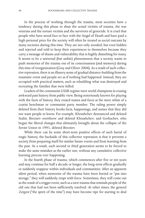In the process of working through the trauma, most societies have a tendency during this phase to shun the actual victims of trauma, the war veterans and the torture victims and the survivors of genocide. It is cruel that people who have stood face to face with the Angel of Death and have paid a high personal price for the society will often be treated as social outcasts by many societies during this time. They are not only avoided, but even hidden and rejected and told to keep their experiences to themselves because they carry a message of shame and vulnerability that is highly disturbing for many. It seems to be a universal (but unfair) phenomenon that a society wants to push memories of the trauma out of its consciousness (and memory) during this time of reorganization (Gray and Oliver 2004). As a result of such collective repression, there is an illusory sense of gradual distance-building from the traumatic event and people act as if nothing had happened. Instead, they are occupied with practical matters, such as rebuilding what was destroyed and recreating the families that were killed.

Leaders of the communist USSR regime were world champions in erasing awkward past history from public view. Being notoriously known for playing with the facts of history, they erased names and faces at the mere whim of a czarist henchman or communist party member. The ruling power simply deleted from their history books facts, happenings, and names that they did not want people to know. For example, Khrushchev denounced and deleted Stalin; Breznev overthrew and deleted Khrushchev; and Gorbachev, who began the liberal changes that ultimately brought about the collapse of the Soviet Union in 1991, deleted Breznev.

While there can be some short-term positive effects of such burial of tragic history, the backside of this collective repression is that it prevents a society from preparing itself for similar future events and from learning from the past. As a result, each second or third generation seems to be forced to make the same mistakes as the earlier one, without any cumulative collective learning process ever happening.

In the fourth phase of trauma, which commences after five or ten years and may continue for half a decade or longer, the long-term effects gradually or suddenly reappear within individuals and communities. After an apparent silent period, when memories of the trauma have been buried or "put into storage," they will suddenly erupt with force. Sometimes, they will come out as the result of a trigger event, such as a new trauma that reminds people of the old one that had not been sufficiently resolved. At other times, the general *Zeitgeist* ("the spirit of the time") may have become ripe for starting to deal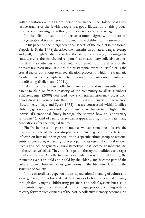with the historic event in a more unemotional manner. The Holocaust as a collective trauma of the Jewish people is a good illustration of this gradual process of uncovering, even though it happened over 60 years ago.

In the fifth phase of collective trauma, signs will appear of transgenerational transmission of trauma to the children of the survivors.

In his paper on the intergenerational aspects of the conflict in the former Yugoslavia, Klain (1998) described the transmission of hate and rage, revenge and guilt, through "mediators" such as the family, the superego, folk songs, literature, myths, the church, and religion. In such secondary collective trauma, the effects are obviously fundamentally different from the effects of the primary traumatization. It is not the catastrophic event in itself that is the crucial factor but a long-term socialization process in which the traumatic "content" has become implanted into the conscious and unconscious minds of the offspring (Kellermann 2001b).

Like infectious disease, collective trauma can be thus transmitted from parent to child or from a majority of the community to all its members. Schützenberger (2000) described how such transmission may occur from generation to generation through the various "invisible loyalties" (Boszormenyi-Nagy and Spark 1973) that are constructed within families. Utilizing genosociograms and psychodramatic enactments to put light on the individual's emotional family heritage, she showed how an "anniversary syndrome" (a kind of family curse) can reappear at a significant date many generations after the original trauma.

Finally, in the sixth phase of trauma, we can sometimes observe the universal effects of the catastrophic event. Such generalized effects are inflicted on humankind in general or on a specific ethnic group or national entity in particular, remaining forever a part of its essential cultural marker. Such signs include general cultural stereotypes that become an inherent part of the collective beliefs. They are also a part of the myths, traditions, and sagas of all civilization. As collective memory finds its way into oral history, the traumatic events are told and retold by the elderly and become part of the culture, carried forward across generations in the literature, law, and the structure of society.

In an extraordinary paper on the transgenerational memory of culture and society, Perry (1999) observed that the memory of a trauma is carried not only through family myths, childrearing practices, and belief systems but also in the neurobiology of the individual. It is the unique property of living systems to carry forward such elements of the past. A collective memory becomes in a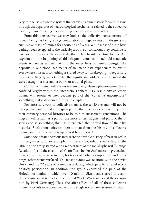very true sense a dynamic system that carries its own history forward in time through the apparatus of neurobiological mechanisms related to the collective memory passed from generation to generation over the centuries.

From this perspective, we may look at the collective consciousness of human beings as being a large compilation of tragic events and disasters – a cumulative mass of trauma for thousands of years. While most of these have perhaps been relegated to the dark abyss of the unconscious, they continue to have some impact and they also make themselves heard from time to time. As I explained in the beginning of this chapter, remnants of such old traumatic events remain as sediment within the inner lives of human beings. Like deposits in our blood, sediments of traumatic past experiences follow us everywhere. It is as if something is stored away for safekeeping – a repository of ancient tragedy – not unlike the significant artifacts and memorabilia stored away in a museum, a book, or a burial place.

Collective trauma will always remain a very elusive phenomenon that is confined largely within the unconscious sphere. As a result, any collective trauma will sooner or later become part of the "collective unconscious," something that is discussed further in chapter 3.

For most survivors of collective trauma, the terrible events will not be incorporated and stored as a regular part of their memories or remain a part of their ordinary personal histories to be told to subsequent generations. The tragedy will remain as a part of the more or less fragmented parts of themselves and as something that has interrupted the normal flow of their life histories. Sociodrama tries to liberate them from the history of collective trauma and from the hidden agendas it has imposed.

Some sociodrama sessions may recreate a whole history of past tragedies in a single session. For example, in a recent sociodrama workshop in the Ukraine, the group started with a reenactment of the social upheaval ("Orange Revolution") and the election of Victor Yushchenko. As the session proceeded, however, and we were searching for traces of earlier sociopolitical underpinnings, other events surfaced. The most obvious was relations with the Soviet Union and the 72 years of communism during which people suffered severe political persecution. In addition, the group expressed the pain of the Holodomor famine in which over 10 million Ukrainians starved to death. (This famine occurred before the Second World War trauma and the occupation by Nazi Germany.) Thus, the after-effects of all of these collective traumatic events were actualized within a single sociodrama session in 2005.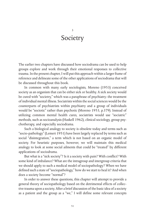# Societry

3

The earlier two chapters have discussed how sociodrama can be used to help groups explore and work through their emotional responses to collective trauma. In the present chapter, I will put this approach within a larger frame of reference and delineate some of the other applications of sociodrama that will be discussed throughout this book.

In common with many early sociologists, Moreno (1953) conceived society as an organism that can be either sick or healthy. A sick society would be cured with "societry," which was a paraphrase of psychiatry: the treatment of individual mental illness. Sociatrists within the social sciences would be the counterparts of psychiatrists within psychiatry and a group of individuals would be "sociotic" rather than psychotic (Moreno 1953, p.379). Instead of utilizing common mental health cures, sociatrists would use "sociatric" methods, such as socioanalysis (Haskell 1962), clinical sociology, group psychotherapy, and especially sociodrama.

Such a biological analogy to society is obsolete today and terms such as "socio-pathology" (Lemert 1951) have been largely replaced by terms such as social "disintegration," a term which is not based on an organic model of society. For heuristic purposes, however, we will maintain this medical analogy to look at some social ailments that could be "treated" by different applications of sociodrama.

But what is a "sick society"? Is it a society with pain? With conflict? With some kind of imbalance? What are the intragroup and intergroup criteria that we should apply to such a medical model of sociopathology? When we have defined such a state of "sociopathology," how do we start to heal it? And when does a society become "normal"?

In order to answer these questions, this chapter will attempt to provide a general theory of sociopathology based on the detrimental effects of collective trauma upon a society. After a brief discussion of the basic idea of a society as a patient and the group as a "we," I will define some relevant concepts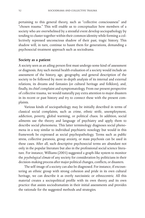pertaining to this general theory, such as "collective consciousness" and "chosen trauma." This will enable us to conceptualize how members of a society who are overwhelmed by a stressful event develop sociopathology by tending to cluster together within their common identity while forming a collectively repressed unconscious shadow of their past, tragic history. This shadow will, in turn, continue to haunt them for generations, demanding a psychosocial treatment approach such as sociodrama.

## **Society as a patient**

A society seen as an ailing person first must undergo some kind of assessment or diagnosis. Any such mental health evaluation of a society would include an assessment of the history, age, geography, and general description of the society to be followed by more in-depth analysis of its internal and external relations, its dreams and fantasies (or cultural heritage and folklore), and, finally, its chief complaint and symptomatology. From our present perspective of collective trauma, we would naturally pay extra attention to major disasters in its recent or past history and try to connect these with the present complaints.

Various kinds of sociopathology may be initially described in terms of classical social complaints, such as crime, ethnic strife, unemployment, addiction, poverty, global warming, or political chaos. In addition, social ailments use the theory and language of psychiatry and apply them to describe social phenomena. This latter terminology diagnoses social phenomena in a way similar to individual psychiatric nosology but would in this framework be expressed as social psychopathology. Terms such as public stress, collective paranoia, group anxiety, or mass psychosis can be used in these cases. After all, such descriptive psychosocial terms are abundant not only in the popular literature but also in the professional social science literature. For instance, Williams (2001) suggested a graph-like system to monitor the *psychological climate* of any society for consideration by politicians in their decision-making process after major political changes, conflicts, or disasters.

The self-image of a society can also be diagnosed. For instance, if encountering an ethnic group with strong cohesion and pride in its own cultural heritage, we can describe it as overly narcissistic or ethnocentric. All this material creates a sociopolitical profile with its own theory and its own practice that assists sociodramatists in their initial assessments and provides the rationale for the suggested methods and strategies.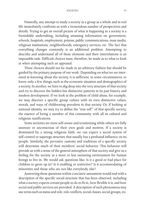SOCIETRY 53

Naturally, any attempt to study a society as a group as a whole and in real life immediately confronts us with a tremendous number of perspectives and details. Trying to get an overall picture of what is happening in a society is a formidable undertaking, including amassing information on government, schools, hospitals, employment, prisons, public communications, mass media, religious institutions, neighborhoods, emergency services, etc. The fact that everything changes constantly is an additional problem. Attempting to describe and understand all of these elements and their interrelations is an impossible task. Difficult choices must, therefore, be made as to what to look at when attempting such an appraisal.

These choices should not be made in an arbitrary fashion but should be guided by the primary purpose of our work. Depending on what we are interested in knowing about the society, it is sufficient, in some circumstances, to know only a few things, such as the economic situation and demographics of a society. In another, we have to dig deep into the very structure of that society and try to discover the hidden but distinctive patterns in its past history and modern development. If we look at the problem of child abuse, for example, we may discover a specific group culture with its own distinctive values, morals, and ways of childrearing prevalent in that society. Or, if looking at national identity, we may try to define the "true self " of that specific society, the essence of being a member of this community with all its cultural and religious ramifications.

Some societies are more self-aware and scrutinizing while others are fully unaware or unconscious of their own goals and motives. If a society is dominated by a strong religious faith, we can expect a social system of self-control or superego structure that usually has a profound influence on its people. Similarly, the pervasive customs and traditions of a specific society will determine much of their members' social behavior. This behavior will provide us with a sense of the general atmosphere of that society and give us a feeling for the society as a more or less nurturing environment for human beings to live in. We would ask questions like: Is it a good or bad place for children to grow up in? Is it enabling or restrictive? Is it accommodating of minorities and those who are not like everybody else?

Answering these questions within a sociatric assessment would end with a description of the specific social structure that has been observed, including what a society expects certain people to do to fit in, how flexible it is, and how social and public services are provided. A description of such phenomena may use terms such as status and role, role conflicts, social classes, social groups, etc.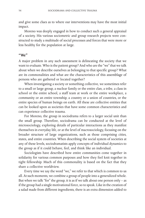and give some clues as to where our interventions may have the most initial impact.

Moreno was deeply engaged in how to conduct such a general appraisal of a society. His various sociometric and group research projects were constructed to study a multitude of social processes and forces that were more or less healthy for the population at large.

## **"We"**

A major problem in any such assessment is delineating the society that we want to evaluate. Who is the patient group? And who are the "we" that we talk about when we describe ourselves as belonging to that specific group? What are its commonalities and what are the characteristics of this assemblage of persons who are gathered or located together?

When investigating a society or something collective, we sometimes refer to a small or large group, a nuclear family or the entire clan, a tribe, a class in school or the entire school, a staff team at work or the entire workplace, a community or an entire township, a country or a union of countries, or the entire species of human beings on earth. All these are collective entities that can be looked upon as societies that have some common characteristics and can experience collective trauma.

For Moreno, the group in sociodrama refers to a larger social unit than the small group. Therefore, sociodrama can be conducted at the level of microsociology, exploring details of particular interactions as they manifest themselves in everyday life, or at the level of macrosociology, focusing on the broader structure of large organizations, such as those comprising cities, states, and entire countries. When describing the social system of societies at any of these levels, sociodramatists apply concepts of individual dynamics to the group as if it could behave, feel, and think like an individual.

Sociologists have described how entire communities come together in solidarity for various common purposes and how they feel knit together in tight fellowship. Much of this commonality is based on the fact that they share a collective worldview.

Every time we say the word "we," we refer to that which is common to us all. At such moments, we combine a group of people into a generalized whole. But when we talk "for" the group, it is as if we talk about one person only  $-$  as if the group had a single motivational force, so to speak. Like in the creation of a salad made from different ingredients, there is an extra dimension added to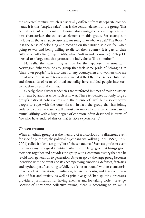SOCIETRY 55

the collected mixture, which is essentially different from its separate components. It is this "surplus value" that is the central element of the group. This central element is the common denominator among the people in general and best characterizes the collective elements in this group. For example, it includes all that is characteristic and meaningful in what we call "The British." It is the sense of belonging and recognition that British soldiers feel when going to war and being willing to die for their country. It is part of their cultural or collective group identity, which Volkan and Itzkowitz (1994, p.11) likened to a large tent that protects the individuals "like a mother."

Naturally, the same thing is true for the Japanese, the Americans, Norwegian fishermen, or any group that feels some pride of belonging to "their own people." It is also true for any countrymen and women who are proud when "their own" team wins a medal at the Olympic Games. Hundreds and thousands of years of tribal mentality have molded people into such well-defined cultural entities.

Clearly, these cluster tendencies are reinforced in times of major disasters or threats by another tribe, such as in war. These tendencies not only forge a group's national cohesiveness and their sense of "we" but also empower people to cope with the outer threat. In fact, the group that has jointly endured a collective trauma will almost automatically form a common base of mutual affinity with a high degree of cohesion, often described in terms of "we who have endured this or that terrible experience…"

## **Chosen trauma**

When an ethnic group uses the memory of a victorious or a disastrous event for specific purposes, the political psychoanalyst Volkan (1991, 1992, 1997, 2004) called it a "chosen glory" or a "chosen trauma." Such a significant event becomes a mythological identity marker for the large group; it brings group members together and provides the group with a common history that can be retold from generation to generation. As years go by, the large group becomes identified with the event and its accompanying emotions, defenses, fantasies, and mythologies. According to Volkan, a "chosen trauma" with its characteristic sense of victimization, humiliation, failure to mourn, and massive repression of fear and anxiety, as well as primitive good/bad splitting processes, provides a justification for having enemies and for taking violent revenge. Because of unresolved collective trauma, there is, according to Volkan, a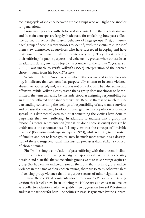recurring cycle of violence between ethnic groups who will fight one another for generations.

From my experience with Holocaust survivors, I find that such an analysis and its main concepts are largely inadequate for explaining how past collective trauma influences the present behavior of large groups. First, a traumatized group of people rarely chooses to identify with the victim role. Most of them view themselves as survivors who have succeeded in coping and have maintained their human qualities despite everything. They detest utilizing their suffering for public purposes and vehemently protest when others do so. In addition, during my study trip to the countries of the former Yugoslavia in 2006, I was unable to verify Volkan's (1997) interpretation of the Serbian chosen trauma from his book *Bloodlines*.

Second, the term *chosen trauma* is inherently obscure and rather misleading. It indicates that someone has purposefully chosen to become violated, abused, or oppressed; and, as such, it is not only doubtful but also unfair and offensive. While Volkan clearly stated that a group does not choose to be victimized, the term can easily be misunderstood as assigning responsibility for an injustice inflicted upon innocent victims. Because there is so much misunderstanding concerning the feelings of responsibility of any trauma survivor and because the tendency to adopt survival guilt in this population is so widespread, it is detrimental even to hint at something the victims have done to perpetuate their own suffering. In addition, to indicate that a group has "chosen" a mental representation (even if it is done unconsciously) seems to be unfair under the circumstances. It is my view that the concept of "invisible loyalties" (Boszormenyi-Nagy and Spark 1973), while referring to the system of families and not to large groups, may be much more suitable as a description of these transgenerational transmission processes than Volkan's concept of chosen trauma.

Finally, the simple correlation of past suffering with the present inclination for violence and revenge is largely hypothetical. While it is certainly possible and plausible that some ethnic groups want to take revenge against a group that had earlier inflicted harm on them and that this first group inflicts violence in the name of their chosen trauma, there are so many other variables influencing group violence that this purpose seems of minor significance.

I make these critical comments also in response to Volkan's (2004) suggestion that Israelis have been utilizing the Holocaust as a chosen trauma, or as a collective identity marker, to justify their aggression toward Palestinians and that the support for hard-line politics in Israel is generated by the suppres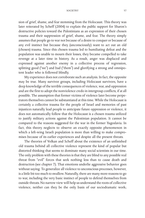SOCIETRY 57

sion of grief, shame, and fear stemming from the Holocaust. This theory was later reiterated by Scheff (2004) to explain the public support for Sharon's destructive policies toward the Palestinians as an expression of their chosen trauma and their suppression of grief, shame, and fear. The theory simply assumes that people go to war not because of a desire to conquer or because of any evil instinct but because they (unconsciously) want to act out an old (chosen) trauma. Since this chosen trauma led to humiliating defeat and the population was unable to mourn their losses, they became compelled to take revenge at a later time in history. As a result, anger was displaced and expressed against another enemy in a collective process of regression, splitting good ("we") and bad ("them") and glorifying a strong and omnipotent leader who is followed blindly.

My experience does not corroborate such an analysis. In fact, the opposite may be true. Many survivor groups, including Holocaust survivors, have a deep knowledge of the terrible consequences of violence, war, and oppression and are the first to adopt the nonviolence credo in intergroup conflicts, if at all possible. The assumption that former victims of violence later become perpetrators themselves cannot be substantiated at this time. While the Holocaust is certainly a collective trauma for the people of Israel and memories of past injustices naturally lead people to anticipate future oppression or violence, it does not automatically follow that the Holocaust is a chosen trauma utilized to justify military actions against the Palestinian population. It cannot be compared to the reasons suggested for the war in the former Yugoslavia. In fact, this theory neglects to observe an exactly opposite phenomenon in which a left-wing Israeli population is more than willing to make compromises because of its earlier experiences and despite all the present threats.

The theories of Volkan and Scheff about the existence of an unfinished old trauma behind all collective violence represent the kind of popular but distorted thinking that seems to dominate many social scientists in our time. The only problem with these theories is that they are blind to any possible real threat from "evil" forces that seek nothing less than to cause death and destruction (see chapter 7). That emotions underlie aggressive behavior goes without saying. To generalize all violence to unconscious processes, however, is a little bit too much to swallow. Naturally, there are many more reasons to go to war, including the very basic instinct of people to defend themselves from outside threats. No narrow view will help us understand the roots of collective violence, neither can they be the only basis of our sociodramatic work;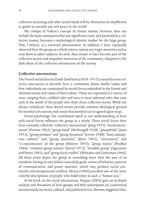collective mourning and other social rituals will by themselves be insufficient to guide us towards any real peace in the world.

My critique of Volkan's concept of chosen trauma, however, does not include the basic assumption that any significant event, and particularly a collective trauma, becomes a mythological identity marker for the large group. This, I believe, is a universal phenomenon. In addition, I have repeatedly observed how the group as a whole tries to repress any tragic memories and to treat them as taboo subjects. As such, they sooner or later become part of the collective secrets and unspoken memories of the community, relegated to the dark abyss of the collective unconscious of the society.

## **Collective unconscious**

The French social theorist Émile Durkheim (1858–1917) coined the term *collective consciousness* to describe how a community shares similar values and how individuals are constrained by social forces embodied in the formal and informal norms and values of their culture. These are expressed in a variety of ways, ranging from codified rules and laws to more informal rules that exist only in the minds of the people who share those collective norms. While not always verbalized, these shared norms provide common ideological ground for members of a society and ensure that members act in agreed-upon ways.

Social psychology has contributed much to our understanding of how such social forces influence the group as a whole. These social forces have been variously called the "collective unconscious" (Jung 1953), "social unconscious" (Fromm 1962), "group mind" (McDougall 1920), "groupthink" (Janis 1972), "group pressure" and "group dynamics" (Lewin 1948), "basic assumption cultures" and "group mentality" (Bion 1961), "sociometry" and "co-unconscious" of the group (Moreno 1953), "group matrix" (Foulkes 1964), "common group tension" (Ezriel 1973), "invisible group" (Agazarian and Peters 1981), and "group focal conflict" (Whitaker and Lieberman 1964). All these terms depict the group as something more than the sum of its members, having its own (often concealed) goals, norms of behavior, patterns of communication, and power structure, which may produce social constraints and interpersonal conflicts. Morris (1969) provided one of the more colorful descriptions of people who build tribes in such a "human zoo."

In his book on the social unconscious, Hopper (2002) gave an in-depth analysis and discussion of how groups and their participants are constrained unconsciously by social, cultural, and political forces. Moreno suggested that,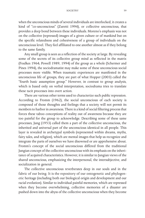SOCIETRY 59

when the unconscious minds of several individuals are interlocked, it creates a kind of "co-unconscious" (Zuretti 1994), or collective unconscious, that provides a deep bond between these individuals. Moreno's emphasis was not on the collective (repressed) images of a given culture or of mankind but on the specific relatedness and cohesiveness of a group of individuals on the unconscious level. They feel affiliated to one another almost as if they belong to the same family.

Any small group is seen as a reflection of the society at large. By revealing some of the secrets of its collective group mind as reflected in the matrix (Foulkes 1964; Powell 1989, 1994) of the group as a whole (Schermer and Pines 1994), the sociodramatist may make some of these unconscious social processes more visible. When traumatic experiences are manifested in the unconscious life of groups, they are part of what Hopper (2003) called the "fourth basic assumption group." However, in contrast to group analysis, which is based only on verbal interpretation, sociodrama tries to translate these tacit processes into overt action.

There are various other terms used to characterize such public repression. According to Fromm (1962), the social unconscious of each society is composed of those thoughts and feelings that a society will not permit its members to harbor in awareness. There is a kind of social filtering process that forces these taboo conceptions of reality out of awareness because they are too painful for the group to acknowledge. Describing some of these same processes, Jung (1953) called them a part of the collective unconscious, the inherited and universal part of the unconscious identical in all people. This layer is revealed in archetypal symbols (represented within dreams, myths, fairy tales, and religion), which are mental images that help us recognize and integrate the parts of ourselves we have disowned or are apprehensive about. Fromm's concept of the social unconscious differed from the traditional Jungian concept of the collective unconscious with its emphasis on the inheritance of acquired characteristics. However, it is similar to Jungian views of the shared unconscious, emphasizing the interpersonal, the intersubjective, and socialization in general.

The collective unconscious reverberates deep in our souls and in the fabric of our being. It is the repository of our ontogenetic and phylogenetic heritage (including both our biological origin and development and our racial evolution). Similar to individual painful memories, which are repressed when they become overwhelming, collective memories of a disaster are pushed down into the abyss of the collective unconscious when they become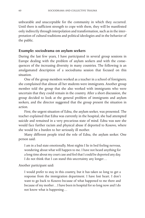unbearable and unacceptable for the community in which they occurred. Until there is sufficient strength to cope with them, they will be manifested only indirectly through interpolation and transformation, such as in the interpretation of cultural traditions and political ideologies and in the behavior of the public.

## **Example: sociodrama on asylum seekers**

During the last few years, I have participated in several group sessions in Europe dealing with the problem of asylum seekers and with the consequences of the increasing diversity in many countries. The following is an amalgamated description of a sociodrama session that focused on this situation.

One of the group members worked as a teacher in a school of foreigners; she complained that almost all her students were immigrants. Another group member told the group that she also worked with immigrants who were uncertain that they could remain in the country. After a short discussion, the group decided to look at the general problem of immigrants and asylum seekers, and the director suggested that the group present the situation in action.

First, the urgent situation of Edna, the asylum seeker, was presented. The teacher explained that Edna was currently in the hospital; she had attempted suicide and remained in a very precarious state of mind. Edna was sure she would face further racism and physical abuse if deported to Kosovo, where she would be a burden to her seriously ill mother.

Many different people tried the role of Edna, the asylum seeker. One person said:

I am in a bad state emotionally. Most nights I lie in bed feeling nervous, wondering about what will happen to me. I have not heard anything for a long time about my court case and feel that I could be deported any day. I do not think that I can stand this uncertainty any longer…

## Another participant said:

I would prefer to stay in this country, but it has taken so long to get a response from the immigration department. I have lost heart. I don't want to go back to Kosovo because of what happened to me there and because of my mother…I have been in hospital for so long now and I do not know what is happening…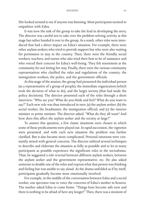## SOCIETRY 61

She looked around to see if anyone was listening. Most participants seemed to empathize with Edna.

It was now the task of the group to take the lead in developing the story. The director was careful not to take over the problem-solving activity at this stage but rather handed it over to the group. As a result, other roles were introduced that had a direct impact on Edna's situation. For example, there were other asylum seekers who tried to provide support but who were also waiting for permission to stay in the country. Then, there were the friendly social workers, teachers, and nurses who also tried their best to be of assistance and who voiced their concern for Edna's well-being. They felt resentment at the community for not letting her stay. Finally, there were the various community representatives who clarified the rules and regulations of the country: the immigration workers, the police, and the government officials.

At this stage of the session, the group had presented the individual person (as a representative of a group of people), the immediate organization (which took the decision of what to do), and the larger society (that had made the policy decisions). The director presented each of the roles through a short interview: "Who are you? What do you think and feel? What do you want to say?" Each new role was thus introduced in turn: (a) the asylum seeker; (b) the social worker, the headmaster, the immigration official; and (c) the interior minister or prime minister. The director asked, "What do they all want? And how does this affect the asylum seeker and the society at large?"

To answer this question, a few classic situations were chosen in which some of these predicaments were played out. In rapid succession, the vignettes were presented, and with each new situation the problem was further clarified. But it also became more complicated. Personal emotions were constantly mixed with general concerns. The director utilized several techniques to describe and elaborate the situation as fully as possible and to let as many participants as possible experience the significant roles in the sociodrama. Thus, he suggested a role reversal between different asylum seekers, between the asylum seeker and the government representative, etc. He also asked someone to double one of the roles and express what that person was thinking and feeling but was unable to say aloud. As the drama unfolded as if by itself, participants gradually became more emotionally involved.

For example, in the middle of the conversation between Edna and a social worker, one spectator rose to voice the concerns of Edna's mother in Kosovo. The mother asked Edna to come home: "Things have become safe now and there is nothing to be afraid of here any longer!" Then, there was a moment of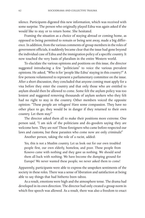silence. Participants digested this new information, which was received with some surprise. The person who originally played Edna was again asked if she would like to stay or to return home. She hesitated.

Framing the situation as a choice of staying abroad or coming home, as opposed to being permitted to remain or being sent away, made a big difference. In addition, from the various comments of group members in the roles of government officials, it suddenly became clear that the issue had gone beyond the individual case of Edna and the immigration policy of a specific country. It now touched the very basis of pluralism in the entire Western world.

To elucidate the various opinions and positions on this issue, the director suggested introducing a few "politicians" to voice the various prevalent opinions. He asked, "Who is for 'people like Edna' staying in this country?" A few persons volunteered to represent a parliamentary committee on the issue. After a short discussion, they concluded that anyone coming must apply for a visa before they enter the country and that only those who are entitled to asylum should then be allowed to come. Some felt the asylum policy was too lenient and suggested removing thousands of asylum seekers who they felt had no right to stay in the country. Other members voiced the opposite opinion: "These people are refugees! Have some compassion. They have no other place to go; they would be in danger if they returned to their own country. Let them stay!"

The director asked them all to make their positions more extreme. One person said, "I am sick of the politicians and do-gooders saying they are welcome here. They are not! Those foreigners who came before respected our laws and customs, but these parasites who come now are only criminals!"

Another person, taking the role of a racist, added:

Yes, this is not a Muslim country. Let us look out for our own troubled people first, our own elderly, homeless, and poor. These people from Kosovo came with nothing and they gave us nothing. We should send them all back with nothing. We have become the dumping ground for Europe! We never wanted these people; we never asked them to come!

Apparently, participants were able to express the unspoken sentiments of the society in these roles. There was a sense of liberation and satisfaction at being able to say things that had hitherto been taboo.

As a result, emotions were high and the atmosphere tense. The drama had developed in its own direction. The director had only created a group norm in which free speech was allowed. As a result, there was also a freedom to enact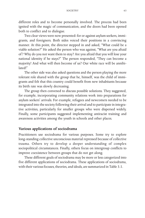SOCIETRY 63

different roles and to become personally involved. The process had been ignited with the magic of communication, and the doors had been opened both to conflict and to dialogue.

Two clear views were now presented: for or against asylum seekers, immigrants, and foreigners. Both sides voiced their positions in a convincing manner. At this point, the director stepped in and asked, "What could be a viable solution?" He asked the person who was against, "What are you afraid of? Why do you not want them to stay? Are you afraid that you will lose your national identity if he stays?" The person responded, "They can become a majority! And what will then become of us? Our white race will be annihilated!"

The other side was also asked questions and the person playing the more tolerant role shared with the group that he, himself, was the child of immigrants and felt that this country could benefit from new inhabitants because its birth rate was slowly decreasing.

The group then convened to discuss possible solutions. They suggested, for example, incorporating community relations work into preparations for asylum seekers' arrivals. For example, refugees and newcomers needed to be integrated into the society following their arrival and to participate in integrative activities, particularly for smaller groups who were dispersed widely. Finally, some participants suggested implementing antiracist training and awareness activities among the youth in schools and other places.

## **Various applications of sociodrama**

Practitioners use sociodrama for various purposes. Some try to explore long-standing collective unconscious material repressed because of collective trauma. Others try to develop a deeper understanding of complex sociopolitical circumstances. Finally, others focus on intergroup conflicts to improve coexistence between groups that do not get along.

These different goals of sociodrama may be more or less categorized into five different applications of sociodrama. These applications of sociodrama, with their various focuses, theories, and ideals, are summarized in Table 3.1.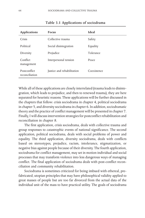| Applications                   | <b>Focus</b>               | Ideal       |
|--------------------------------|----------------------------|-------------|
| Crisis                         | Collective trauma          | Safety      |
| Political                      | Social disintegration      | Equality    |
| Diversity                      | Prejudice                  | Tolerance   |
| Conflict<br>management         | Interpersonal tension      | Peace       |
| Postconflict<br>reconciliation | Justice and rehabilitation | Coexistence |

**Table 3.1 Applications of sociodrama**

While all of these applications are closely interrelated (trauma leads to disintegration, which leads to prejudice, and then to renewed trauma), they are here separated for heuristic reasons. These applications will be further discussed in the chapters that follow: crisis sociodrama in chapter 4, political sociodrama in chapter 5, and diversity sociodrama in chapter 6. In addition, sociodramatic theory and the practice of conflict management will be presented in chapter 7. Finally, I will discuss intervention strategies for postconflict rehabilitation and reconciliation in chapter 8.

The first application, crisis sociodrama, deals with collective trauma and group responses to catastrophic events of national significance. The second application, political sociodrama, deals with social problems of power and equality. The third application, diversity sociodrama, deals with conflicts based on stereotypes, prejudice, racism, intolerance, stigmatization, or negative bias against people because of their diversity. The fourth application, sociodrama for conflict management, may set in motion individual and social processes that may transform violence into less dangerous ways of managing conflict. The final application of sociodrama deals with post-conflict reconciliation and community rehabilitation.

Sociodrama is sometimes criticized for being imbued with ethereal, prefabricated, utopian principles that may have philosophical validity applied to great masses of people but are too far divorced from the actual data of the individual unit of the mass to have practical utility. The goals of sociodrama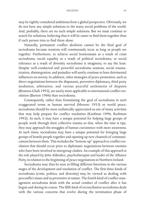## SOCIETRY 65

may be rightly considered ambitious from a global perspective. Obviously, we do not have any simple solutions to the many social problems of the world. And, probably, there are no such simple solutions. But we must continue to search for solutions, believing that it will be easier to find them together than if each person tries to find them alone.

Naturally, permanent conflict abolition cannot be the final goal of sociodrama because tensions will continuously recur as long as people are together. Furthermore, to achieve social homeostasis as a result of crisis sociodrama, social equality as a result of political sociodrama, or social tolerance as a result of diversity sociodrama is imaginary, to say the least. Despite well-conducted and powerful sociodrama sessions, social traumatization, disintegration, and prejudice will surely continue to have detrimental influences on society. In addition, other strategies of peace promotion, such as direct negotiations between the disputants, preventive diplomacy, third party mediation, arbitration, and various peaceful settlements of disputes (Boutros-Ghali 1992), are surely more applicable to international conflict resolution (Burton 1986) than sociodrama.

Consequently, rather than formulating the goal of sociodrama in such exaggerated terms as human survival (Moreno 1953) or world peace, sociodrama should be more realistically appreciated as one of many activities that may help prepare for conflict resolution (Kaufman 1996; Rothman 1992). As such, it may have a unique potential for helping large groups of people work through their collective trauma so that, when the time is ripe, they may approach the struggles of human coexistence with more awareness. At such times, sociodrama may have a unique potential for bringing large groups of hostile people together and opening up new channels of communications between them. This includes the "bottom-up" approach to conflict resolution that should occur prior to diplomatic negotiations between enemies who have been involved in intergroup clashes. An example of this approach is the role played by John Alderdice, psychotherapist and leader of the Alliance Party, in relation to the beginning of peace negotiations in Northern Ireland.

Sociodrama may thus be seen as filling different functions in the various stages of the development and resolution of conflict. The first three kinds of sociodrama (crisis, politics, and diversity) may be viewed as dealing with preconflict issues and as preventive in nature. The fourth kind of conflict management sociodrama deals with the actual conduct of conflict after it has begun and during its course. The fifth kind of reconciliation sociodrama deals with the various concerns that evolve during the termination phase of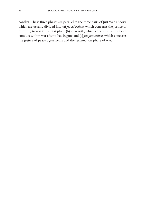conflict. These three phases are parallel to the three parts of Just War Theory, which are usually divided into (a) *jus ad bellum*, which concerns the justice of resorting to war in the first place; (b) *jus in bello*, which concerns the justice of conduct within war after it has begun; and (c) *jus post bellum*, which concerns the justice of peace agreements and the termination phase of war.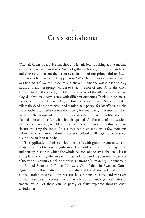## Crisis sociodrama

4

"Yitzhak Rabin is dead! He was shot by a fanatic Jew." Looking at one another astonished, we were in shock. We had gathered for a group session in Israel and chosen to focus on the recent assassination of our prime minister just a few days earlier. "What will happen now? What has the world come to? Who was behind it?" We felt insecure and shaken. Someone was chosen to play Rabin and another group member to enact the role of Yigal Amir, the killer. They reenacted the speech, the killing, and some of the afterevents. Then we played a few imaginary scenes with different outcomes. During these enactments, people shared their feelings of loss and bewilderment. Some wanted to talk to the dead prime minister and thank him in person for his efforts to make peace. Others wanted to blame the society for not having prevented it. Then we heard the arguments of the right- and left-wing Israeli politicians who blamed one another for what had happened. At the end of the session, someone said nothing would be the same in Israel anymore after this event. As closure, we sang the song of peace that had been sung just a few moments before the assassination. I think the session helped us all to get some perspective on the sudden tragedy.

The application of crisis sociodrama deals with group responses to catastrophic events of national significance. The word *crisis* means "turning point" and conveys a state in which the whole balance of society is shaken. Classic examples of such significant events that had profound impacts on the citizens of the various countries include the assassinations of President J. F. Kennedy in the United States and Prime Ministers Olof Palme in Sweden, Zoran Djundijic in Serbia, Indira Gandhi in India, Rafik al-Hariri in Lebanon, and Yitzhak Rabin in Israel. Terrorist attacks, earthquakes, riots, and wars are further examples of events that put whole nations into general states of emergency. All of these can be partly or fully explored through crisis sociodrama.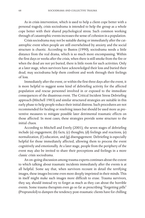As in crisis intervention, which is used to help a client cope better with a personal tragedy, crisis sociodrama is intended to help the group as a whole cope better with their shared psychological stress. Such common working through of catastrophic events increases the sense of cohesion in a population.

Crisis sociodrama may not be suitable during or immediately after the catastrophic event when people are still overwhelmed by anxiety and the social structure is chaotic. According to Bustos (1990), sociodrama needs a little distance from the real drama, which is so much more encompassing. Within the first days or weeks after the crisis, when there is still smoke from the fire or when the dead are not yet buried, there is little room for such activities. Only at a later stage, when survivors have acknowledged their loss and buried their dead, may sociodrama help them confront and work through their feelings of loss.

Immediately after the event, or within the first three days after the event, it is more helpful to suggest some kind of debriefing activity for the affected population and rescue personnel involved in or exposed to the immediate consequences of the disastrous event. The Critical Incident Stress Debriefing approach (Mitchell 1983) and similar structured strategies are suitable in this early phase to help people reduce their initial distress. Such procedures are not recommended for healing or resolving issues but should be used more as preventive measures to mitigate possible later detrimental traumatic effects on those affected. In most cases, these strategies provide some structure to the initial chaos.

According to Mitchell and Everly (2001), the seven stages of debriefing include (a) engagement, (b) facts, (c) thoughts, (d) feelings and reactions, (e) normalization, (f) education, and (g) disengagement. Debriefing is especially helpful for those immediately affected, allowing them to process the event cognitively and emotionally. At a later stage, people from the periphery of the event may also be invited to share their perceptions and feelings in a more classic crisis sociodrama.

An on-going discussion among trauma experts continues about the extent to which talking about traumatic incidents immediately after the events is at all helpful. Some say that, when survivors recount in detail the terrifying images, these images become even more deeply imprinted in their minds. This in itself might make such images more difficult to erase. Trauma survivors, they say, should instead try to forget as much as they can about the horrible events. Some trauma therapists even go so far as prescribing "forgetting pills" (Propranolol) to dampen the tendency post-traumatic clients have for chilling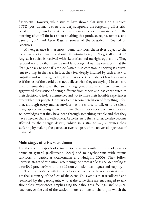CRISIS SOCIODRAMA 69

flashbacks. However, while studies have shown that such a drug reduces PTSD (post-traumatic stress disorder) symptoms, the forgetting pill is criticized on the ground that it medicates away one's consciousness. "It's the morning-after pill for just about anything that produces regret, remorse and pain or gilt," said Leon Kass, chairman of the President's Council on Bioethics.

My experience is that most trauma survivors themselves object to the recommendation that they should intentionally try to "forget all about it." Any such advice is received with skepticism and outright opposition. They respond not only that they are unable to forget about the event but that the "let's get back to normal" attitude (which is so common in society) is equivalent to a slap in the face. In fact, they feel deeply insulted by such a lack of empathy and sympathy, feeling that their experiences are not taken seriously, as if the rest of the world does not believe what they are saying. I have heard from innumerable cases that such a negligent attitude to their trauma has aggravated their sense of being different from others and has contributed to their decision to isolate themselves and not to share their horrible experiences ever with other people. Contrary to the recommendation of forgetting, I feel that, although every trauma survivor has the choice to talk or to be silent, many appreciate being invited to share their experiences. Such an invitation acknowledges that they have been through something terrible and that they have a need to share it with others. As we listen to their stories, we also become affected by their tragic destiny, which in a strange way alleviates their suffering by making the particular events a part of the universal injustices of mankind.

## **Main stages of crisis sociodrama**

The therapeutic aspects of crisis sociodrama are similar to those of psychodrama in general (Kellermann 1992) and to psychodrama with trauma survivors in particular (Kellermann and Hudgins 2000). They follow universal stages of resolution, resembling the process of classical debriefing as described previously with the addition of action techniques and staging.

The process starts with introductory comments by the sociodramatist and a verbal summary of the facts of the event. The event is then recollected and reenacted by the participants, who at the same time are encouraged to talk about their experiences, emphasizing their thoughts, feelings, and physical reactions. At the end of the session, there is a time for sharing in which the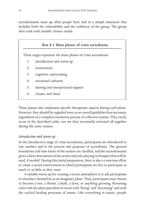sociodramatist sums up what people have said in a simple statement that includes both the vulnerability and the resiliency of the group. The group then ends with suitable closure rituals.

## **Box 4.1 Main phases of crisis sociodrama**

These stages represent the main phases of crisis sociodrama:

- 1. introduction and warm-up
- 2. reenactment
- 3. cognitive reprocessing
- 4. emotional catharsis
- 5. sharing and interpersonal support
- 6. closure and ritual.

These phases also emphasize specific therapeutic aspects during each phase. However, they should be regarded more as an overall guideline than necessary ingredients of a complete resolution process of collective trauma. They rarely occur in the described order, nor are they necessarily activated all together during the same session.

## *Introduction and warm-up*

In the introductory stage of crisis sociodrama, participants are introduced to one another and to the process and purposes of sociodrama. The general boundaries and time limits of the session are clarified, and the sociodramatist gives a short description of the action and role-playing techniques that will be used, if needed. During this initial preparation, there is also a conscious effort to create a secure environment in which participants are free to participate as much or as little as they want.

A suitable warm-up for creating a secure atmosphere is to ask participants to introduce themselves as an imaginary plant. Thus, participants may choose to become a tree, a flower, a bush, a lawn, or anything growing. Reversing roles with the plant puts them in touch with "being" and "becoming" and with the cyclical healing processes of nature. Like everything in nature, people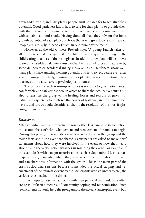CRISIS SOCIODRAMA 71

grow and they die; and, like plants, people must be cared for to actualize their potential. Good gardeners know how to care for their plants, to provide them with the optimum environment, with sufficient water and nourishment, and with suitable sun and shade. Having done all that, they rely on the inner growth potential of each plant and hope that it will give flowers in its season. People are similarly in need of such an optimum environment.

However, as the old Chinese Proverb says, "A young branch takes on all the bends that one gives it…" Children are shaped according to the childrearing practices of their caregivers. In addition, any plant will be forever scarred by a sudden calamity, caused either by the cruel forces of nature or by some deliberate or accidental injury. However, as all gardeners know well, many plants have amazing healing potential and tend to recuperate even after severe damage. Similarly, traumatized people find ways to continue their journeys of life after severe psychological traumas.

The purpose of such warm-up activities is not only to give participants a comfortable and safe atmosphere in which to share their collective trauma but also to sensitize the group to the healing forces and seasons of growth in nature and especially to reinforce the power of resiliency in the community. I have found it to be a suitable initial anchor to the resolution of the most frightening traumatic events.

# *Reenactment*

After an initial warm-up exercise or some other less symbolic introduction, the second phase of acknowledgement and reenactment of trauma can begin. During this phase, the traumatic event is recreated within the group and the major facts about the event are shared. Participants are asked to make brief statements about how they were involved in the event or how they heard about it and the various circumstances surrounding the event. For example, if the event deals with a major terrorist attack such as September 11, most participants easily remember where they were when they heard about the event and can share this information with the group. This is the main part of the crisis sociodrama sessions because it includes the actual staging and reenactment of the traumatic event by the participants who volunteer to play the various roles needed in the drama.

In retrospect, these reenactments with their personal recapitulations often create multifaceted pictures of community coping and reorganization. Such reenactments not only help the group unfold the actual catastrophic event but,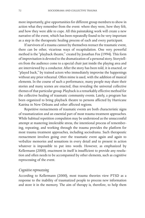more importantly, give opportunities for different group members to show in action what they remember from the event: where they were, how they felt, and how they were able to cope. All this painstaking work will create a new narrative of the event, which has been repeatedly found to be very important as a step in the therapeutic healing process of each and every participant.

If survivors of a trauma cannot by themselves reenact the traumatic event, there can be other, vicarious ways of recapitulation. One very powerful method is the "playback theatre," created by Jonathan Fox (1994). This form of improvisation is devoted to the dramatization of a personal story. Storytellers from the audience come to a special chair just inside the playing area and are interviewed by a conductor. After the story has been told, it is enacted, or "played back," by trained actors who immediately improvise the happenings without any prior rehearsal. Often mime is used, with the addition of musical elements. In the course of such a performance, many people may share their stories and many scenes are enacted, thus revealing the universal collective themes of that particular group. Playback is a remarkably effective method for the collective healing of traumatic community events. Lately, a program has been organized to bring playback theatre to persons affected by Hurricane Katrina in New Orleans and other affected regions.

Repetitive reenactments of traumatic events are both characteristic signs of traumatization and an essential part of most trauma treatment approaches. While habitual repetition compulsion may be understood as the unsuccessful attempt at mastering intolerable stress, the intentional process of remembering, repeating, and working through the trauma provides the platform for most trauma treatment approaches, including sociodrama. Such therapeutic reenactment involves going over the traumatic event again and again to verbalize memories and sensations in every detail and to present in action whatever is impossible to put into words. However, as emphasized by Kellermann (2000), enactment in itself is insufficient to provide any resolution and often needs to be accompanied by other elements, such as cognitive reprocessing of the event.

## *Cognitive reprocessing*

According to Kellermann (2000), most trauma theories view PTSD as a response to the inability of traumatized people to process new information and store it in the memory. The aim of therapy is, therefore, to help them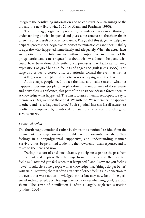CRISIS SOCIODRAMA 73

integrate the conflicting information and to construct new meanings of the old and the new (Horowitz 1976; McCann and Pearlman 1990).

The third stage, cognitive reprocessing, provides a new or more thorough understanding of what happened and gives some structure to the chaos that is often the direct result of collective trauma. The goal of this stage is to help participants process their cognitive responses to traumatic loss and their inability to appraise what happened immediately and adequately. When the actual facts are reported in a structured manner within the supportive environment of the group, participants can ask questions about what was done to help and what could have been done differently. Such processes may facilitate not only expressions of grief but also feelings of anger and guilt (Beck 1999). This stage also serves to correct distorted attitudes toward the event, as well as providing a way to explore alternative ways of coping with the loss.

At this stage, people need to face the facts and make sense of what has happened. Because people often play down the importance of these events and deny their significance, this part of the crisis sociodrama forces them to acknowledge what happened. The aim is to assist them in retrospect to say to themselves, "Yes, we lived through it. We suffered. We remember. It happened to others and it also happened to us." Such a gradual increase in self-awareness is often accompanied by emotional catharsis and a powerful discharge of surplus energy.

## *Emotional catharsis*

The fourth stage, emotional catharsis, drains the emotional residue from the trauma. At this stage, survivors should have opportunities to share their feelings in a nonjudgmental, supportive, and understanding manner. Survivors must be permitted to identify their own emotional responses and to relate to the here and now.

During this part of crisis sociodrama, participants separate the past from the present and express their feelings from the event and their current feelings: "How did you feel when that happened?" and "How are you feeling now?" If suitable, some people will acknowledge that "things do get better" with time. However, there is often a variety of other feelings in connection to the event that were not acknowledged earlier but may now be both experienced and expressed. Such feelings may include overwhelming grief, fear, and shame. The sense of humiliation is often a largely neglected sensation (Lindner 2001).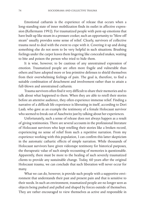Emotional catharsis is the experience of release that occurs when a long-standing state of inner mobilization finds its outlet in affective expression (Kellermann 1992). For traumatized people with pent-up emotions that have built up like steam in a pressure cooker, such an opportunity to "blow off steam" usually provides some sense of relief. Clearly, survivors of collective trauma need to deal with the event to cope with it. Covering it up and doing something else do not seem to be very helpful in such situations. Brushing feelings under the carpet leaves them lingering like concealed snakes, waiting to bite and poison the person who tried to hide them.

It is wise, however, to be cautious of any unrestrained expression of emotion. Traumatized people are often more fragile and vulnerable than others and have adopted more or less primitive defenses to shield themselves from their overwhelming feelings of pain. The goal is, therefore, to find a suitable combination of detachment and involvement rather than to attain a full-blown and unrestrained catharsis.

Trauma survivors often find it very difficult to share their memories and to talk about what happened to them. When they are able to retell their stories before an attentive audience, they often experience immense relief. Finding a narrative of a difficult life experience is liberating in itself, according to Dori Laub, who gave as an example the testimony of a female Holocaust survivor who seemed to break out of Auschwitz just by talking about her experiences.

Unfortunately, such a sense of release does not always happen as a result of giving testimonies. There are several accounts in the professional literature of Holocaust survivors who kept retelling their stories like a broken record, experiencing no sense of relief from such a repetitive narration. From my experience working with this population, I can confirm this latter skepticism in the automatic cathartic effects of simple narration. While thousands of Holocaust survivors have given videotape testimony for historical purposes, the therapeutic value of such simple recounting of memories is questionable. Apparently, there must be more to the healing of such severely traumatized clients to provide any sustainable change. Today, 60 years after the original Holocaust trauma, we can conclude that such liberation will never occur for many.

What we can do, however, is provide such people with a supportive environment that understands their past and present pain and that is sensitive to their needs. In such an environment, traumatized people are no longer seen as objects being pushed and pulled and shaped by forces outside of themselves. They are rather encouraged to view themselves as active and responsible in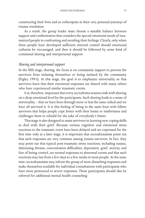CRISIS SOCIODRAMA 75

constructing their lives and as cotherapists in their very personal journeys of trauma resolution.

As a result, the group leader must choose a suitable balance between support and confrontation that considers the special emotional needs of traumatized people in confronting and avoiding their feelings. Clearly, only when these people have developed sufficient internal control should emotional catharsis be encouraged, and then it should be followed by some kind of communal sharing and interpersonal support.

## *Sharing and interpersonal support*

In the fifth stage, sharing, the focus is on community support to prevent the survivors from isolating themselves or being isolated by the community (Figley 1993). At this stage, the goal is to emphasize universality so that survivors learn that their emotional responses are shared with many others who have experienced similar traumatic events.

It is, therefore, important that every sociodrama session ends with sharing on a deep emotional level by the participants. Such sharing leads to a sense of universality – that we have been through more or less the same ordeal and we have all survived it. It is this feeling of being in the same boat with fellow survivors that helps people cope better with their losses or misfortunes and challenges them to rebuild for the sake of everybody's future.

This stage is also designed to assist survivors in learning new coping skills to deal with their grief. Because various cognitive and emotional stress reactions to the traumatic event have been delayed and are expressed for the first time only at a later stage, it is important that sociodramatists point out that such responses are very common among trauma survivors. In fact, they may point out that typical post-traumatic stress reactions, including nausea, distressing dreams, concentration difficulties, depression, grief, anxiety, and fear of losing control, are normal responses to abnormal events and that such reactions may last from a few days to a few weeks in most people. At the same time, sociodramatists may inform the group of more disturbing responses and make themselves available for individual consultations with participants who have more protracted or severe responses. These participants should also be referred for additional mental health counseling.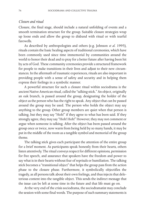# *Closure and ritual*

Closure, the final stage, should include a natural unfolding of events and a smooth termination structure for the group. Suitable closure strategies wrap up loose ends and allow the group to disband with ritual or with tearful farewells.

As described by anthropologists and others (e.g. Johnson *et al*. 1995), rituals contain the basic healing aspects of traditional ceremonies, which have been commonly used since time immemorial by communities around the world to honor their dead and to pray for a better future after having been hit by acts of God. These community ceremonies provide a structured framework for people to make transitions in their lives and adjust to their new circumstances. In the aftermath of traumatic experiences, rituals are also important in providing people with a sense of safety and security and in helping them express their feelings in a symbolic manner.

A powerful structure for such a closure ritual within sociodrama is the ancient Native American ritual, called the "talking stick." An object, originally an oak branch, is passed around the group, designating the holder of the object as the person who has the right to speak. Any object that can be passed around the group may be used. The person who holds the object may say anything to the group. Other group members are quiet when that person is talking, but they may say "Hoh!" if they agree to what has been said. If they strongly agree, they may say "Hoh! Hoh!" However, they may not comment or argue when someone is talking. After the object has been passed around the group once or twice, now warm from being held by so many hands, it may be put in the middle of the room as a tangible symbol and memorial of the group theme.

The talking stick gives each participant the attention of the entire group for a brief moment. As participants speak honestly from their hearts, others listen attentively. The ritual conveys respect for different opinions, permission for free speech, and assurance that speakers have the freedom and power to say what is in their hearts without fear of reprisals or humiliation. The talking stick becomes a "transitional object" that helps the group pass from the action phase to the closure phase. Furthermore, it symbolically objectifies the tragedy, as all persons talk about their own feelings, and thus injects that deleterious content into the tangible object. This sends the indirect message that the issue can be left at some time in the future and that life must go on.

At the very end of the crisis sociodrama, the sociodramatist may conclude the session with some final words. The purpose of such summary statements is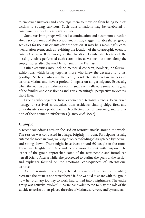CRISIS SOCIODRAMA 77

to empower survivors and encourage them to move on from being helpless victims to coping survivors. Such transformations may be celebrated in communal forms of therapeutic rituals.

Some survivor groups will need a continuation and a common direction after a sociodrama, and the sociodramatist may suggest suitable shared group activities for the participants after the session. It may be a meaningful commemoration event, such as revisiting the location of the catastrophic event to conduct a farewell ceremony at that location. Family and friends of the missing victims performed such ceremonies at various locations along the empty shores after the terrible tsunami in the Far East.

Other activities may include memorial concerts, booklets, or farewell exhibitions, which bring together those who knew the deceased for a last goodbye. Such activities are frequently conducted in Israel in memory of terrorist victims and have a profound impact on all participants. Especially when the victims are children or youth, such events alleviate some of the grief of the families and close friends and give a meaningful perspective to victims' short lives.

Groups who together have experienced terrorist attacks, been taken hostage, or survived earthquakes, train accidents, sinking ships, fires, and other disasters may profit from such collective acts of mourning and resolution of their common misfortunes (Haney *et al*. 1997).

## **Example**

A recent sociodrama session focused on terrorist attacks around the world. The session was conducted in a large, brightly lit room. Participants usually entered the room in twos, walking quickly to folding chairs placed by the wall and sitting down. There might have been around 60 people in the room. There was laughter and talk and people moved about with purpose. The leader of the group approached some of the new people and introduced herself briefly. After a while, she proceeded to outline the goals of the session and explicitly focused on the emotional consequences of international terrorism.

As the session proceeded, a female survivor of a terrorist bombing recreated the event as she remembered it. She wanted to share with the group how her ordinary journey to work had turned into a nightmare. The entire group was actively involved. A participant volunteered to play the role of the suicide terrorist; others played the roles of victims, survivors, and bystanders.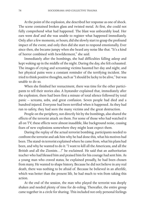At the point of the explosion, she described her response as one of shock. The scene contained broken glass and twisted metal. At first, she could not fully comprehend what had happened. The blast was unbearably loud. Her ears went deaf and she was unable to register what happened immediately. Only after a few moments, or hours, did she slowly start to grasp the profound impact of the event; and only then did she start to respond emotionally. Ever since then, she became jumpy when she heard any noise like that. "It's a kind of horror combined with bewilderment," she said.

Immediately after the bombings, she had difficulties falling asleep and kept waking up in the middle of the night. During the day, she felt exhausted. The images of crying and screaming victims haunted her day and night, and her physical pains were a constant reminder of the terrifying incident. She tried to think positive thoughts, such as "I should be lucky to be alive," but was unable to do so.

When she finished her reenactment, there was time for the other participants to tell their stories also. A bystander explained that, immediately after the explosion, there had been first a minute of total silence followed by total panic – screams, sobs, and great confusion. Seven people had died and a hundred injured. Everyone had been terrified when it happened. As they had run to safety, they had seen the many victims and the great destruction.

People on the periphery, not directly hit by the bombings, also shared the effects of the terrorist attack on them. For some of those who had watched it all on TV, these effects were almost inaudible, like background noise, causing fears of new explosions somewhere they might least expect them.

During the replay of the actual terrorist bombing, participants needed to confront the terrorist and ask him why he had done this, what his motives had been. The stand-in terrorist explained where he came from, what his plans had been, and why he wanted to do it: "I want to kill all the Americans, and all the British and all the Zionists…!" he exclaimed. He said that an authoritarian teacher who had blessed him and praised him for his courage had sent him. As a young man who craved status, he explained proudly, he had been chosen from many. He wanted to shape history. Because he did not believe in any real death, there was nothing to be afraid of. Because he believed in an afterlife, which was better than the present life, he had much to win from taking this action.

At the end of the session, the man who played the terrorist was deeply shaken and needed plenty of time for de-roling. Thereafter, the entire group came together in a circle for sharing. This included not only personal feelings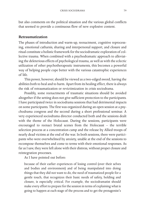CRISIS SOCIODRAMA 79

but also comments on the political situation and the various global conflicts that seemed to provide a continuous flow of new explosive content.

# **Retraumatization**

The phases of introduction and warm-up, reenactment, cognitive reprocessing, emotional catharsis, sharing and interpersonal support, and closure and ritual constitute a holistic framework for the sociodramatic exploration of collective trauma. When combined with a psychodramatic approach to alleviating the deleterious effects of psychological trauma, as well as with the eclectic utilization of other psychotherapeutic instruments, this becomes a powerful way of helping people cope better with the various catastrophic experiences of life.

This power, however, should be viewed as a two-edged sword, having the abilities both to heal and to harm. Apart from its healing effect, there is always the risk of retraumatization or revictimization in crisis sociodrama.

Possibly, some reenactments of traumatic situations should be avoided altogether if the setting does not give sufficient protection to the participants. I have participated twice in sociodrama sessions that had detrimental impacts on some participants. The first was organized during an open session at a psychodrama congress and the second during a short professional seminar. A very experienced sociodrama director conducted both and the sessions dealt with the theme of the Holocaust. During the sessions, participants were encouraged to reenact brutal scenes from the Holocaust – the terrible selection process at a concentration camp and the release by Allied troops of nearly dead victims at the end of the war. In both sessions, there were participants who were overwhelmed by anxiety, unable at the end of the sessions to recompose themselves and come to terms with their emotional responses. As far as I saw, they were left alone with their distress, without proper closure and reintegration processes.

As I have pointed out before:

because of their earlier experiences of losing control (over their selves and bodies and environment) and of being manipulated into doing things that they did not want to do, the need of traumatized people for a gentle touch, that recognizes their basic needs of safety, holding and closure, is especially critical. For example, the sociodramatist should make every effort to prepare for the session in terms of explaining what is going to happen at each stage of the process and to get the protagonist's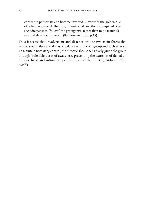consent to participate and become involved. Obviously, the golden rule of client-centered therapy, manifested in the attempt of the sociodramatist to "follow" the protagonist, rather than to be manipulative and directive, is crucial. (Kellermann 2000, p.35)

Thus it seems that involvement and distance are the two main forces that evolve around the central axis of balance within each group and each session. To maintain necessary control, the director should sensitively guide the group through "tolerable doses of awareness, preventing the extremes of denial on the one hand and intrusive-repetitiousness on the other" (Scurfield 1985, p.245).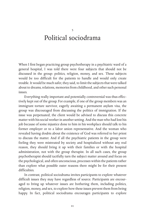# Political sociodrama

5

When I first began practicing group psychotherapy in a psychiatric ward of a general hospital, I was told there were four subjects that should not be discussed in the group: politics, religion, money, and sex. These subjects would be too difficult for the patients to handle and would only create trouble. It would be much safer, they said, to limit the subjects that were talked about to dreams, relations, memories from childhood, and other such personal issues.

Everything really important and potentially controversial was thus effectively kept out of the group. For example, if one of the group members was an immigrant torture survivor, eagerly awaiting a permanent asylum visa, the group was discouraged from discussing the politics of immigration. If the issue was perpetuated, the client would be advised to discuss this concrete matter with his social worker in another setting. And the man who had lost his job because of some injustice done to him in his workplace should talk to his former employer or to a labor union representative. And the woman who revealed having doubts about the existence of God was referred to her priest to discuss the matter. And if all the psychiatric patients in the group were feeling they were mistreated by society and hospitalized without any real reason, they should bring it up with their families or with the hospital administration, not with the group therapist. In all such cases, the group psychotherapist should tactfully turn the subject matter around and focus on the psychological, and often unconscious, processes within the patients rather than explore what possible outer reasons there might be for their present difficulties.

In contrast, political sociodrama invites participants to explore whatever difficult issues they may have regardless of source. Participants are encouraged to bring up whatever issues are bothering them, including politics, religion, money, and sex, to explore how these issues prevent them from being happy. In fact, political sociodrama encourages participants to explore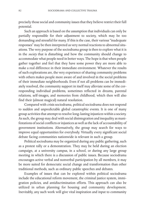precisely those social and community issues that they believe restrict their full potential.

Such an approach is based on the assumption that individuals can only be partially responsible for their adjustment to society, which may be too demanding and stressful for many. If this is the case, their various "inadequate responses" may be then interpreted as very normal reactions to abnormal situations. The very purpose of the sociodrama group is then to explore what it is in the *society* that is disturbing and how the community should change to accommodate what people need in better ways. The hope is that when people gather together and feel that they have some power they are more able to make a real difference in their immediate environment. Whatever the results of such explorations are, the very experience of sharing community problems with others makes people more aware of and involved in the social problems of their immediate neighborhoods. Even if not all problems can be immediately resolved, the community support in itself may alleviate some of the corresponding individual problems, sometimes reflected in dreams, parental relations, self-images, and memories from childhood, which then will also find their (almost magical) natural resolution.

Compared with crisis sociodrama, political sociodrama does not respond to sudden and unpredictable global catastrophic events. It is one of many group activities that attempt to resolve long-lasting injustices within a society. As such, the group may deal with social disintegration and inequality as manifestations of social conflicts or injustices as well as the lack of accountability of government institutions. Alternatively, the group may search for ways to improve equal opportunities for everybody. Virtually every significant social debate facing communities nationwide is relevant in such a group.

Political sociodrama may be organized during any public gathering, such as a protest rally or a demonstration. They may be held during an election campaign, at a university campus, in a school, or during any large group meeting in which there is a discussion of public issues. Because sociodrama encourages active verbal and nonverbal participation by all members, it may be more suited for democratic social change and transformation than other traditional methods, such as ordinary public speeches and debates.

Examples of issues that can be explored within political sociodrama include the educational reform movement, the criminal justice system, immigration policies, and antidiscrimination efforts. This approach can also be utilized in urban planning for housing and community development. Inevitably, any such work will give vital inspiration and input to community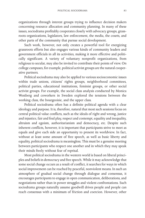POLITICAL SOCIODRAMA 83

organizations through interest groups trying to influence decision makers concerning resource allocation and community planning. In many of these issues, sociodrama profitably cooperates closely with advocacy groups, grassroots organizations, legislators, law enforcement, the media, the courts, and other parts of the community that pursue social development.

Such work, however, not only creates a powerful tool for energizing grassroots efforts but also engages various kinds of community leaders and government officials in all its activities, making it more effective and politically significant. A variety of voluntary nonprofit organizations, from religious to secular, may also be invited to contribute their points of view. On college campuses, for example, political activist groups are the natural cooperative partners.

Political sociodrama may also be applied to various socioeconomic issues within trade unions, citizens' rights groups, neighborhood committees, political parties, educational institutions, feminist groups, or other social activist groups. For example, the social class analysis conducted by Monica Westberg and coworkers in Sweden explored the tensions between the working class, the bourgeoisie, and the upper class.

Political sociodrama often has a definite political agenda with a clear ideology and purpose. It is, therefore, natural that most such sessions focus on central political value conflicts, such as the ideals of right and wrong, justice and injustice, fair and foul play, respect and contempt, equality and inequality, altruism and egoism, authoritarianism and democracy, etc. Despite such inherent conflicts, however, it is important that participants strive to meet as equals and give each side an opportunity to present its worldview. In fact, without at least some amount of free speech, as well as basic liberty and equality, political sociodrama is meaningless. This must be a genuine meeting between participants who respect one another and in which they may speak their minds freely without fear of reprisal.

Most political sociodrama in the western world is based on liberal principles and beliefs in democracy and free speech. While it may acknowledge that some social change occurs as a result of conflict, it searches for ways in which social improvement can be reached by peaceful, nonviolent means. In such an atmosphere of gradual social change through dialogue and consensus, it encourages participants to engage in open communication, deliberations, and negotiations rather than in power struggles and violent confrontations. Such sociodrama groups naturally assume goodwill drives people and people can reach consensus with a minimum of friction and coercion. However, other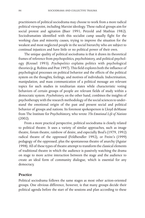practitioners of political sociodrama may choose to work from a more radical political viewpoint, including Marxist ideology. These radical groups aim for social protest and agitation (Buer 1991; Petzold and Mathias 1982). Sociodramatists identified with this socialist camp usually fight for the working class and minority causes, trying to improve the situation for the weakest and most neglected people in the social hierarchy who are subject to continual injustices and have little or no political power of their own.

The unique quality of political sociodrama is that it draws its theoretical frames of reference from psychopolitics, psychohistory, and political psychology (Kressel 1993). *Psychopolitics* explains politics with psychological theories (e.g. Robins and Post 1997). This field explores both the influence of psychological processes on political behavior and the effects of the political system on the thoughts, feelings, and motives of individuals. Indoctrination, manipulation, and mass communication of a political message are relevant topics for such studies in totalitarian states while characteristic voting behaviors of certain groups of people are relevant fields of study within a democratic system. *Psychohistory*, on the other hand, combines the insights of psychotherapy with the research methodology of the social sciences to understand the emotional origin of the past and present social and political behavior of groups and nations. Its foremost spokesperson is Lloyd deMause from The Institute for Psychohistory, who wrote *The Emotional Life of Nations* (2002).

From a more practical perspective, political sociodrama is closely related to political theatre. It uses a variety of similar approaches, such as image theatre, forum theatre, rainbow of desire, and especially Boal's (1979, 1992) radical theatre of the oppressed (Feldhendler 1992), or Freire's (1999) pedagogy of the oppressed, plus the spontaneous theatre of anarchy (Aguiar 1998). All of these types of theatre attempt to transform the classical elements of traditional theatre in which the audience is passively watching the drama on stage to more active interaction between the stage and the audience to create an ideal form of community dialogue, which is essential for any democracy.

# **Practice**

Political sociodrama follows the same stages as most other action-oriented groups. One obvious difference, however, is that many groups decide their political agenda before the start of the sessions and plan according to these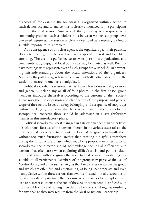POLITICAL SOCIODRAMA 85

purposes. If, for example, the sociodrama is organized within a school to teach democracy and tolerance, this is clearly announced to the participants prior to the first session. Similarly, if the gathering is a response to a community problem, such as violent riots between various subgroups over perceived injustices, the session is clearly described as a meeting to find a suitable response to this problem.

As a consequence of this clear agenda, the organizers gear their publicity efforts to reach groups believed to have a special interest and benefit in attending. The event is publicized to relevant grassroots organizations and community subgroups, and local politicians may be invited as well. Preliminary meetings with representatives of such groups are very helpful in preventing misunderstandings about the actual intentions of the organizers. Naturally, the political agenda must be shared with all participants prior to the session to ensure no one feels manipulated.

Political sociodrama sessions may last from a few hours to a day or more and generally include any or all of four phases. In the first phase, group members introduce themselves according to the customs of their society. There may then be discussion and clarification of the purpose and general scope of the session. Issues of safety, belonging, and acceptance of subgroups within the large group may also be clarified; and if there are obvious sociopolitical concerns those should be addressed in a straightforward manner in this introductory phase.

Political sociodrama is best managed in a stricter manner than other types of sociodrama. Because of the tension inherent in the various issues raised, the processes that evolve need to be contained so that the group can handle them without too much frustration. Rather than creating a playful atmosphere during the introductory phase, which may be appropriate in other forms of sociodrama, the director should acknowledge the initial difficulties and tensions that often arise when exploring difficult social and political situations and share with the group the need to find a way to work together suitable to all participants. Members of the group may perceive the use of "ice-breakers", and other such strategies that build cohesion within the group and which are often fun and entertaining, as being inappropriate and even manipulative within these serious frameworks. Instead, initial discussions of possible resistance punctuate the seriousness of the issues to be explored and lead to better resolutions at the end of the session when people are faced with the inevitable choice of leaving their destiny to others or taking responsibility for any change they may require from the local or national leadership.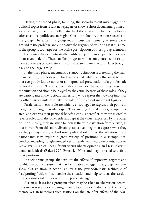During the second phase, focusing, the sociodramatist may suggest hot political topics from recent newspapers or show a short documentary film on some pressing social issue. Alternatively, if the session is scheduled before or after elections, politicians may give short introductory position speeches to the group. Thereafter, the group may discuss the theme, give some background to the problem, and emphasize the urgency of exploring it at this time. If the group is too large for the active participation of most group members, the leader may divide it into smaller entities to permit more people to express themselves in depth. These smaller groups may then complete specific assignments or discuss problematic situations that are summarized and later brought back to the large group.

In the third phase, enactment, a symbolic situation representing the main theme of the group is staged. This may be a real public event that occurred and that everybody knows about or an improvised presentation of a problematic political situation. The enactment should include the major roles present in the situation and should be played by the actual bearers of these roles (if they are participants in the sociodrama session) who express their own opinions or by other participants who take the roles of the absent important figures.

Participants in each role are initially encouraged to express their points of view, maximizing their ideologies. They are urged to take sides, be opinionated, and express their personal beliefs clearly. Thereafter, they are invited to reverse roles with the other side and repeat the values expressed by the other position. Finally, they are asked to look at the whole situation from outside, as in a mirror. From this more distant perspective, they then express what they see happening and try to find some political solution to the situation. Thus, participants may explore a great variety of positions in a sociopolitical conflict, including tough-minded versus tender-minded viewpoints, conservative versus radical ideas, fascist versus liberal opinions, and fascist versus democratic ideals (Bales 1970; Eysenck 1954), and may be asked to defend their positions.

In sociodrama groups that explore the effects of oppressive regimes and totalitarian political systems, it may be suitable to suggest that group members show this situation in action. Utilizing the psychodramatic technique of "sculpturing," this will concretize the situation and help to focus the session on the various roles involved in the power struggle.

Also in such sessions, group members may be asked to take various central roles in a war scenario, allowing them to face history in the context of facing themselves. In numerous such sessions on the late after-effects of the Nazi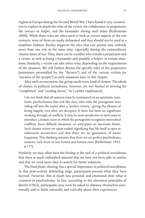POLITICAL SOCIODRAMA 87

regime in Europe during the Second World War, I have found it very constructive to explore in depth the roles of the victim, the collaborator or perpetrator, the rescuer or helper, and the bystander during such times (Kellermann 2004). While these roles are often used to look at certain aspects of the war scenario, none of them are easily delineated and they should not be used in a simplistic fashion. Reality supports the idea that one person may embody more than one role at the same time, especially during the extraordinary chaotic times of war. Thus, there can be a soldier who is both a perpetrator and a victim, as well as being a bystander and possibly a helper, in certain situations. Similarly, a victim can take other roles, depending on the requirements of the situation. We will further discuss the specific roles of the perpetrator (sometimes personified by the "dictator") and of the various victims (or "enemies of the people") in such situations later in this chapter.

After such an enactment, the group needs some kind of closure. The ideals of closure in political sociodrama, however, are not limited to striving for "completion" and "cooling down." As I earlier emphasized,

I do not think that all sessions must be terminated on an optimistic tone. Some psychodramas that end like fairy tales with the protagonist hero riding off into the sunset after a "perfect victory," giving the illusion of living happily ever after, are deceptive if there has been no significant working through of conflicts. It may be more productive in such cases to introduce a closure scene in which the protagonist recognizes unresolved conflicts, faces difficult situations, or anticipates an uncertain future. Such closure scenes are open-ended, signifying that life itself is open to unforeseen occurrences and that there are no guarantees of future happiness. This thinking assumes that there are no perfect psychodrama sessions, only more or less honest and human ones. (Kellermann 1992, p.157)

Similarly, we may often have the feeling at the end of a political sociodrama that there is much unfinished material that we have not been able to resolve and that we need more time to search for better solutions.

The final phase, sharing, has a special importance in political sociodrama. In this post-activity debriefing stage, participants process what they have learned. However, this is much less personal and emotional than what is common in psychodrama. In fact, according to the alienation principles of Brecht (1963), participants may even be asked to distance themselves emotionally and to think rationally and critically about their experiences.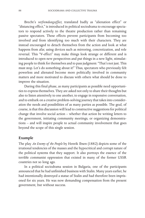Brecht's *verfremdungseffect*, translated badly as "alienation effect" or "distancing effect," is introduced in political sociodrama to encourage spectators to respond actively to the theatre production rather than remaining passive spectators. These effects prevent participants from becoming too involved and from identifying too much with their characters. They are instead encouraged to detach themselves from the action and look at what happens from afar, using devices such as mirroring, concretization, and role reversal. This "V-effect" may make things look strange or different and is introduced to open new perspectives and put things in a new light, stimulating people to think for themselves and to pass judgment: "That's not just. This must stop. Let's do something about it!" Thus, spectators who previously felt powerless and alienated become more politically involved in community matters and more motivated to discuss with others what should be done to improve the situation.

During this final phase, as many participants as possible need opportunities to express themselves. They are asked not only to share their thoughts but also to listen attentively to one another, to engage in responsive conversation, and to embark on a creative problem-solving journey that takes into consideration the needs and possibilities of as many parties as possible. The goal, of course, is that this discussion will lead to constructive suggestions for political change that involve social action – whether that action be writing letters to the government, initiating community meetings, or organizing demonstrations – and will inspire people to actual community involvement that goes beyond the scope of this single session.

## **Example**

The play *An Enemy of the People* by Henrik Ibsen (1882) depicts some of the irrational tendencies of the masses and the hypocritical and corrupt nature of the political systems that they support. It also portrays the essence of the terrible communist oppression that existed in many of the former USSR countries not so long ago.

In a political sociodrama session in Bulgaria, one of the participants announced that he had unfinished business with Stalin. Many years earlier, he had intentionally destroyed a statue of Stalin and had therefore been imprisoned for six years. He was now demanding compensation from the present government, but without success.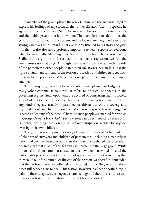POLITICAL SOCIODRAMA 89

A member of the group played the role of Stalin, and the man was urged to express his feelings of rage towards the former dictator. After his speech, he again destroyed the statue of Stalin to emphasize his opposition symbolically, and the public gave him a loud ovation. The man clearly needed to get the years of frustration out of his system, and he looked amazingly relieved after saying what was on his mind. That everybody listened to his story and gave him their praise also had a profound impact; it seemed he spoke for everyone when he was finally "standing up to Stalin" without fear. The person playing Stalin said very little and seemed to become a representative for the communist system at large. Although there was no role reversal with the role of the perpetrator, other people shared their life stories, demanding that the figure of Stalin must listen. As the session proceeded and shifted in focus from the man to the population at large, the concept of the "enemy of the people" emerged.

This derogatory term has been a central concept used in Bulgaria and many other communist countries. It refers to political opponents to the governing regime. Such opponents are accused of conspiring against society as a whole. These people become "non-persons," having no human rights of any kind; they are usually imprisoned or driven out of the society and regarded as outcasts. In these countries, there is widespread fear of being designated an "enemy of the people" because such people are marked forever. As in George Orwell's book *1984*, such persons can be sentenced to severe punishments, including death, on the basis of mere suspicion, accused by anyone, even by their own children.

The group was composed not only of actual survivors of torture but also of children of survivors and children of perpetrators, including a man whose father had been in the secret police. As the participants shared these details, it became clear that much of this fear was still present in the large group. While the transition from a totalitarian system to a new democracy had affected the participants profoundly, total freedom of speech was still not something that they could take for granted. At the end of the session, we therefore concluded that the profound wounds inflicted on the population of Bulgaria from these times still needed time to heal. This session, however, had been another step in gaining the courage to speak up and share feelings and thoughts; and, as such, it was a profound manifestation of the right for free speech.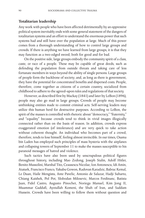### **Totalitarian leadership**

Any work with people who have been affected detrimentally by an oppressive political system inevitably ends with some general statement of the dangers of totalitarian systems and an effort to understand the enormous power that such systems had and still have over the population at large. Much of this power comes from a thorough understanding of how to control large groups and crowds. If there is anything we have learned from large groups, it is that they may function as a two-edged sword, both for good and for bad.

On the positive side, large groups embody the community spirit of a class, caste, or race of a people. These may be capable of great deeds, such as defending the population from outside threats and taking care of less fortunate members in ways beyond the ability of single persons. Large groups of people form the backbone of society; and, as long as there is government, they have the potential for concentrated benefits and dispersed costs. People, therefore, come together as citizens of a certain country, socialized from childhood to adhere to the agreed-upon rules and regulations of that society.

However, as described first by Mackay (1841) and later by LeBon (1896), people may also go mad in large groups. Crowds of people may become unthinking entities made to commit criminal acts. Self-serving leaders may utilize this human herd for destructive purposes. According to LeBon, the spirit of the masses is controlled with rhetoric about "democracy," "fraternity," and "equality" because crowds tend to think in vivid images illogically connected rather than on the basis of reason. In addition, crowds express exaggerated emotion (of intolerance) and are very quick to take action without coherent thought. An individual who becomes part of a crowd, therefore, tends to lose himself, feeling almost invincible. In our times, Osama bin Laden has employed such principles of mass hysteria with the airplanes and collapsing towers of September 11 to make the masses susceptible to his paranoid messages of hatred and violence.

Such tactics have also been used by unscrupulous political figures throughout history, including Mao Zedong, Joseph Stalin, Adolf Hitler, Benito Mussolini, Marshal Tito, Ceausescu Nicolae, Ion Antonescu, Idi Amin, Ataturk, Francisco Franco, Yakubu Gowon, Radovan Karadzic, Babrac Kemal, Le Duan, Haile Mengistu, Ante Pavelic, Antonio de Salazar, Hadji Suharto, Chiang Kaishek, Pol Pot, Slobodan Milosevic, Marcos Ferdinanc, Batista Juan, Fidel Castro, Augusto Pinochet, Noriega Manuel, Kim Jong II, Muammar Gaddafi, Ayotallah Komeni, the Shah of Iran, and Saddam Hussein. Crowds have been willing to follow them without question and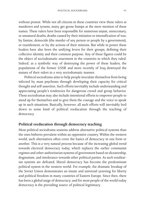POLITICAL SOCIODRAMA 91

without protest. While not all citizens in these countries view these rulers as murderers and tyrants, many get goose bumps at the mere mention of these names. These rulers have been responsible for numerous unjust, unnecessary, or unnatural deaths, deaths caused by their initiation or intensification of war; by famine, democide (the murder of any person or people by a government), or resettlement; or by the actions of their minions. But while in power these leaders have also been the unifying levers for their groups, defining their collective identity and their common purpose. Any of these figures could be the object of sociodramatic enactment in the countries in which they ruled. Indeed, as a symbolic way of destroying the power of these leaders, the populations of the former USSR and more recently of Iraq destroyed the statues of their rulers in a very sociodramatic manner.

Political sociodrama aims to help people inoculate themselves from being infected by mass psychoses through developing their capacity for critical thought and self-assertion. Such efforts inevitably include understanding and appreciating people's tendencies for dangerous crowd and group behavior. These sociodramas may also include intentional efforts to empower people to stand up for themselves and to give them the courage and the voice to speak up in such situations. Basically, however, all such efforts will inevitably boil down to some kind of political reeducation through the teaching of democracy.

## **Political reeducation through democracy teaching**

Most political sociodrama sessions address alternative political systems than the ones hitherto prevalent within an oppressive country. Within the western world, such alternatives often cover the basics of democracy in one form or another. This is a very natural process because of the increasing global trend towards electoral democracy today, which replaces the earlier communist regimes and other authoritarian systems of government based on dictatorship, dogmatism, and intolerance towards other political parties. As such totalitarian systems are defeated, liberal democracy has become the predominant political system in the western world. For example, the dramatic breakup of the Soviet Union demonstrates an innate and universal yearning for liberty and political freedom in many countries of Eastern Europe. Since then, there has been a global surge of democracy; and for most people of the world today democracy is the prevailing source of political legitimacy.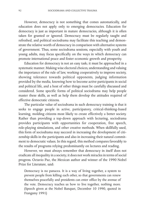However, democracy is not something that comes automatically, and education does not apply only to emerging democracies. Education for democracy is just as important in mature democracies, although it is often taken for granted or ignored. Democracy must be regularly taught and refreshed, and political sociodrama may facilitate this teaching and demonstrate the relative worth of democracy in comparison with alternative systems of government. Thus, some sociodrama sessions, especially with youth and young adults, may focus specifically on the ways in which democracy can promote international peace and foster economic growth and prosperity.

Education for democracy is not an easy task; it must be approached in a systematic manner. Making wise electoral choices, understanding and valuing the importance of the rule of law, working cooperatively to improve society, showing tolerance towards political opponents, judging information provided by the media, knowing how to become active participants in social and political life, and a host of other things must be carefully discussed and considered. Some specific forms of political sociodrama may help people master these skills, as well as help them develop the attitudes required of effective democratic citizens.

The particular value of sociodrama in such democracy training is that it seeks to engage people in active, participatory, critical-thinking-based learning, molding citizens most likely to create effectively a better society. Rather than providing a top-down approach with lecturing, sociodrama provides participants with opportunities for cooperation, free speech, role-playing simulations, and other creative methods. When skillfully used, this form of sociodrama may succeed in increasing the development of citizenship skills in the participants and also in increasing their natural commitment to democratic values. In this regard, this method compares favorably to the results of programs relying predominantly on lectures and reading.

However, we must always remember that democracy in itself does not eradicate all inequality in a society; it does not work miracles in terms of social progress. Octavio Paz, the Mexican author and winner of the 1990 Nobel Prize for Literature, said:

Democracy is no panacea. It is a way of living together, a system to prevent people from killing each other, so that governments can renew themselves peacefully and presidents can enter office by the avenue of the vote. Democracy teaches us how to live together, nothing more. (Speech given at the Nobel Banquet, December 10 1990, quoted in Frangsmy 1991)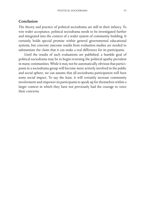POLITICAL SOCIODRAMA 93

# **Conclusion**

The theory and practice of political sociodrama are still in their infancy. To win wider acceptance, political sociodrama needs to be investigated further and integrated into the context of a wider system of community building. It certainly holds special promise within general governmental educational systems, but concrete outcome results from evaluation studies are needed to substantiate the claim that it can make a real difference for its participants.

Until the results of such evaluations are published, a humble goal of political sociodrama may be to begin reversing the political apathy prevalent in many communities. While it may not be automatically obvious that participants in a sociodrama group will become more actively involved in the public and social sphere, we can assume that all sociodrama participation will have some social impact. To say the least, it will certainly increase community involvement and empower its participants to speak up for themselves within a larger context in which they have not previously had the courage to voice their concerns.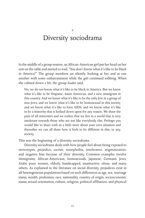# Diversity sociodrama

6

In the middle of a group session, an African-American girl put her head on her arm on the table and started to wail, "You don't know what it's like to be black in America!" The group members sat silently, looking at her and at one another with some embarrassment while the girl continued sobbing. When she calmed down a bit, the group leader said:

No, we do not know what it's like to be black in America. But we know what it's like to be Hispanic, Asian American, and a new immigrant in this country. And we know what it's like to be the only Jew in a group of non-Jews, and we know what it's like to be homosexual in this society, and we know what it's like to have AIDS, and we know what it's like to be a minority that is looked down upon for any reason. We share the pain of all minorities and we realize that we live in a world that is very intolerant towards those who are not like everybody else. Perhaps you would like to share with us a little more about your own situation and thereafter we can all share how it feels to be different in this, or any, society.

This was the beginning of a diversity sociodrama.

Diversity sociodrama deals with how people feel about being exposed to stereotypes, prejudice, racism, xenophobia, intolerance, stigmatization, and negative bias because of their diversity. Common examples involve immigrants, African-Americans, homosexuals, Japanese, Germans, Jews, Arabs, poor, women, elderly, handicapped, unattractive, obese, and many others. As explained in the literature on social diversity, prejudices exist in all heterogeneous populations based on such differences as age, sex, marriage status, wealth, profession, race, nationality, country of origin, socioeconomic status, sexual orientation, culture, religion, political affiliation, and physical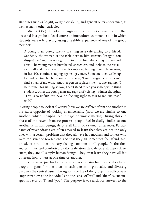attributes such as height, weight, disability, and general outer appearance, as well as many other variables.

Blatner (2006) described a vignette from a sociodrama session that occurred in a graduate-level course on intercultural communication in which students were role playing, using a real-life experience of one of the group members:

A young man, barely twenty, is sitting in a café talking to a friend. Suddenly, the woman at the table next to him screams, "Faggot! You disgust me!" and throws a gin and tonic on him, drenching his face and shirt. The young man is humiliated, speechless, and looks to the restaurant staff and his shocked friend for support, finding none. The woman, in her 50s, continues raging against gay men. Someone then walks up behind her, touches her shoulder, and says, "I am so angry because I can't find a man of my own." Another person replaces the first one, saying, "I hate myself for sinking so low; I can't stand to see you so happy!" A third student touches the young man and says, as if voicing his inner thoughts, "This is so unfair! You have no fucking right to talk to me like that!" (p.30)

Inviting people to look at diversity (how we are different from one another) is the exact opposite of looking at universality (how we are similar to one another), which is emphasized in psychodramatic sharing. During this end phase of the psychodramatic process, people feel basically similar to one another as human beings, despite all kinds of external differences. Participants of psychodrama are often amazed to learn that they are not the only ones with a certain problem; that they all have had mothers and fathers who were too strict or too lenient; and that they all sometimes feel afraid, sad, proud, or any other ordinary feeling common to all people. In the final analysis, they feel comforted by the realization that, despite all their differences, they are all simply human beings. They even learn they have all felt different from others at one time or another.

In contrast to psychodrama, however, sociodrama focuses specifically on people in general rather than on each person in particular, and diversity becomes the central issue. Throughout the life of the group, the collective is emphasized over the individual and the sense of "we" and "them" is encouraged in favor of "I" and "you." The purpose is to search for answers to the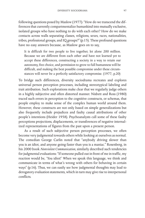DIVERSITY SOCIODRAMA 97

following questions posed by Maslow (1977): "How do we transcend the differences that currently compartmentalize humankind into mutually exclusive, isolated groups who have nothing to do with each other? How do we make contacts across walls separating classes, religions, sexes, races, nationalities, tribes, professional groups, and IQ groups?" (p.15). These profound questions have no easy answers because, as Maslow goes on to say,

It is difficult for two people to live together, let alone 200 million. Because we are different from each other and have not learned yet to accept these differences, constructing a society in a way to retain our autonomy, free choice, and permission to grow to full humanness will be difficult, and making the best possible compromise under these circumstances will never be a perfectly satisfactory compromise. (1977, p.20)

To bridge such differences, diversity sociodrama recreates and explores universal person perception processes, including stereotypical labeling and trait attribution. Such explorations make clear that we regularly judge others in a highly subjective and often distorted manner. Nisbett and Ross (1980) traced such errors in perception to the cognitive constructs, or schemas, that people employ to make sense of the complex human world around them. However, these constructs are not only based on simple generalizations but also frequently include prejudices and faulty causal attributions of other people's intentions (Heider 1958). Psychoanalysts call some of these faulty perceptions projections, displacements, or transferences of negative internalized representations of figures from the past upon a present person.

As a result of such subjective person perception processes, we often become very judgmental towards others while looking at ourselves as normal. The comedian George Carlin noted that "anybody driving slower than you is an idiot, and anyone going faster than you is a maniac." Rosenberg, in his 2000 book *Nonviolent Communication*, similarly described such tendencies for judgmental evaluations: "If someone pulled out in front of me in traffic, my reaction would be, 'You idiot!' When we speak this language, we think and communicate in terms of what's wrong with others for behaving in certain ways" (p.16). Thus, we can easily see how judgmental thoughts may lead to derogatory evaluation statements, which in turn may give rise to interpersonal conflicts.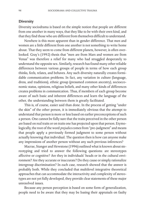## **Diversity**

Diversity sociodrama is based on the simple notion that people are different from one another in many ways, that they like to be with their own kind, and that they find those who are different from themselves difficult to understand.

Nowhere is this more apparent than in gender difference. That men and women are a little different from one another is not something to write home about. That they seem to come from different planets, however, is often overlooked. Gray's (1992) thesis that "men are from Mars and women are from Venus" was therefore a relief for many who had struggled desperately to understand the opposite sex. Similarly, research has found many other reliable differences between various groups of people in terms of how each group thinks, feels, relates, and behaves. Any such diversity naturally creates formidable communication problems. In fact, any variation in culture (language, dress, and traditions), ethnic group (presumed common ancestry), socioeconomic status, opinions, religious beliefs, and many other kinds of differences creates problems in communication. Thus, if members of each group become aware of such basic and inherent differences and learn the language of the other, the understanding between them is greatly facilitated.

This is, of course, easier said than done. In the process of getting "under the skin" of the other person, it is immediately obvious that the attempt to understand that person is more or less based on earlier preconceptions of such a person. One cannot be fully sure that the traits perceived in the other person are based on real traits or on traits one has projected upon that person. Etymologically, the root of the word *prejudice* comes from "pre-judgment" and means that people apply a previously formed judgment to some person without actually knowing that individual. The question then is how can anyone make any impressions of another person without any such previous inferences?

Macrae, Stangor and Hewstone (1996) outlined what is known about stereotyping and tried to answer the following questions: are stereotypes affective or cognitive? Are they in individuals' heads or in the cultural environment? Are they accurate or inaccurate? Do they cause or simply rationalize intergroup discrimination? In each case, research showed that the answer is probably both. While they concluded that multilevel integrative theoretical approaches that can accommodate the interactivity and complexity of stereotypes are not yet fully developed, they provide clear statements of these major unresolved issues.

Because any person perception is based on some form of generalization, people need to be aware that they may be basing their appraisals on faulty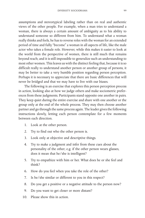DIVERSITY SOCIODRAMA 99

assumptions and stereotypical labeling rather than on real and authentic views of the other people. For example, when a man tries to understand a woman, there is always a certain amount of ambiguity as to his ability to understand someone so different from him. To understand what a woman really thinks and feels, he has to reverse roles with the woman for an extended period of time and fully "become" a woman in all aspects of life, like the male actor who takes a female role. However, while this makes it easier to look at the world from the perspective of women, there is still much that remains beyond reach; and it is still impossible to generalize such an understanding to most other women. This leaves us with the distinct feeling that, because it is so difficult really to understand another person or another group of persons, it may be better to take a very humble position regarding person perception. Perhaps it is necessary to appreciate that there are basic differences that will never be bridged and that we may have to live with our biases.

The following is an exercise that explores this person perception process in action, looking also at how we judge others and make sociometric preferences from these judgments. Participants stand opposite one another in pairs. They keep quiet during the entire exercise and share with one another or the group only at the end of the whole process. They may then choose another partner and go through the same process again. The leader gives the following instructions slowly, letting each person contemplate for a few moments between each direction.

- 1. Look at the other person.
- 2. Try to find out who the other person is.
- 3. Look only at objective and descriptive things.
- 4. Try to make a judgment and infer from these cues about the personality of the other; e.g. if the other person wears glasses, does it mean that he/she is intelligent?
- 5. Try to empathize with him or her. What does he or she feel and think?
- 6. How do you feel when you take the role of the other?
- 7. Is he/she similar or different to you in this respect?
- 8. Do you get a positive or a negative attitude to the person now?
- 9. Do you want to get closer or more distant?
- 10. Please show this in action.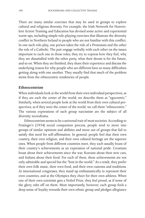There are many similar exercises that may be used in groups to explore cultural and religious diversity. For example, the Irish Network for Nonviolent Action Training and Education has devised some active and experiential warm-ups, including simple role-playing exercises that illustrate the diversity conflict in Northern Ireland to people who are not familiar with this conflict. In one such role-play, one person takes the role of a Protestant and the other the role of a Catholic. The pair engage verbally with each other on the issues important to each one in those roles; they try to express how they feel, why they are dissatisfied with the other party, what their dream is for the future, and so on. When they are finished, they share their experience and discuss the underlying reason for why people who are different have so many difficulties getting along with one another. They usually find that much of the problem stems from the ethnocentric tendencies of people.

# **Ethnocentrism**

When individuals look at the world from their own individual perspectives, as if they are each the center of the world, we describe them as "egocentric." Similarly, when several people look at the world from their own cultural perspectives, as if they were the center of the world, we call them "ethnocentric." The various expressions of such group narcissism are the subject of all diversity sociodrama.

Ethnocentrism seems to be a universal trait of most societies. According to Festinger's (1954) social comparison process, people tend to move into groups of similar opinions and abilities and move out of groups that fail to satisfy this need for self-affirmation. In general, people feel that their own country, their own religion, and their own cultural heritage are the superior ones. When people from different countries meet, they each usually boast of their country's achievements as an expression of national pride. Croatians boast about their achievements since the war, Koreans about their new cars, and Italians about their food. For each of them, these achievements are not only admirable and special but the "best in the world." As a result, they prefer their own folk music, their own food, and their own customs and traditions. At international congresses, they stand up enthusiastically to represent their own countries, and at the Olympics they cheer for their own athletes. When one of their own scientists gets a Nobel Prize, they feel proud, as if some of the glory rubs off on them. Most importantly, however, each group feels a deep sense of loyalty towards their own ethnic group and pledges allegiance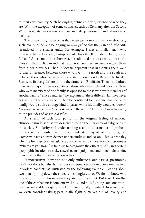DIVERSITY SOCIODRAMA 101

to their own country. Such belonging defines the very essence of who they are. With the exception of some countries, such as Germany after the Second World War, citizens everywhere have such deep nationalist and ethnocentric feelings.

The funny thing, however, is that when we inquire a little more about any such loyalty, pride, and belonging we always find that they can be further differentiated into smaller units. For example, I met an Italian man who presented himself as being European but who still felt prouder of being "a real Italian." After some time, however, he admitted he was really more of a Corsican than an Italian and that he did not have much in common with those from other provinces. Then it became apparent that in Corsica there were further differences between those who live in the north and the south and between those who live in the city and in the countryside. Because he lived in Bastia, he felt very different from the farmers in Bonifacio. Then he admitted there were major differences between those who were rich and poor and those who were members of one family as opposed to those who were members of another family. "Since centuries," he explained, "these different families never got along with one another." Then he continued to elaborate that the other family would cook a strange kind of pasta, while his family would eat *cannelloni a brocciu*, which was "the best pasta in the world." I felt as if I were listening to the preludes of *Romeo and Juliet*.

As a result of such local patriotism, the original feeling of national ethnocentrism lessens as we descend through the hierarchy of subgroups in the society. Solidarity and understanding seem to be a matter of gradient: Italians will certainly have a deep understanding of one another, but Corsicans have an even deeper understanding, and so on. That is probably why the first question we ask one another when we meet for the first time is "Where are you from?" It helps us to categorize the others quickly in a certain geographic location, to make a swift overall judgment, and then to determine immediately their distance to ourselves.

Ethnocentrism, however, not only influences our passive positioning vis-à-vis others but also has serious consequences for our active involvement in violent conflicts, as illustrated by the following example. Hearing about two men fighting down the street is meaningless to us. We do not know who they are, nor do we know what they are fighting about. But if we learn that one of the combatants is someone we know and he is fighting someone we do not like we suddenly get excited and emotionally involved. In some cases, we even consider taking part in the fight ourselves out of loyalty and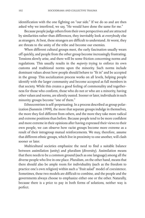identification with the one fighting on "our side." If we do so and are then asked why we interfered, we say, "He would have done the same for me."

Because people judge others from their own perspectives and are attracted by similarities rather than differences, they inevitably look at everybody else as strangers. At best, these strangers are difficult to understand. At worst, they are threats to the unity of the tribe and become our enemies.

When different cultural groups meet, the early fascination usually wears off quickly, and people from the other group become increasingly frustrating. Tensions slowly arise, and there will be some friction concerning norms and regulations. This usually results in the *majority* trying to enforce its own customs and traditional norms upon the minority. Such norms include dominant values about how people should behave to "fit in" and be accepted in the group. This socialization process works on all levels, helping people identify with the larger community and become accepted as full members in that society. While this creates a good feeling of commonality and togetherness for those who conform, those who do not or who are a minority, having other values and norms, are silently ousted. Sooner or later, individuals in such minority groups become "one of them."

Ethnocentrism is self-perpetuating. In a process described as group polarization (Sunstein 1999), the more that separate groups indulge in themselves, the more they feel different from others, and the more they take more radical and extreme positions than before. Because people tend to be more confident and more extreme in their opinions after having expressed their views to their own people, we can observe how racist groups become more extreme as a result of their intragroup mutual reinforcements. We may, therefore, assume that different ethnic groups, which live in proximity to one another, will clash sooner or later.

Multicultural societies emphasize the need to find a suitable balance between assimilation (unity) and pluralism (diversity). Assimilation means that there needs to be a common ground (such as one language) among all the diverse people who live in one place. Pluralism, on the other hand, means that there should also be ample room for individuality (such as the freedom to practice one's own religion) within such a "fruit salad" model of coexistence. Sometimes, these two models are difficult to combine, and the people and the governments always choose to emphasize either one or the other. Naturally, because there is a price to pay in both forms of solutions, neither way is perfect.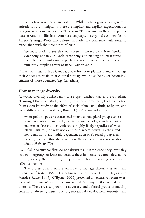DIVERSITY SOCIODRAMA 103

Let us take America as an example. While there is generally a generous attitude toward immigrants, there are implicit and explicit expectations for everyone who comes to become "American." This means that they must participate in American life: learn America's language, history, and customs; absorb America's Anglo-Protestant culture; and identify primarily with America rather than with their countries of birth.

We must work to see that our diversity always be a New World symphony, not an Old World cacophony. Our melting pot must create the richest and most varied republic the world has ever seen and never turn into a toppling tower of Babel. (Simon 2005)

Other countries, such as Canada, allow for more pluralism and encourage their citizens to retain their cultural heritage while also being (or becoming) citizens of those countries (e.g. Canadians).

## **How to manage diversity**

At worst, diversity conflict may cause open clashes, war, and even ethnic cleansing. Diversity in itself, however, does not automatically lead to violence. In an extensive study of the effect of social pluralism (ethnic, religious, and racial differences) on violence, Rummel (1997) concluded that:

where political power is centralized around a trans-plural group, such as a military junta or monarch, or trans-plural ideology, such as communism or fascism, then violence is highly likely, regardless of what plural units may or may not exist. And where power is centralized, non-democratic, and highly dependent upon one's social group membership, such as ethnicity or religion, then collective violence is also highly likely. (p.173)

Even if all diversity conflicts do not always result in violence, they invariably lead to intergroup tensions; and because these in themselves are so destructive for any society there is always a question of how to manage them in an effective manner.

The professional literature on how to manage diversity is rich and instructive (Baytos 1995; Gardenswartz and Rowe 1998; Hayles and Mendez-Russel 1997). O'Byrne (2005) presented an extensive recent overview of the current state of cross-cultural training in the mental health domains. There are also grassroots, advocacy, and political groups promoting cultural or diversity issues; and organizational development institutes and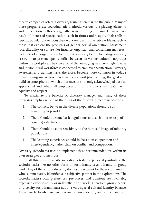theatre companies offering diversity training seminars to the public. Many of these programs use sociodramatic methods, various role-playing elements, and other action methods originally created for psychodrama. However, as a result of increased specialization, such institutes today apply their skills to specific populations or focus their work on specific diversity problems, such as those that explore the problems of gender, sexual orientation, harassment, race, disability, or culture. For instance, organizational consultants may teach members of an organization to utilize its diversity better, to manage diversity crises, or to prevent open conflict between its various cultural subgroups within the workplace. They have found that managing an increasingly diverse and multicultural workforce is connected to employee satisfaction. Diversity awareness and training have, therefore, become more common in today's ever-evolving marketplace. Within such a workplace setting, the goal is to build an atmosphere in which differences are not only acknowledged but also appreciated and where all employees and all customers are treated with equality and respect.

To maximize the benefits of diversity management, many of these programs emphasize one or the other of the following recommendations:

- 1. The contacts between the diverse populations should be as rewarding as possible.
- 2. There should be some basic regulations and social norms (e.g. of equality) established.
- 3. There should be extra sensitivity to the hurt self-image of minority populations.
- 4. The learning experience should be based on cooperation and interdependency rather than on conflict and competition.

Diversity sociodrama tries to implement these recommendations within its own strategies and methods.

In all this work, diversity sociodrama tests the personal position of the sociodramatist like no other form of sociodrama, psychodrama, or group work. Any of the various diversity themes are relevant for the sociodramatist, who is immediately identified as a subjective partner in the explorations. The sociodramatist's own preferences, prejudices, and opinions are invariably expressed either directly or indirectly in this work. Therefore, group leaders of diversity sociodrama must adopt a very special cultural identity balance. They must be firmly based in their own cultural identity on the one hand, and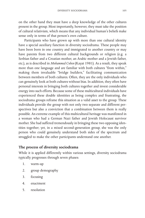DIVERSITY SOCIODRAMA 105

on the other hand they must have a deep knowledge of the other cultures present in the group. Most importantly, however, they must take the position of cultural relativism, which means that any individual human's beliefs make sense only in terms of that person's own culture.

Participants who have grown up with more than one cultural identity have a special auxiliary function in diversity sociodrama. These people may have been born in one country and immigrated to another country or may have parents from two different cultural backgrounds or religion (e.g. a Serbian father and a Croatian mother, an Arabic mother and a Jewish father, etc.), as is described in *Mohammed Cohen* (Kayat 1981). As a result, they speak more than one language and are familiar with both cultures "from within," making them invaluable "bridge builders," facilitating communication between members of both cultures. Often, they are the only individuals who can genuinely look at both cultures without bias. In addition, they often have personal interests in bringing both cultures together and invest considerable energy into such efforts. Because some of these multicultural individuals have experienced these double identities as being complex and frustrating, the sociodrama groups reframe this situation as a valid asset to the group. These individuals provide the group with not only two separate and different perspectives but also a conviction that a combination between them is really possible. An extreme example of this multicultural heritage was manifested in a woman who had a German Nazi father and Jewish Holocaust survivor mother. She had suffered tremendously in bringing these two opposing identities together; yet, in a mixed second-generation group, she was the only person who could genuinely understand both sides of the spectrum and struggled to make the other participants understand one another.

# **The process of diversity sociodrama**

While it is applied differently within various settings, diversity sociodrama typically progresses through seven phases:

- 1. warm-up
- 2. group demography
- 3. focusing
- 4. enactment
- 5. resolution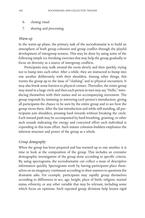- 6. closing ritual
- 7. sharing and processing.
- *Warm-up*

In the warm-up phase, the primary task of the sociodramatist is to build an atmosphere of both group cohesion and group conflict through the playful development of intergroup tension. This may be done by using some of the following simple ice-breaking exercises that may help the group gradually to focus on diversity as a source of intergroup conflicts.

Participants may walk around the room slowly and then quickly, trying not to bump into each other. After a while, they are instructed to bump into one another deliberately with their shoulders. Among other things, this warms the group up to the issue of "clashing" and to physical encounters. It may also break some barriers to physical contact. Thereafter, the entire group may stand in a large circle and then each person in turn may say "Hello," introducing themselves with their names and an accompanying movement. The group responds by imitating or mirroring each person's introduction, giving all participants the chance to be seen by the entire group and to see how the group views them. After the last introduction and while still standing, all participants join shoulders, pressing hard inwards without breaking the circle. Each inward push may be accompanied by hard breathing, grunting, or other such sounds indicating the energy and concerted effort each individual is expending in this team effort. Such instant cohesion-builders emphasize the inherent structure and power of the group as a whole.

# *Group demography*

When the group has been prepared and has warmed up to one another, it is time to look at the composition of the group. This includes an extensive demographic investigation of the group done according to specific criteria. By using spectograms, the sociodramatist can collect a mass of descriptive information quickly. Spectograms work by having participants place themselves on an imaginary continuum according to their answers to questions the dramatist asks. For example, participants may rapidly group themselves according to differences in sex, age, height, place of birth, religion, marital status, ethnicity, or any other variable that may be relevant, including some which focus on opinions. Such repeated group divisions help loosen rigid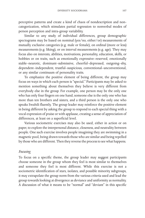DIVERSITY SOCIODRAMA 107

perceptive patterns and create a kind of chaos of nondescription and noncategorization, which stimulates partial regression to nonverbal modes of person perception and intra-group variability.

Similar to any study of individual differences, group demographic spectograms may be based on nominal (yes/no, either/or) measurements of mutually exclusive categories (e.g. male or female), on ordinal (more or less) measurements (e.g. liking), or on interval measurements (e.g. age). They may focus also on interests, abilities, motivations, personality, education, skills, or hobbies or on traits, such as emotionally expressive–reserved, emotionally stable–neurotic, dominant–submissive, cheerful–depressed, outgoing–shy, dependent–independent, trustful–suspicious, conventional–unconventional, or any similar continuum of personality traits.

To emphasize the positive element of being different, the group may focus on ways in which each person is "special." Participants may be asked to mention something about themselves they believe is very different from everybody else in the group. For example, one person may be the only one who has only four fingers on one hand, someone else is the only one who has more than ten brothers and sisters, and a third person is the only one who speaks Swahili fluently. The group leader may reinforce the positive element in being different by asking the group to respond to each special thing with a vocal expression of praise or with applause, creating a sense of appreciation of differences, at least on a superficial level.

Various sociometric exercises may also be used, either in action or on paper, to explore the interpersonal distance, closeness, and neutrality between people. One such exercise involves people imagining they are swimming in a magnetic pool, being drawn towards those who are similar and being repelled by those who are different. Then they reverse the process to see what happens.

## *Focusing*

To focus on a specific theme, the group leader may suggest participants choose someone in the group whom they feel is most similar to themselves and someone they feel is most different. While this exercise is not a sociometric identification of stars, isolates, and possible minority subgroups, it may extrapolate the group norm from the various criteria used and lead the group towards looking at divergence as deviance and uniformity as normality. A discussion of what it means to be "normal" and "deviant" in this specific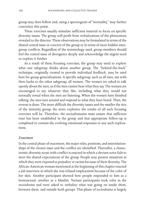group may then follow and, using a spectrogram of "normality," may further concretize this point.

These exercises usually stimulate sufficient material to focus on specific diversity issues. The group will profit from verbalizations of the phenomena revealed to the director. These observations may be formulated in terms of the shared central issue or concern of the group or in terms of more hidden intergroup conflicts. Regardless of the terminology used, group members should feel the central issue of divergence deeply and acknowledge the urgent need to explore it further.

As a result of these focusing exercises, the group may need to explore what one subgroup thinks about another group. The "behind-the-back" technique, originally created to provide individual feedback, may be used here for group generalizations. A specific subgroup, such as all men, sits with their backs to the other subgroup, all women. The women are asked to talk openly about the men, as if the men cannot hear what they say. The women are encouraged to say whatever they like, including what they would not normally reveal when the men are listening. When the women have finished talking, the men turn around and respond to what they have heard. Then, the reverse is done. The more difficult the diversity issues and the smaller the size of the minority group, the more explosive the results of all such focusing exercises will be. Therefore, the sociodramatist must ensure that sufficient trust has been established in the group and that appropriate follow-up is completed to contain the evolving emotional responses to any such explorations.

#### *Enactment*

In the central phase of enactment, the major roles, positions, and interrelationships of the chosen issue and the conflict are identified. Thereafter, a characteristic diversity scene with conflict is enacted in which a deviant actor fails to meet the shared expectations of the group. People may present situations in which they were exposed to prejudice or racism because of their diversity. The African-American woman mentioned at the beginning of this chapter enacted a job interview in which she was refused employment because of the color of her skin. Another participant showed how people responded to him as a homosexual, another as a Muslim. Various participants took roles in the sociodrama and were asked to verbalize what was going on inside them, between them, and outside both groups. This phase of sociodrama is largely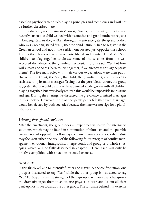DIVERSITY SOCIODRAMA 109

based on psychodramatic role-playing principles and techniques and will not be further described here.

In a diversity sociodrama in Vukovar, Croatia, the following situation was recently enacted. A child walked with his mother and grandmother to register in kindergarten. As they walked through the entrance gate, the grandmother, who was Croatian, stated firmly that the child naturally had to register in the Croatian school and not in the Serbian one located just opposite this school. The mother, however, who was more liberal and wanted Croat and Serb children to play together to defuse some of the tensions from the war, accepted the advice of the grandmother hesitantly. She said, "Yes, but how will Croats and Serbs learn to live together, if we already at this age separate them?" The five main roles with their various expectations were then put in character: the Croat, the Serb, the child, the grandmother, and the society, each asserting its main messages. Trying out the possible solutions, the group suggested that it would be nice to have a mixed kindergarten with all children playing together; but everybody realized this would be impossible in this time and age. During the sharing, we discussed the prevalence of mixed marriages in this society. However, most of the participants felt that such marriages would be rejected by both societies because the time was not ripe for a pluralistic society.

# *Working through and resolution*

After the enactment, the group does an experimental search for alternative solutions, which may be found in a promotion of pluralism and the possible coexistence of opposites. Following their own convictions, sociodramatists may focus on either one or all of the following four strategies of conflict management: emotional, intrapsychic, interpersonal, and group-as-a-whole strategies, which will be fully described in chapter 7. Here, each will only be briefly exemplified with an action-oriented exercise.

## EMOTIONAL

In this first level, and to intensify further and maximize the confrontation, one group is instructed to say "Yes!" while the other group is instructed to say "No!" Participants use the strength of their group to win over the other group; the dramatist urges them to shout, use physical power, and let out all their pent-up hostilities towards the other group. The rationale behind this exercise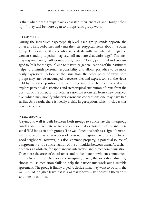is that, when both groups have exhausted their energies and "fought their fight," they will be more open to intrapsychic group work.

## INTRAPSYCHIC

During the intrapsychic (perceptual) level, each group stands opposite the other and first verbalizes and vents their stereotypical views about the other group. For example, if the central issue deals with male–female prejudice, women standing together may say, "All men are chauvinist pigs!" The men may respond saying, "All women are hysterical." Being permitted and encouraged to "talk for the group" and to maximize generalizations of their attitudes helps to diminish personal responsibility and allows prejudice to be more easily expressed. To look at the issue from the other point of view, both groups may later be encouraged to reverse roles and express some of the views held by the other position. The main objective of such a role reversal is to explore perceptual distortions and stereotypical attribution of traits from the position of the other. It is sometimes easier to see oneself from a new perspective, which may modify whatever erroneous conceptions one may have had earlier. As a result, there is ideally a shift in perception, which includes this new perspective.

### INTERPERSONAL

A symbolic wall is built between both groups to concretize the intergroup conflict and to facilitate active and experiential exploration of the interpersonal field between both groups. The wall functions both as a sign of territorial privacy and as a protection of personal integrity, like a fence between good neighbors. However, it is also "common property," a potential source of disagreement and a concretization of the difficulties between them. As such, it becomes an obstacle for spontaneous interaction and direct communication. To explore the areas of coexistence and to facilitate nonviolent communication between the parties over the imaginary fence, the sociodramatist may choose to use mediation skills to help the participants work out a suitable agreement. The group is finally urged to decide what they want to do with the wall – build it higher, leave it as it is, or tear it down – symbolizing the various solutions to conflict.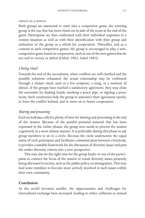DIVERSITY SOCIODRAMA 111

## GROUP-AS-A-WHOLE

Both groups are instructed to enter into a competitive game; the winning group is the one that has more chairs on its side of the room at the end of the game. Participants are thus confronted with their individual responses to a contest situation as well as with their identification with their group and utilization of the group as a whole for cooperation. Thereafter, and as a contrast to such competitive games, the group is encouraged to play a noncompetitive game based on cooperation, such as one of the new games that do not end in victory or defeat (Orlick 1982; Sobel 1983).

## *Closing ritual*

Towards the end of the sociodrama, when conflicts are well clarified and the possible solutions exhausted, the actual relationship may be confirmed through a closure ritual, such as a live sculpture, a song, or a moment of silence. If the groups have reached a satisfactory agreement, they may close the encounter by shaking hands, smoking a peace pipe, or signing a peace treaty. Such ceremonies help the group to announce their agreement openly, to leave the conflict behind, and to move on to future cooperation.

# *Sharing and processing*

Each sociodrama calls for plenty of time for sharing and processing at the end of the session. Because of the painful personal material that has been expressed in the earlier phases, the group now needs to process the session cognitively in a more distant manner. It is preferable during this phase to ask group members to sit in a circle. Because the circle underscores the equal status of each participant and facilitates communication between everybody, it provides a suitable framework for the discussion of diversity issues and puts the earlier diversity criteria into a new perspective.

This may also be the right time for the group leader or one of the participants to connect the focus of the session to actual diversity issues presently being discussed in society, such as the public policy on immigration. This may lead some members to become more actively involved in such issues within their own community.

# **Conclusion**

As the world becomes smaller, the opportunities and challenges for intercultural exchange have increased, leading to either collisions or mutual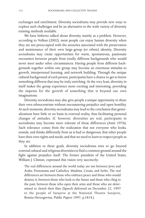exchanges and enrichment. Diversity sociodrama may provide new ways to explore such challenges and be an alternative to the wide variety of diversity training methods available.

We have hitherto talked about diversity mainly as a problem. However, according to Volkan (2002), most people can enjoy human diversity when they are not preoccupied with the anxieties associated with the preservation and maintenance of their own large-group (or ethnic) identity. Diversity sociodrama may create opportunities for warm, spontaneous, passionate encounters between people from totally different backgrounds who would never meet under other circumstances. Having people from different backgrounds together within one group may become an enormous stimulus to growth, interpersonal learning, and network building. Through the unique cultural background of each person, participants have a chance to get to know something different that may be truly enriching. At the very least, diversity in itself makes the group experience more exciting and interesting, providing the impetus for the growth of something that is beyond our own imaginations.

Diversity sociodrama may also give people a unique opportunity to share their own ethnocentrism without encountering prejudice and open hostility. At such moments, diversity sociodrama may lead to the conclusion that generalizations have little or no basis in external reality, thus facilitating personal changes of attitudes. If, however, diversities are real, participants in sociodrama may become more tolerant of those differences (Amir 1976). Such tolerance comes from the realization that not everyone who looks, sounds, and thinks differently from us is bad or dangerous; that other people have their own rights and needs; and that we need to learn to respect people as they are.

In addition to these goals, diversity sociodrama tries to go beyond external cultural and religious diversities to find a common ground around the fight against prejudice itself. The former president of the United States, William J. Clinton, expressed this vision very succinctly:

The real differences around the world today are not between Jews and Arabs; Protestants and Catholics; Muslims, Croats, and Serbs. The real differences are between those who embrace peace and those who would destroy it; between those who look to the future and those who cling to the past; between those who open their arms and those who are determined to clench their fists. (Speech delivered on December 22, 1997 to the people of Sarajevo at the National Theatre Sarajevo, Bosnia-Herzegovina, Public Papers 1997, p.1814.)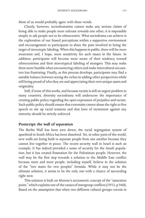DIVERSITY SOCIODRAMA 113

Most of us would probably agree with these words.

Clearly, however, sociodramatists cannot make any serious claims of being able to make people more tolerant towards one other; it is impossible simply to ask people not to be ethnocentric. What sociodrama can achieve is the exploration of our biased perceptions within a supportive environment and encouragement to participants to share the pain involved in being the target of stereotypic labeling. When this happens in public, there will be more awareness and, I hope, more sensitivity for such issues in the future. In addition, participants will become more aware of their tendency toward ethnocentrism and their stereotypical labeling of strangers. This may make them more humble when encountering others and make intercultural encounters less frustrating. Finally, as this process develops, participants may find a suitable balance between seeing the riches in adding other perspectives while still being proud of who they are and appreciating their own unique assets and originality.

Still, if none of this works, and because racism is still an urgent problem in many countries, diversity sociodrama will underscore the importance of creating public policy regarding the open expression of prejudice and racism. Such public policy should ensure that extremists cannot abuse the right to free speech to stir up racial tensions and that laws of incitement against any minority should be strictly enforced.

## **Postscript: the wall of separation**

The Berlin Wall has been torn down; the racial segregation system of apartheid in South Africa has been dissolved. Yet, in other parts of the world, new walls are being built to separate people from one another because they cannot live together in peace. The recent security wall in Israel is such an example. It has indeed provided a sense of security for the Israeli population, but it has created frustration for the Palestinian people. However, the wall may be the first step towards a solution to the Middle East conflict because more and more people, including myself, believe in the solution of the "two states for two peoples" formula. While it may not be the ultimate solution, it seems to be the only one with a chance of succeeding right now.

This solution is built on Moreno's sociometric concept of the "saturation point," which explains one of the causes of intergroup conflicts (1953, p.560). Based on the assumption that when two different cultural groups coexist in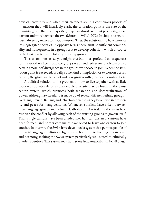physical proximity and when their members are in a continuous process of interaction they will invariably clash, the saturation point is the size of the minority group that the majority group can absorb without producing social tension and wars between the two (Moreno 1943/1972). In simple terms, too much diversity makes for social tension. Thus, the solution is to have more or less segregated societies. In opposite terms, there must be sufficient commonality and homogeneity in a group for it to develop cohesion, which of course is the basic prerequisite for any working group.

This is common sense, you might say; but it has profound consequences for the world we live in and the groups we attend. We seem to tolerate only a certain amount of divergence in the groups we choose to join. When the saturation point is exceeded, usually some kind of implosion or explosion occurs, causing the groups to fall apart and new groups with greater cohesion to form.

A political solution to the problem of how to live together with as little friction as possible despite considerable diversity may be found in the Swiss canton system, which promotes both separation and decentralization of power. Although Switzerland is made up of several different ethnic groups – Germans, French, Italians, and Rhaeto-Romanic – they have lived in prosperity and peace for many centuries. Whenever conflicts have arisen between these language groups and between Catholics and Protestants, the Swiss have resolved the conflict by allowing each of the warring groups to govern itself. Thus, single cantons have been divided into half cantons, new cantons have been formed, and border communes have opted to leave one canton to join another. In this way, the Swiss have developed a system that permits people of different languages, cultures, religions, and traditions to live together in peace and harmony, making the Swiss system particularly well suited to ethnically divided countries. This system may hold some fundamental truth for all of us.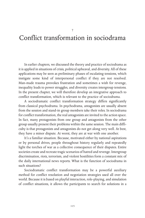# Conflict transformation in sociodrama

7

In earlier chapters, we discussed the theory and practice of sociodrama as it is applied in situations of crisis, political upheaval, and diversity. All of these applications may be seen as preliminary phases of escalating tensions, which instigate some kind of interpersonal conflict if they are not resolved. Man-made trauma provokes frustration and sometimes a wish for revenge, inequality leads to power struggles, and diversity creates intergroup tensions. In the present chapter, we will therefore develop an integrative approach to conflict transformation, which is relevant to the practice of sociodrama.

A sociodramatic conflict transformation strategy differs significantly from classical psychodrama. In psychodrama, antagonists are usually absent from the session and stand-in group members take their roles. In sociodrama for conflict transformation, the real antagonists are invited to the action space. In fact, many protagonists from one group and antagonists from the other group usually present their problems within the same session. The main difficulty is that protagonists and antagonists do not get along very well. At best, they have a minor dispute. At worst, they are at war with one another.

It's a familiar situation. Because, motivated either by national aspirations or by personal drives, people throughout history regularly and repeatedly light the torches of war as a collective consequence of their disputes. Entire societies create and recreate tragic scenarios of hatred and revenge. Intergroup discrimination, riots, terrorism, and violent hostilities form a constant mix of the daily international news reports. What is the function of sociodrama in such situations?

Sociodramatic conflict transformation may be a powerful auxiliary method for conflict resolution and negotiation strategies used all over the world. Because it is based on playful interaction, role-playing, and simulation of conflict situations, it allows the participants to search for solutions in a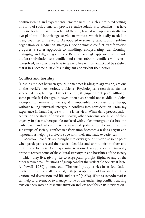nonthreatening and experimental environment. In such a protected setting, this kind of sociodrama can provide creative solutions to conflicts that have hitherto been difficult to resolve. At the very least, it will open up an alternative platform of interchange to violent warfare, which is badly needed in many countries of the world. As opposed to some systematic and hard-line negotiation or mediation strategies, sociodramatic conflict transformation proposes a softer approach to handling, encapsulating, transforming, managing, and digesting conflicts. Because no single approach can provide the best (re)solution to a conflict and some stubborn conflicts will remain unresolved, we sometimes have to learn to live with a conflict and be satisfied that it has become a little less malignant and violent than before.

# **Conflict and hostility**

"Hostile attitudes between groups, sometimes leading to aggression, are one of the world's most serious problems. Psychological research so far has succeeded in explaining it, but not in curing it" (Argyle 1991, p.23). Although some people feel that group psychotherapists should not meddle in global sociopolitical matters, others say it is impossible to conduct any therapy without taking universal intergroup conflicts into consideration. From my experience in Israel, I agree with the latter view. When daily preoccupation centers on the stress of physical survival, other concerns lose much of their urgency. In places where people are faced with violent intergroup clashes on a daily basis and where there is increased polarization between various subgroups of society, conflict transformation becomes a task as urgent and important as helping survivors cope with their traumatic experiences.

Moreover, conflicts are brought into every group situation at some point when participants reveal their social identities and start to mirror others and be mirrored by them. As interpersonal relations develop, people are naturally prone to reenact some of the cultural stereotypes and hostilities of the society in which they live, giving rise to scapegoating, fight–flight, or any of the other familiar manifestations of group conflict that reflect the society at large. As Powell (1989) pointed out, "The small group carries in its foundation matrix the destiny of all mankind, with polar opposites of love and hate, integration and destruction and life and death" (p.278). If we as sociodramatists can help to prevent, or to manage, some of the underlying conflicts causing tension, there may be less traumatization and less need for crisis intervention.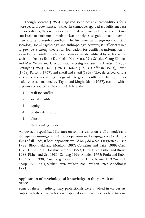Though Moreno (1953) suggested some possible preconditions for a more peaceful coexistence, his theories cannot be regarded as a sufficient basis for sociodrama; they neither explain the development of social conflict in a consistent manner nor formulate clear principles to guide practitioners in their efforts to resolve conflicts. The literature on intergroup conflict in sociology, social psychology, and anthropology, however, is sufficiently rich to provide a strong theoretical foundation for conflict transformation in sociodrama. Conflict is a key explanatory variable utilized by such classical social thinkers as Emile Durkheim, Karl Marx, Max Scheler, Georg Simmel, and Max Weber and later by social investigators such as Deutsch (1973), Festinger (1954), Frank (1967), Fromm (1973), Goffman (1963), Lewin (1948), Parsons (1967), and Sherif and Sherif (1969). They described various aspects of the social psychology of intergroup conflicts, including the six major ones summarized by Taylor and Moghaddam (1987), each of which explains the source of the conflict differently:

- 1. realistic conflict
- 2. social identity
- 3. equity
- 4. relative deprivation
- 5. elite
- 6. the five-stage model.

Moreover, the specialized literature on conflict resolution is full of models and strategies for turning conflict into cooperation and bringing peace to relationships of all kinds, if both opponents would only do what is suggested (Bisno 1988; Bloomfield and Moulton 1997; Cornelius and Faire 1989; Crum 1976; Curle 1971; Donahue and Kolt 1993; Filley 1975; Fisher and Brown 1988; Fisher and Ury 1981; Galtung 1996; Mindell 1995; Pruitt and Rubin 1986; Rose 1998; Rosenberg 2000; Rothman 1992; Rummel 1975–1981; Sharp 1973, 2005; Slaikeu 1996; Walters 1981; Walton 1969; Woodhouse 1991).

# **Application of psychological knowledge in the pursuit of peace**

Some of these interdisciplinary professionals were involved in various attempts to create a new profession of applied social scientists to advise national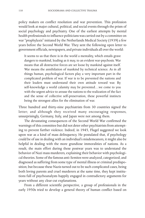policy makers on conflict resolution and war prevention. This profession would look at major cultural, political, and social events through the prism of social psychology and psychiatry. One of the earliest attempts by mental health professionals to influence politicians was carried out by a committee on war "prophylaxis" initiated by the Netherlands Medical Society (1939) a few years before the Second World War. They sent the following open letter to government officials, newspapers, and private individuals all over the world:

It seems to us that there is in the world a mentality, which entails grave dangers to mankind, leading as it may, to an evident war-psychosis. War means that all destructive forces are set loose by mankind against itself. War means the annihilation of mankind by technical science. As in all things human, psychological factors play a very important part in the complicated problem of war. If war is to be prevented the nations and their leaders must understand their own attitude toward war. By self-knowledge a world calamity may be prevented…we come to you with the urgent advice to arouse the nations to the realization of the fact and the sense of collective self-preservation, these powerful instincts being the strongest allies for the elimination of war.

Three hundred and thirty-nine psychiatrists from 30 countries signed the letter; and although they received many encouraging responses, unsurprisingly, Germany, Italy, and Japan were not among them.

The devastating consequences of the Second World War confirmed the warnings of this committee but did not deter other psychiatrists from attempting to prevent further violence. Indeed, in 1945, Flugel suggested we look upon war as a kind of mass delinquency. He postulated that, if psychology could be of use in dealing with an individual's misdemeanors, it might also be helpful in dealing with the more grandiose immoralities of nations. As a result, the main effort during these postwar years was to understand the behavior of Nazi mass murderers, explaining their behavior with psychological theories. Some of the famous anti-Semites were analyzed, categorized, and diagnosed as suffering from some type of mental illness or criminal predisposition; but because these Nazis turned out to be such complicated cases, being both loving parents and cruel murderers at the same time, they kept institutions full of psychoanalysts happily engaged in contradictory arguments for years without any clear-cut explanations.

From a different scientific perspective, a group of professionals in the early 1950s tried to develop a general theory of human conflict based on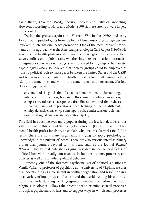game theory (Axelrod 1984), decision theory, and statistical modeling. However, according to Harty and Modell (1991), these attempts were largely unsuccessful.

During the protests against the Vietnam War in the 1960s and early 1970s, many psychologists from the field of humanistic psychology became involved in international peace promotion. One of the most inspired proponents of this approach was the American psychologist Carl Rogers (1965). He asked mental health professionals to use encounter group principles to help solve conflicts on a global scale, whether interpersonal, marital, interracial, intergroup, or international. Rogers was followed by a group of humanistic psychologists who also believed that therapy groups could be employed as holistic-political tools to make peace between the United States and the USSR and to promote a communion of brotherhood between all human beings. Along the same lines and within the same humanistic movement, Maslow (1977) suggested that:

any method is good that fosters communication, understanding, intimacy, trust, openness, honesty, self-exposure, feedback, awareness, compassion, tolerance, acceptance, friendliness, love, and that reduces suspicion, paranoid expectations, fear, feelings of being different, enmity, defensiveness, envy, contempt, insult, condescension, polarization, splitting, alienation, and separation. (p.16)

This field has become even more popular during the last few decades and is still in vogue. In this present time of global terrorism (Covington *et al*. 2002), mental health professionals try to explain what makes a "terrorist tick." As a result, there are now many organizations trying to apply psychological knowledge in the pursuit of peace. There are also various interdisciplinary professional journals devoted to this issue, such as the journal *Political Behavior*. This journal publishes original research in the general fields of political behavior, broadly construed to include institutions, processes, and policies as well as individual political behavior.

Presently, one of the foremost psychoanalysts of political situations is Vamik Volkan, a professor of psychiatry at the University of Virginia. He uses his understanding as a consultant in conflict negotiation and resolution in a great variety of intergroup conflicts around the world. Among his contributions, his understanding of large-group identities (i.e. ethnic, national, religious, ideological) allows the practitioner to examine societal processes through a psychoanalytic lens and to suggest ways in which such processes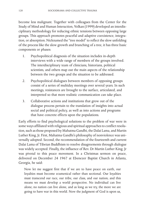become less malignant. Together with colleagues from the Center for the Study of Mind and Human Interaction, Volkan (1999) developed an interdisciplinary methodology for reducing ethnic tensions between opposing large groups. This approach promotes peaceful and adaptive coexistence, integration, or absorption. Nicknamed the "tree model" to reflect the slow unfolding of the process like the slow growth and branching of a tree, it has three basic components or phases:

- 1. Psychopolitical diagnosis of the situation includes in-depth interviews with a wide range of members of the groups involved. The interdisciplinary team of clinicians, historians, political scientists, and others map out the main aspects of the relationship between the two groups and the situation to be addressed.
- 2. Psychopolitical dialogues between members of opposing groups consist of a series of multiday meetings over several years. In such meetings, resistances are brought to the surface, articulated, and interpreted so that more realistic communication can take place.
- 3. Collaborative actions and institutions that grow out of the dialogue process pertain to the translation of insights into actual social and political policy, as well as into actions and programs that have concrete effects upon the populations.

Early efforts to find psychological solutions to the problem of war were in some ways affiliated with religious and spiritual approaches to conflict resolution, such as those proposed by Mahatma Gandhi, the Dalai Lama, and Martin Luther King, Jr. First, Mahatma Gandhi's philosophy of nonviolence was universally adopted. Second, the recommendation of the fourteenth and current Dalai Lama of Tibetan Buddhism to resolve disagreements through dialogue was widely accepted. Finally, the influence of Rev. Dr Martin Luther King, Jr was pivotal to this peace movement. In a Christmas sermon on peace, delivered on December 24 1967 at Ebenezer Baptist Church in Atlanta, Georgia, he said:

Now let me suggest first that if we are to have peace on earth, our loyalties must become ecumenical rather than sectional. Our loyalties must transcend our race, our tribe, our class, and our nation; and this means we must develop a world perspective. No individual can live alone; no nation can live alone, and as long as we try, the more we are going to have war in this world. Now the judgment of God is upon us,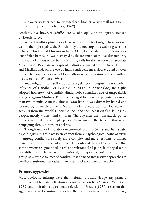and we must either learn to live together as brothers or we are all going to perish together as fools. (King 1967)

Brotherly love, however, is difficult to ask of people who are unjustly attacked by hostile forces.

While Gandhi's principles of *ahimsa* (nonviolence) might have worked well in the fight against the British, they did not stop the escalating tensions between Hindus and Muslims in India. Many believe that Gandhi's nonviolence failed because he was dismayed by the treatment of the Muslim minority in India by Hinduism and by the resulting calls for the creation of a separate Muslim state, Pakistan. Widespread distrust and hatred grew between Hindus and Muslims and, on the eve of India's independence, riots erupted all over India. The country became a bloodbath in which an estimated one million lives were lost (Wolpert 1991).

Such religious riots still erupt on a regular basis, despite the nonviolent influence of Gandhi. For example, in 2002, in Ahmedabad, India (the adopted hometown of Gandhi), Hindu mobs committed acts of unspeakable savagery against Muslims. The violence raged for days and persisted for more than two months, claiming almost 1000 lives. It was driven by hatred and sparked by a terrible crime: a Muslim mob stoned a train car loaded with activists from the World Hindu Council and then set it on fire, killing 59 people, mostly women and children. The day after the train attack, police officers arrested not a single person from among the tens of thousands rampaging through Muslim enclaves.

Though many of the above-mentioned peace activists and humanistic psychologists might have been correct from a psychological point of view, intergroup conflicts are surely more complex and more resistant to change than these professionals had assumed. Not only did they fail to recognize that some tensions are grounded in real and substantial disputes, but they also did not differentiate between the emotional, intrapsychic, interpersonal, and group-as-a-whole sources of conflicts that demand integrative approaches to conflict transformation rather than one-sided encounter approaches.

## **Primary aggression**

Most obviously missing were their refusal to acknowledge any primary hostile or evil human inclination as a source of conflict (Adams 1989; Staub 1989) and their almost passionate rejection of Freud's (1930) assertion that aggression may be instinctual rather than a response to frustration (Okey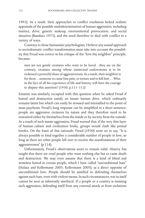1992). As a result, their approaches to conflict resolution lacked realistic appraisals of the possible multidetermination of human aggression, including instinct, drive, genetic makeup, environmental provocation, and social situation (Bandura 1973), and the need therefore to deal with conflict in a variety of ways.

Contrary to these humanistic psychologists, I believe any sound approach to sociodramatic conflict transformation must take into account the possibility that Freud was correct in his critique of the "love thy neighbor" principle, because:

men are not gentle creatures who want to be loved…they are on the contrary, creatures among whose instinctual endowments is to be reckoned a powerful share of aggressiveness. As a result, their neighbor is for them…someone to cause him pain, to torture and to kill him… Who, in the face of all his experience of life and history, will have the courage to dispute this assertion? (1930, p.111–112)

Einstein was similarly occupied with this question when he asked Freud if hatred and destruction satisfy an innate human drive, which ordinarily remains latent but which can easily be aroused and intensified to the point of mass psychosis. Freud's long response can be simplified in a short sentence: people are aggressive creatures by nature and they therefore need to be restrained either by themselves from the inside or by society from the outside. As a result of such innate aggression, Freud warned that, if the very thin layer of human culture and civilization broke, groups would clash like primal hordes. On the basis of this rationale, Freud (1930) went on to say, "It is always possible to bind together a considerable number of people in love, so long as there are other people left over to receive the manifestations of their aggressiveness" (p.114).

Unfortunately, Freud's observations seem to remain valid. History has taught that there are cruel people who want nothing else but to cause death and destruction. We may even assume that there is a kind of blind and senseless hatred in certain people, which I have called "unconditional hate" (Halasz and Kellermann 2005; Kellermann 2005), as a direct opposite of unconditional love. People should be justified in defending themselves against such hate, even with violent means. In such circumstances, war in itself cannot be seen as inherently unethical. If a people or a country is resisting such aggression, defending itself from any external attack or from violations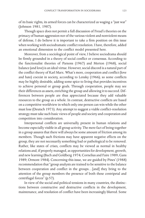of its basic rights, its armed forces can be characterized as waging a "just war" (Johnson 1981, 1987).

Though space does not permit a full discussion of Freud's theories on the primacy of human aggression nor of the various violent and nonviolent means of defense, I do believe it is important to take a firm position on this issue when working with sociodramatic conflict resolution. I have, therefore, added an emotional dimension to the conflict model presented here.

Moreover, from a sociological point of view, I believe sociodrama should be firmly grounded in a theory of social conflict or consensus. According to the functionalist theories of Parsons (1967) and Merton (1968), social balance (and love) is an ideal virtue. However, social discord is a natural part of the conflict theory of Karl Marx. What's more, cooperation and conflict (love and hate) coexist in society, according to Lensky (1966); so some conflicts may be highly desirable, adding some spice to living that provides incentives to achieve personal or group goals. Through cooperation, people may see their differences as assets, enriching the group and allowing it to succeed. Differences between people are thus appreciated because they add valuable resources to the group as a whole. In contrast, destructive conflicts are based on a competitive worldview in which only one person can win while the other must lose (Deutsch 1973). Any attempt to suggest a viable conflict-resolution strategy must take such basic views of people and society and cooperation and competition into consideration.

Interpersonal conflicts are universally present in human relations and become especially visible in all group activity. The mere fact of being together in a group assures that there will always be some amount of friction among its members. Though such frictions may have apparent negative effects on the group, they are not necessarily something bad or pathological to be removed. Rather, like states of crises, conflicts may be viewed as normal in healthy relations and, if properly managed, as opportunities for development, growth, and new learning (Bach and Goldberg 1974; Cornelius and Faire 1989; Gans 1989; Ormont 1984). Concerning this issue, we are guided by Pines' (1988) recommendation that "group analysts are trained to be sensitive to the balance between cooperation and conflict in the groups…[and] they bring to the attention of the group members the presence of both these centripetal and centrifugal forces" (p.57).

In view of the social and political tensions in many countries, the distinctions between constructive and destructive conflicts in the development, maintenance, and resolution of conflict have been increasingly blurred. Some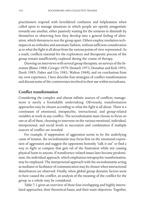practitioners respond with bewildered confusion and helplessness when called upon to manage situations in which people are openly antagonistic towards one another, either passively waiting for the tensions to diminish by themselves or observing how they develop into a general feeling of alienation, which threatens to tear the group apart. Others employ resolution techniques in an orthodox and automatic fashion, without sufficient consideration as to what the fight is all about from the various points of view represented. As a result, conflicts essential for the exploratory and therapeutic process of the group remain insufficiently explored during the course of therapy.

Drawing on interviews with several group therapists, on surveys of the literature (Bisno 1988; Cowger 1979; Deutsch 1973; Donahue and Kolt 1993; Doob 1985; Fisher and Ury 1981; Walton 1969), and on conclusions from my own experience, I here describe four strategies of conflict transformation and discuss some of the controversies involved in their use within sociodrama.

### **Conflict transformation**

Considering the complex and almost infinite sources of conflicts, management is surely a formidable undertaking. Obviously, transformation approaches may be chosen according to what the fight is all about. There is a continuum of emotional, intrapsychic, interactional, and group-related variables at work in any conflict. The sociodramatist must choose to focus on one or all of these, choosing to intervene on the various emotional, individual, interpersonal, and social levels in succession and combination if multiple sources of conflict are revealed.

For example, if suppression of aggression seems to be the underlying cause of tension, the sociodramatist may focus first on the emotional expression of aggression and suggest the opponents honestly "talk it out" or find a way to fight or compete that gets rid of the frustration while not causing physical harm to anyone. If transference-related issues later become predominant, the individual approach, which emphasizes intrapsychic transformation, may be employed. The interpersonal approach with the sociodramatist acting as mediator or facilitator of communication may be chosen when interactional disturbances are observed. Finally, when global group dynamic factors seem to have caused the conflict, an analysis of the meaning of the conflict for the group as a whole may be considered.

Table 7.1 gives an overview of these four overlapping and highly interrelated approaches, their theoretical bases, and their main objectives. Together,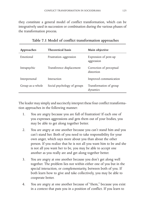they constitute a general model of conflict transformation, which can be integratively used in succession or combination during the various phases of the transformation process.

| Approaches       | <b>Theoretical basis</b>    | Main objective                         |
|------------------|-----------------------------|----------------------------------------|
| Emotional        | Frustration-aggression      | Expression of pent-up<br>aggression    |
| Intrapsychic     | Transference displacement   | Correction of perceptual<br>distortion |
| Interpersonal    | Interaction                 | Improved communication                 |
| Group-as-a-whole | Social psychology of groups | Transformation of group<br>dynamics    |

**Table 7.1 Model of conflict transformation approaches**

The leader may simply and succinctly interpret these four conflict transformation approaches in the following manner:

- 1. You are angry because you are full of frustration! If each one of you expresses aggressions and gets them out of your bodies, you may be able to get along together better.
- 2. You are angry at one another because you can't stand him and you can't stand her. Both of you need to take responsibility for your own anger, which says more about you than about the other person. If you realize that he is not all you want him to be and she is not all you want her to be, you may be able to accept one another as you really are and get along together better.
- 3. You are angry at one another because you don't get along well together. The problem lies not within either one of you but in the special interaction, or complementarity, between both of you. If both learn how to give and take collectively, you may be able to cooperate better.
- 4. You are angry at one another because of "them," because you exist in a context that puts you in a position of conflict. If you learn to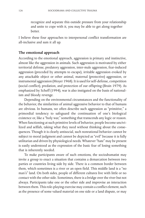recognize and separate this outside pressure from your relationship and unite to cope with it, you may be able to get along together better.

I believe these four approaches to interpersonal conflict transformation are all-inclusive and sum it all up.

# **The emotional approach**

According to the emotional approach, aggression is primary and instinctive, almost like the aggression in animals. Such aggression is motivated by either territorial defense, predatory aggression, inter-male aggression, fear-induced aggression (preceded by attempts to escape), irritable aggression evoked by any attackable object or other animal, maternal (protective) aggression, or instrumental aggression (Moyer 1968). It is used for self-defense, competition (social conflict), predation, and protection of our offspring (Brain 1979). As emphasized by Scheff (1994), war is also instigated on the basis of nationalism and bloody revenge.

Depending on the environmental circumstances and the functionality of the behavior, the similarities of animal aggressive behavior to that of humans are obvious. In humans, we often describe such aggression as "primitive," a primordial tendency to safeguard the continuation of one's biological existence or, like a "holy war," something that transcends any logic or reason. When functioning at such primitive levels of behavior, people become uncivilized and selfish, taking what they need without thinking about the consequences. Though it is clearly antisocial, such nonrational behavior cannot be subject to moral judgment and cannot be depicted as "evil" because it is fully utilitarian and driven by physiological needs. Whatever "hate" may be present is easily understood as the expression of the basic fear of losing something that is inherently needed.

To make participants aware of such emotions, the sociodramatist may invite a group to enact a situation that contains a demarcation between two parties or countries living side by side. There is a common border between them, which sometimes is a river or an open field. This middle land is a "no man's" land. On both sides, people of different cultures live with little or no contact with the other side. Sometimes, there is a bridge over the river but not always. Participants take one or the other side and improvise an interaction between them. This role-playing exercise may contain a conflict element, such as the presence of some valued material on one side or a land dispute, or may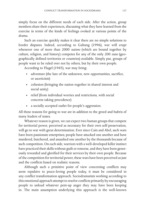simply focus on the different needs of each side. After the action, group members share their experiences, discussing what they have learned from the exercise in terms of the kinds of feelings evoked at various points of the drama.

Such an exercise quickly makes it clear there are no simple solutions to border disputes. Indeed, according to Galtung (1996), war will erupt whenever one of more than 2000 *nations* (which are bound together by culture, religion, and history) competes for any of the only 200 *states* (geographically defined territories or countries) available. Simply put, groups of people want to be ruled over not by others, but by their own people.

According to Flugel (1945), war may bring:

- adventure (the lure of the unknown, new opportunities, sacrifice, or asceticism)
- cohesion (bringing the nation together in shared interest and social unity)
- relief (from individual worries and restrictions, with social concerns taking precedence)
- $\bullet$ a socially accepted outlet for people's aggression.

All these reasons for going to war are in addition to the greed and hubris of many leaders of states.

Whatever reason is given, we can expect two human groups that compete for territorial power, perceived as necessary for their own self-preservation, will go to war with great determination. Ever since Cain and Abel, such wars have been passionate enterprises; people have attacked one another and have murdered, butchered, and assaulted one another by the thousands because of such competition. On each side, warriors with a well-developed killer instinct have practiced their skills without guilt or remorse, and they have been generously rewarded and glorified for their services by their own people. Because of the competition for territorial power, these wars have been perceived as just and the conflicts based on realistic reasons.

Although such a primitive point of view concerning conflicts may seem repulsive to peace-loving people today, it must be considered in any conflict transformation approach. Sociodramatists working according to this emotional approach attempt to resolve conflicts primarily by encouraging people to unload whatever pent-up anger they may have been keeping in. The main assumption underlying this approach is the well-known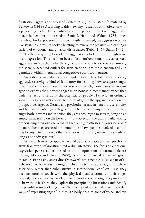frustration–aggression theory of Dollard *et al*. (1939), later reformulated by Berkowitz (1989). According to this view, any frustration or interference with a person's goal-directed activities causes the person to react with aggression that, whether innate or reactive (Simmel, Hahn and Walters 1983), must somehow find expression. If sufficient outlet is denied, the aggression builds like steam in a pressure cooker, bursting to relieve the pressure and causing a variety of emotional and physical disturbances (Rubin 1969; Smith 1992).

The best way to get rid of this aggression is to let it out through some overt expression. This need not be a violent confrontation, however, as such aggression may be channeled through vicarious cathartic experiences. Among the socially accepted outlets for such emotions are those encouraged and permitted within international competitive sports tournaments.

Sociodrama may also be a safe and suitable place for such vicariously aggressive activity: a kind of laboratory for learning how to express anger towards other people. In such an expressive approach, participants are encouraged to express their present anger in an honest, direct manner rather than with the tact and restraint characteristic of people's behavior in ordinary social situations. In action-oriented forms of group therapy, such as encounter groups, bioenergetics, Gestalt, and psychodrama, and in marathon, sensitivity, and human potential growth groups, participants are urged to express their anger both in words and in action; they are encouraged to scream, bang on an empty chair, stamp on the floor, or throw objects at the wall, simultaneously pronouncing their outrage verbally. Frequently, mattresses, pillows, or *batacas* (foam rubber bats) are used for pounding; and two people involved in a fight may be urged to push each other down or wrestle in any manner they wish (as long as nobody gets hurt).

While such an active approach would be unacceptable within a psychoanalytic framework of nonstructured verbal interaction, the focus on emotional expression per se, as manifested in the interpretation of various defenses (Rutan, Alonso and Groves 1988), is also emphasized in verbal group therapies. Expressing anger directly towards other people is also a part of all behavioral assertiveness training in which participants are taught to behave assertively rather than submissively in interpersonal conflicts. First, they become more in touch with the physical manifestations of their anger. Second, they accept anger as a legitimate emotion even though they may wish to be without it. Third, they explore the precipitating frustrations and identify the possible sources of anger. Fourth, they try out nonverbal as well as verbal ways of expressing anger (i.e. through body posture, tone of voice, and eye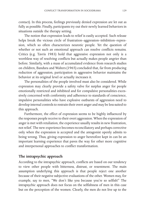contact). In this process, feelings previously denied expression are let out as fully as possible. Finally, participants try out their newly learned behaviors in situations outside the therapy setting.

The notion that expression leads to relief is easily accepted. Such release helps break the vicious circle of frustration–aggression–inhibition–repression, which so often characterizes neurotic people. Yet the question of whether or not such an emotional approach can resolve conflicts remains. Critics (e.g. Tavris 1983) hold that aggressive expression not only is a worthless way of resolving conflicts but actually makes people angrier than before. Similarly, with a mass of accumulated evidence from research studies on children, Bandura and Walters (1965) concluded that, far from producing reduction of aggression, participation in aggressive behavior maintains the behavior at its original level or actually increases it.

The personalities of the people involved must also be considered. While expression may clearly provide a safety valve for surplus anger for people emotionally restricted and inhibited and for compulsive personalities excessively concerned with conformity and adherence to standards of conscience, impulsive personalities who have explosive outbursts of aggression need to develop internal controls to restrain their overt anger and may be less suited to this approach.

Furthermore, the effect of expression seems to be highly influenced by the responses people receive to their overt aggression. When the expression of anger is met with retaliation, the experience usually results in new frustration, not relief. The new experience becomes reconciliatory and perhaps corrective only when the expression is accepted and the antagonist openly admits to being wrong. Thus, giving expression to anger heretofore kept in can be an important learning experience that paves the way for other more cognitive and interpersonal approaches to conflict transformation.

# **The intrapsychic approach**

According to the intrapsychic approach, conflicts are based on our tendency to view other people with bitterness, distrust, or resentment. The main assumption underlying this approach is that people reject one another because of their negative subjective evaluations of the other. Women may, for example, say to men, "We don't like you because you're so selfish!" The intrapsychic approach does not focus on the selfishness of men in this case but on the perception of the women. Clearly, the men do not live up to the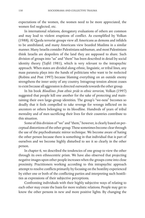expectations of the women, the women need to be more appreciated, the women feel neglected, etc.

In international relations, derogatory evaluations of others are common and may lead to violent eruptions of conflict. As exemplified by Volkan (1988), Al Qaeda terrorist groups view all Americans as demons and infidels to be annihilated, and many Americans view bearded Muslims in a similar manner. Many Israelis consider Palestinians subhuman, and most Palestinians think Israelis are despoilers of the land they are supposed to share. Such division of groups into "us" and "them" has been described in detail by social identity theory (Tajfel 1981), which is very relevant to the intrapsychic approach. When states are divided along ethnic, linguistic, or tribal lines, any mass paranoia plays into the hands of politicians who want to be reelected (Robins and Post 1997) because blaming everything on an outside enemy strengthens the inner unity of any country. Intragroup tension almost ceases to exist because all aggression is directed outwards towards the other group.

In his book *Bloodlines: from ethnic pride to ethnic terrorism*, Volkan (1997) suggested that people kill one another for the sake of protecting and maintaining their own large-group identities. The group's "we-ness" becomes so deadly that it feels compelled to take revenge for wrongs inflicted on its ancestors or others belonging to its bloodline. Hundreds of years of tribal mentality and of men sacrificing their lives for their countries contribute to this situation.

Some of this division of "we" and "them," however, is clearly based on perceptual distortions of the other group. These sometimes become clear through the use of the psychodramatic mirror technique. We become aware of hating the other person because there is something in that individual that is part of ourselves and we become highly disturbed to see it so clearly in the other person.

In chapter 6, we described the tendencies of one group to view the other through its own ethnocentric prism. We have also observed that projecting negative images upon other people increases when the groups come into close proximity. Practitioners working according to this intrapsychic approach attempt to resolve conflicts primarily by focusing on the hostility experienced by either one or both of the conflicting parties and interpreting such hostilities as expressions of their subjective perceptions.

Confronting individuals with their highly subjective ways of relating to each other may create the basis for more realistic relations. People may get to know the other persons in new and more positive lights. By changing the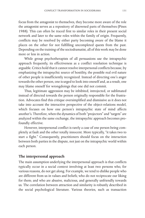focus from the antagonist to themselves, they become more aware of the role the antagonist serves as a repository of disowned parts of themselves (Pines 1988). This can often be traced first to similar roles in their present social network and later to the same roles within the family of origin. Frequently, conflicts may be resolved by either party becoming aware of the blame it places on the other for not fulfilling uncompleted quests from the past. Depending on the training of the sociodramatist, all of this work may be done more or less in action.

While group psychotherapists of all persuasions use the intrapsychic approach frequently, its effectiveness as a conflict resolution technique is arguable. Critics hold that it cannot resolve interpersonal conflicts because, by emphasizing the intrapsychic source of hostility, the possible real evil nature of other people is insufficiently recognized. Instead of directing one's anger towards the other person, one is urged to look into oneself and, as a result, one may blame oneself for wrongdoings that one did not commit.

Thus, legitimate aggression may be inhibited, introjected, or sublimated instead of directed towards the person originally responsible for the frustration. Advocates find this critique oversimplified and dismissive as it does not take into account the interactive perspective of the object-relations model, which focuses on how one person's intrapsychic state of mind affects another's. Therefore, when the dynamics of both "projectors" and "targets" are analyzed within the same exchange, the intrapsychic approach becomes profoundly effective.

However, interpersonal conflict is rarely a case of one person being completely at fault and the other totally innocent. More typically, "it takes two to start a fight." Consequently, practitioners should focus on the interaction between both parties in the dispute, not just on the intrapsychic world within each person.

# **The interpersonal approach**

The main assumption underlying the interpersonal approach is that conflicts typically occur in a social context involving at least two persons who, for various reasons, do not get along. For example, we tend to dislike people who are different from us in values and beliefs; who do not reciprocate our liking for them; and who are abusive, malicious, and generally unfriendly towards us. The correlation between attraction and similarity is robustly described in the social psychological literature. Various theories, such as transaction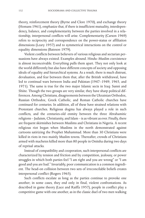theory, reinforcement theory (Byrne and Clore 1970), and exchange theory (Homans 1961), emphasize that, if there is insufficient mutuality, interdependency, balance, and complementarity between the parties involved in a relationship, interpersonal conflicts will arise. Complementarity (Carson 1969) refers to reciprocity and correspondence on the power-status or affiliation dimensions (Leary 1957) and to symmetrical interactions on the control or equality dimensions (Bateson 1979).

Violent conflicts between believers of various religious and sectarian persuasions have always existed. Examples abound. Hindu–Muslim coexistence is almost inconceivable. Everything pulls them apart. They not only look at the world differently but also have different concepts of society and opposing ideals of equality and hierarchical systems. As a result, there is much distrust, devaluation, and fear between them that, after the British withdrawal, have led to continual wars between India and Pakistan (1947–1949, 1965, and 1971). The same is true for the two major Islamic sects in Iraq: Sunni and Shiite. Though the two groups are very similar, they have sharp political differences. Among Christians, disagreements between the Ukrainian Orthodox, Russian Orthodox, Greek Catholic, and Roman Catholic churches have continued for centuries. In addition, all of these have strained relations with Protestant churches. Religious dogma has always played a role in such conflicts, and the centuries-old enmity between the three Abrahamitic religions – Judaism, Christianity, and Islam – is as vibrant as ever. Finally, there are frequent skirmishes between Muslims and Christians in Nigeria. A recent religious riot began when Muslims in the north demonstrated against cartoons satirizing the Prophet Muhammad. More than 30 Christians were killed in riots in two mainly Muslim towns. Thereafter, crowds of Christians armed with machetes killed more than 80 people in Onitsha during two days of reprisal attacks.

Instead of compatibility and cooperation, such interpersonal conflicts are characterized by tension and friction and by competition, jealousy, or power struggles in which both parties feel "I am right and you are wrong" or "I am good and you are bad." Invariably, poor communication is a common ingredient. The head-on collision between two sets of irreconcilable beliefs creates interpersonal conflict (Rogers 1965).

Such conflicts escalate as long as the parties continue to provoke one another; in some cases, they end only in final, violent confrontations. As described in game theory (Luce and Raiffa 1957), people in conflict play a competitive game with one another, as in the classic duel of two men walking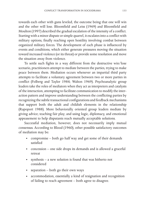towards each other with guns leveled, the outcome being that one will win and the other will lose. Bloomfield and Leiss (1969) and Bloomfield and Moulton (1997) described the gradual escalation of the intensity of a conflict. Starting with a minor dispute or simple quarrel, it escalates into a conflict with military options, finally reaching open hostility involving combat between organized military forces. The development of each phase is influenced by events and conditions, which either generate pressures moving the situation toward increased violence (or its threat) or provide some resolution and move the situation away from violence.

To settle such fights in a way different from the destructive win/lose scenario, practitioners attempt to mediate between the parties, trying to make peace between them. Mediation occurs whenever an impartial third party attempts to facilitate a voluntary agreement between two or more parties in conflict (Folberg and Taylor 1984; Walton 1969). Psychoanalytic group leaders take the roles of mediators when they act as interpreters and catalysts of the interaction, attempting to facilitate communication to modify the interaction pattern and improve understanding between the conflicting parties by recognizing the subtle transactional configurations and feedback mechanisms that support both the adult and childish elements in the relationship (Rapoport 1988). More behaviorally oriented group leaders mediate by giving advice; teaching fair play; and using logic, diplomacy, and emotional appeasement to help disputants reach mutually acceptable solutions.

Successful mediation, however, does not necessarily imply mutual consensus. According to Blood (1960), other possible satisfactory outcomes of mediation may be:

- compromise both go half way and get some of their demands satisfied
- $\overline{a}$  concession – one side drops its demands and is allowed a graceful retreat
- synthesis a new solution is found that was hitherto not considered
- separation both go their own ways
- $\overline{a}$  accommodation, essentially a kind of resignation and recognition of failing to reach agreement – both agree to disagree.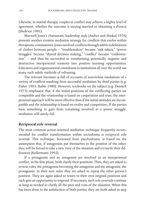Likewise, in marital therapy, couples in conflict may achieve a higher level of agreement, whether the outcome is staying married or obtaining a divorce (Sholevar 1981).

Maxwell Jones's charismatic leadership style (Ascher and Shokol 1976) presents another creative mediation strategy for conflicts that evolve within therapeutic communities. Jones resolved conflicts through subtle redefinitions of clashes between people – "troublemakers" became "risk-takers," "power struggles" became "shared decision making," "conflict" became "confrontation" – and thus he succeeded in transforming potentially negative and destructive interpersonal tensions into positive learning opportunities. Educators and organizational consultants in institutions all over the world use many such subtle methods of reframing.

The relevant literature is full of accounts of nonviolent resolutions of a variety of conflicts resulting from successful mediation by third parties (e.g. Fisher 1983; Rubin 1980). However, textbooks on the subject (e.g. Deutsch 1973) emphasize that, if the initial positions of the conflicting parties are compatible and the relationship is based on cooperation and trust, the interpersonal approach will be more effective than if the initial attitudes are incompatible and the relationship is based on rivalry and competition. If the parties have something to gain from remaining involved in a power struggle, mediation will surely fail.

## **Reciprocal role reversal**

The most common action-oriented mediation technique frequently recommended for conflict transformation within sociodrama is reciprocal role reversal. This technique, borrowed from psychodrama, is based on the assumption that, if antagonists put themselves in the position of the other, they will be forced to take a new view of the situation and reconcile their differences (Kellermann 1992).

If a protagonist and an antagonist are involved in an interpersonal conflict, in the first phase, both clarify their positions. Then, they are asked to reverse roles, the protagonist becoming the antagonist and the antagonist, the protagonist. In their new roles, they are asked to repeat the other person's position. They are again asked to return to their own original positions and each gets an opportunity to respond. If necessary, such role reversals continue as long as needed to clarify all the pros and cons of the situation. When this has been done to the satisfaction of both parties, they are both asked to step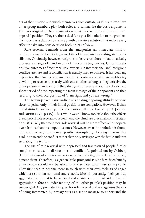out of the situation and watch themselves from outside, as if in a mirror. Two other group members play both roles and summarize the basic arguments. The two original parties comment on what they see from this outside and impartial position. They are then asked for a possible solution to the problem. Each one has a chance to come up with a creative solution that makes every effort to take into consideration both points of view.

Role reversal demands from the antagonists an immediate shift in positions, aimed at facilitating some kind of mutual understanding and reconciliation. Obviously, however, reciprocal role reversal does not automatically produce a change of mind in any of the conflicting parties. Unfortunately, positive outcomes of reciprocal role reversals in interpersonal and intergroup conflicts are rare and reconciliation is usually hard to achieve. It has been my experience that two people involved in a head-on collision are stubbornly unwilling to reverse roles truly with one another as long as they perceive the other person as an enemy. If they do agree to reverse roles, they do so for a short period of time, repeating the main message of their opponent and then resorting to their old position of "I am right and you are wrong."

This technique will cause individuals holding opposing attitudes to come closer together only if their initial positions are compatible. However, if their initial attitudes are incompatible, the parties will move further apart (Johnson and Dustin 1970, p.149). Thus, while we still know too little about the effects of reciprocal role reversal to recommend the blind use of it in all conflict situations, it is likely that reciprocal role reversal will be more effective in cooperative relations than in competitive ones. However, even if no solution is found, the technique may create a more positive atmosphere, reflecting the search for a solution to end the conflict rather than only trying to win the battle and thus escalating the tension.

The use of role reversal with oppressed and traumatized people further complicates its use in all situations of conflict. As pointed out by Ochberg (1988), victims of violence are very sensitive to being blamed for the wrong done to them. Therefore, as a general rule, protagonists who have been hurt by other people should not be asked to reverse roles with these same people. They first need to become more in touch with their own feelings of anger, which are so often confused and chaotic. Most importantly, their pent-up aggression needs first to be asserted and channeled to the outside source of aggression before an understanding of the other people's position may be encouraged. Any premature request for role reversal at this stage runs the risk of being interpreted by protagonists as a subtle message to understand the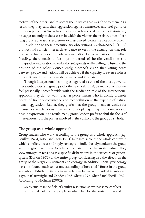motives of the others and to accept the injustice that was done to them. As a result, they may turn their aggression against themselves and feel guilty or further repress their true selves. Reciprocal role reversal for reconciliation may be suggested only in those cases in which the victims themselves, often after a long process of trauma resolution, express a need to take the role of the other.

In addition to these precautionary observations, Carlson-Sabelli (1989) did not find sufficient research evidence to verify the assumption that role reversal actually does promote reconciliation between parties in conflict. Possibly, there needs to be a prior period of hostile ventilation and intrapsychic exploration to make the antagonists really willing to listen to the position of the other. Consequently, Moreno's vision that lasting peace between people and nations will be achieved if the capacity to reverse roles is only cultivated must be considered naive and utopian.

Though interpersonal learning is regarded as one of the most powerful therapeutic aspects in group psychotherapy (Yalom 1975), many practitioners feel personally uncomfortable with the mediation role of the interpersonal approach; they do not want to act as peace-makers who implicitly promote norms of friendly coexistence and reconciliation at the expense of natural human aggression. Rather, they prefer that the group members decide for themselves which norms they want to adopt regarding the boundaries of hostile expression. As a result, many group leaders prefer to shift the focus of intervention from the parties involved in the conflict to the group as a whole.

# **The group-as-a-whole approach**

Group leaders who work according to the group-as-a-whole approach (e.g. Foulkes 1964; Kibel and Stein 1981) take into account the whole context in which conflicts occur and apply concepts of individual dynamics to the group as if the group were able to behave, feel, and think like an individual. They view intragroup tensions as a specific disharmony in the structure or general system (Durkin 1972) of the entire group, considering also the effects on the group of the larger environment and ecology. In addition, social psychology has contributed much to our understanding of how social forces in the group as a whole disturb the interpersonal relations between individual members of a group (Cartwright and Zander 1968; Shaw 1976; Sherif and Sherif 1969). According to Hoffman (2002):

Many studies in the field of conflict resolution show that some conflicts are caused not by the people involved but by the system or social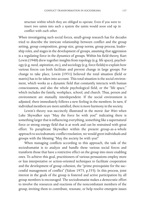structure within which they are obliged to operate. Even if you were to insert two saints into such a system the saints would soon end up in conflict with each other.

When investigating such social forces, small-group research has for decades tried to describe the intricate relationship between conflict and the group setting, group composition, group size, group norms, group process, leadership roles, and stages in the development of groups, assuming that aggression is a regulating force in the dynamics of groups. Within his field theory, Kurt Lewin (1948) drew together insights from topology (e.g. life space), psychology (e.g. need, aspiration, etc.), and sociology (e.g. force fields) to explain how various forces can both facilitate and prevent change in large groups. For change to take place, Lewin (1951) believed the total situation (field or matrix) has to be taken into account. This total situation is the social environment, which works as a dynamic field that constantly interacts with human consciousness, and also the whole psychological field, or the "life space," which includes the family, workplace, school, and church. Thus, person and environment are mutually interdependent. If the social environment is adjusted, there immediately follows a new feeling in the members. In turn, if individual members are more satisfied, there is more harmony in the society.

Lewin's theory was succinctly illustrated in the movie *Star Wars* when Luke Skywalker says "May the force be with you!" indicating there is something larger that is influencing everything, something like a supernatural force or strong energy field that is at work and can be restrained with great effort. To paraphrase Skywalker within the present group-as-a-whole approach to sociodramatic conflict resolution, we would greet individuals and groups with the blessing "May the society be with you!"

When managing conflicts according to this approach, the task of the sociodramatist is to analyze and handle these various social forces and transform those that have a restrictive effect on the group into more enabling ones. To achieve this goal, practitioners of various persuasions employ more or less interpretative or action-oriented techniques to facilitate cooperation and the development of group cohesion, the "prime prerequisite for the successful management of conflict" (Yalom 1975, p.355). In this process, joint interest in the goals of the group is fostered and active participation by all group members is encouraged. The sociodramatist makes a democratic effort to involve the resources and reactions of the noncombatant members of the group, inviting them to contribute, resonate, or help resolve emergent issues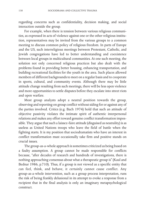regarding concerns such as confidentiality, decision making, and social interaction outside the group.

For example, when there is tension between various religious communities, as expressed in acts of violence against one or the other religious institution, representatives may be invited from the various groups to a common meeting to discuss common policy of religious freedom. In parts of Europe and the US, such interreligious meetings between Protestant, Catholic, and Jewish congregations have led to better understanding and coexistence between local groups in multicultural communities. At one such meeting, the solution not only concerned religious practices but also dealt with the problems found in providing better housing, enhancing transportation, and building recreational facilities for the youth in the area. Such places allowed members of different backgrounds to meet on a regular basis and to cooperate in sports, cultural, and community events. Although there may be little attitude change resulting from such meetings, there will be less open violence and more opportunities to settle disputes before they escalate into street riots and open warfare.

Most group analysts adopt a neutral position towards the group, observing and reporting on group conflict without siding for or against any of the parties involved. Critics (e.g. Bach 1974) hold that such an attitude of objective passivity violates the intimate spirit of authentic interpersonal relations and makes any effort toward genuine conflict transformation impossible. They argue that such a laissez-faire attitude (disguised as neutrality) is as useless as United Nations troops who leave the field of battle when the fighting starts. It is my position that sociodramatists who have an interest in conflict transformation must occasionally take firm and positive stands on crucial issues.

The group-as-a-whole approach is sometimes criticized as being based on a faulty assumption. A group cannot be made responsible for conflicts because, "after decades of research and hundreds of investigations, there is nothing approaching consensus about what a therapeutic group is" (Kaul and Bednar 1986, p.710). Thus, if a group is not viewed as a specific entity that can feel, think, and behave, it certainly cannot cause conflict. Any group-as-a-whole intervention, such as a group process interpretation, runs the risk of being frankly delusional in its attempt to evoke a response from a recipient that in the final analysis is only an imaginary metapsychological construct.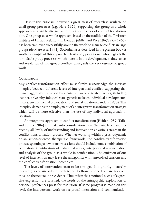Despite this criticism, however, a great mass of research is available on small-group processes (e.g. Hare 1976) supporting the group-as-a-whole approach as a viable alternative to other approaches of conflict transformation. One group-as-a-whole approach, based on the tradition of the Tavistock Institute of Human Relations in London (Miller and Rice 1967; Rice 1965), has been employed successfully around the world to manage conflicts in large groups (de Maré *et al*. 1991). Sociodrama as described in the present book is another example of this approach. Clearly, any practitioner who neglects the formidable group processes which operate in the development, maintenance, and resolution of intragroup conflicts disregards the very essence of group work.

## **Conclusion**

Any conflict transformation effort must firmly acknowledge the intricate interplay between different levels of interpersonal conflict, suggesting that human aggression is caused by a complex web of related factors, including instinct, drive, physiological state, genetic makeup, individual developmental history, environmental provocation, and social situation (Bandura 1973). This interplay demands the employment of an integrative transformation strategy, which will be more effective than the use of any individual approach in isolation.

An integrative approach to conflict transformation (Heitler 1987; Tajfel and Turner 1986) must take into consideration more than one level, and frequently all levels, of understanding and intervention at various stages in the conflict-transformation process. Whether working within a psychodynamic or an action-oriented therapeutic framework, the conflict-transformation process spanning a few or many sessions should include some combination of ventilation, identification of individual issues, interpersonal reconciliation, and analysis of the group as a whole in combination. The omission of one level of intervention may leave the antagonists with unresolved tensions and the conflict transformation incomplete.

The levels of intervention seem to be arranged in a priority hierarchy, following a certain order of preference. As those on one level are resolved, those on the next take precedence. Thus, when the emotional needs of aggressive expression are satisfied, the needs of the intrapsychic exploration of personal preferences press for resolution. If some progress is made on this level, the interpersonal work on reciprocal interaction and communication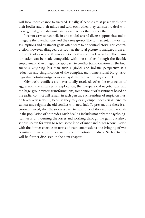will have more chance to succeed. Finally, if people are at peace with both their bodies and their minds and with each other, they can start to deal with more global group dynamic and social factors that bother them.

It is not easy to reconcile in one model several diverse approaches and to integrate them within one and the same group. The fundamental theoretical assumptions and treatment goals often seem to be contradictory. This contradiction, however, disappears as soon as the total picture is analyzed from all the points of view; and it is my experience that the four levels of conflict transformation can be made compatible with one another through the flexible employment of an integrative approach to conflict transformation. In the final analysis, anything less than such a global and holistic perspective is a reduction and simplification of the complex, multidimensional bio-physiological–emotional–organic–social systems involved in any conflict.

Obviously, conflicts are never totally resolved. After the expression of aggression, the intrapsychic exploration, the interpersonal negotiations, and the large-group system transformations, some amount of resentment based on the earlier conflict will remain in each person. Such residues of suspicion must be taken very seriously because they may easily erupt under certain circumstances and reignite the old conflict with new fuel. To prevent this, there is an enormous need, after the storm is over, to heal some of the emotional wounds in the population of both sides. Such healing includes not only the psychological needs of mourning the losses and working through the guilt but also a serious search for ways to reach some kind of inner and outer reconciliation with the former enemies in terms of truth commissions, the bringing of war criminals to justice, and postwar peace promotion initiatives. Such activities will be further discussed in the next chapter.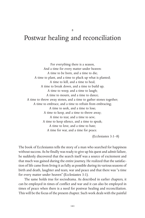8

# Postwar healing and reconciliation

For everything there is a season, And a time for every matter under heaven: A time to be born, and a time to die; A time to plant, and a time to pluck up what is planted; A time to kill, and a time to heal; A time to break down, and a time to build up; A time to weep, and a time to laugh; A time to mourn, and a time to dance; A time to throw away stones, and a time to gather stones together; A time to embrace, and a time to refrain from embracing; A time to seek, and a time to lose; A time to keep, and a time to throw away; A time to tear, and a time to sew; A time to keep silence, and a time to speak; A time to love, and a time to hate; A time for war, and a time for peace.

(Ecclesiastes 3:1–8)

The book of Ecclesiastes tells the story of a man who searched for happiness without success. As he finally was ready to give up his quest and admit failure, he suddenly discovered that the search itself was a source of excitement and that much was gained during the entire journey. He realized that the satisfaction of life came from living it as fully as possible during its various seasons of birth and death, laughter and tears, war and peace and that there was "a time for every matter under heaven" (Ecclesiastes 3:1).

The same holds true for sociodrama. As described in earlier chapters, it can be employed in times of conflict and war and it can also be employed in times of peace when there is a need for postwar healing and reconciliation. This will be the focus of the present chapter. Such work deals with the painful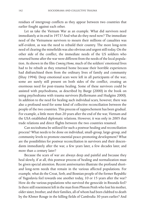residues of intergroup conflicts as they appear between two countries that earlier fought against each other.

Let us take the Vietnam War as an example. What did survivors need immediately at its end in 1973? And what do they need now? The immediate need of the Vietnamese survivors to mourn their millions of casualties was self-evident, as was the need to rebuild their country. The more long-term need of clearing the minefields was also obvious and urgent still today. On the other side of the conflict, the immediate needs of the US soldiers who returned home after the war were different from the needs of the local population. As shown in the film *Coming Home*, much of the soldiers' emotional lives had to be rebuilt as they returned home because their horrible experiences had disfranchised them from the ordinary lives of family and community (Shay 1994). Deep emotional scars were left in all participants of the war; some are surely still present on both sides of the conflict, creating an enormous need for post-trauma healing. Some of these survivors could be assisted with psychodrama, as described by Burge (2000) in the book on using psychodrama with trauma survivors (Kellermann and Hudgins 2000). In addition to the need for healing such individual scars, however, there was also a profound need for some kind of collective reconciliation between the people of the two countries. This process of rapprochement has been gradual. For example, a little more than 20 years after the end of the war, Vietnam and the USA established diplomatic relations. However, it was only in 2005 that trade relations and direct flights between the two countries resumed.

Can sociodrama be utilized for such a postwar healing and reconciliation process? What needs to be done on individual, small-group, large-group, and community levels to promote essential peace-promoting development? What are the possibilities for postwar reconciliation in survivors and their descendants immediately after the war, a few years later, a few decades later, and more than a century later?

Because the scars of war are always deep and painful and because they heal slowly, if at all, this postwar process of healing and normalization must be given special attention. Recent anniversaries illustrate the profound shortand long-term needs that remain in the various affected populations. For example, what do the Croat, Serb, and Bosnian people of the former Republic of Yugoslavia feel towards one another today, 10 or 15 years after the war? How do the various populations who survived the genocide in Rwanda feel? Is there still resentment left in the man from Phnom Penh who lost his mother, older sister, brother, and their families, all of whom had been clubbed to death by the Khmer Rouge in the killing fields of Cambodia 30 years earlier? And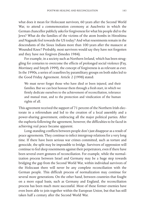what does it mean for Holocaust survivors, 60 years after the Second World War, to attend a commemoration ceremony at Auschwitz in which the German chancellor publicly asks for forgiveness for what his people did to the Jews? What do the families of the victims of the atom bombs in Hiroshima and Nagasaki feel towards the US today? And what resentments remain in the descendants of the Sioux Indians more than 100 years after the massacre at Wounded Knee? Probably, most survivors would say they have not forgotten and they have not forgiven (Smedes 1984).

For example, in a society such as Northern Ireland, which has been struggling for centuries to overcome the effects of prolonged social violence (Fay, Morrissey and Smyth 1999), the concept of forgiveness is as relevant as ever. In the 1990s, a series of ceasefires by paramilitary groups on both sides led to the Good Friday Agreement. Article 2 (1998) stated:

We must never forget those who have died or been injured, and their families. But we can best honour them through a fresh start, in which we firmly dedicate ourselves to the achievement of reconciliation, tolerance and mutual trust, and to the protection and vindication of the human rights of all.

This agreement received the support of 71 percent of the Northern Irish electorate in a referendum and led to the creation of a local assembly and a power-sharing government, embracing all the major political parties. After the euphoria following the agreement, however, the difficulties to be faced in achieving real peace became apparent.

Long-standing conflicts between people don't just disappear as a result of peace agreements. They continue to infect intergroup relations for a very long time. If there have been serious war crimes committed, such as torture and genocide, the split may be impossible to bridge. Survivors of oppression will continue to feel deep resentments against their perpetrators, even if there have been several overt gestures of reconciliation. For example, while the normalization process between Israel and Germany may be a huge step towards bridging the gap from the Second World War, within individual survivors of the Holocaust there will never be any complete reconciliation with the German people. This difficult process of normalization may continue for several more generations. On the other hand, between countries that fought on a more equal basis, such as Germany and England, the reconciliation process has been much more successful. Most of these former enemies have even been able to join together within the European Union, but that has still taken half a century after the Second World War.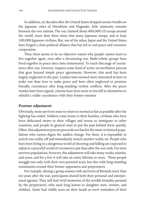In addition, six decades after the United States dropped atomic bombs on the Japanese cities of Hiroshima and Nagasaki, little animosity remains between the two nations. The war claimed about 400,000 US troops around the world, more than three times that many Japanese troops, and at least 300,000 Japanese civilians. But, out of the ashes, Japan and the United States have forged a close political alliance that has led to real peace and extensive cooperation.

Thus, there seems to be no objective reason why people cannot learn to live together again, even after a devastating war. Multi-ethnic groups have lived together in peace since time immemorial. To reach this stage of coexistence after war, however, requires some kind of active reconciliation process that goes beyond simple peace agreements. However, this need has been largely neglected in the past. Leaders have seemed more interested in how to make war than how to make peace and have often neglected to promote friendly coexistence after long-standing violent conflicts. After the peace treaties have been signed, citizens have been more or less left to themselves to rebuild a viable coexistence with their former enemies.

## **Postwar adjustment**

Obviously, most survivors want to return to normal as fast as possible after the fighting has ended. Soldiers come home to their families, civilians who have been dislocated return to their villages and towns or immigrate to other countries, and people in general want to put the past behind them quickly. Often, this adjustment process proceeds too fast for the most victimized populations who cannot digest the sudden change. For them, it is impossible to switch one reality off and immediately switch another reality on. People who have been living in a dangerous world of shooting and killing are expected to adjust to a peaceful world of coexistence just days after the war ends. For most survivor populations, however, this adjustment will take many weeks, months, and years; and for a few it will take an entire lifetime or more. These people struggle not only with their own personal scars, but also with long-standing resentments toward their former oppressors and perpetrators.

For example, during a group session with survivors of Rwanda more than ten years after the war, participants shared both their personal and interpersonal agonies. They still had vivid memories of the terrible brutality pursued by the perpetrators, who used long knives to slaughter men, women, and children. Some had visible scars on their heads as overt reminders of their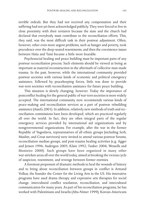terrible ordeals. But they had not received any compensation and their suffering had not yet been acknowledged publicly. They were forced to live in close proximity with their torturers because the state and the church had declared that everybody must contribute to the reconciliation efforts. This, they said, was the most difficult task in their postwar adjustment. Often, however, other even more urgent problems, such as hunger and poverty, took precedence over the deep-seated resentments, and then the coexistence issues between Hutu and Tutsi became a little more bearable.

Psychosocial healing and peace building must be important parts of any postwar reconciliation process. Such elements should be viewed as being as important as material reconstruction in the aftermath of collective man-made trauma. In the past, however, while the international community provided postwar societies with various kinds of economic and political emergency assistance, followed by peacekeeping forces, little was done to provide war-torn societies with reconciliation assistance for future peace building.

This situation is slowly changing, however. Today the importance of postconflict healing for the general public of war-torn societies is more widely accepted. The international community now recommends various kinds of peace-making and reconciliation services as a part of postwar rebuilding assistance (Assefa 2001). In addition, relatively new methods of truth and reconciliation commissions have been developed, which are practiced regularly all over the world. In fact, they are often integral parts of the regular emergency services provided by international aid organizations and by nongovernmental organizations. For example, after the war in the former Republic of Yugoslavia, representatives of all ethnic groups (including Serb, Muslim, and Croat survivors) were invited to attend various postwar forums, reconciliation median groups, and post-trauma healing activities (e.g. Agger and Jensen 1996; Audergon 2005; Klain 1992; Tauber 2004; Wessells and Monteiro 2000). Such groups have been organized in many other war-stricken areas all over the world today, aimed at breaking the vicious cycle of suspicion, resentment, and revenge between former enemies.

A foremost proponent of dramatic methods to heal the wounds of history and to bring about reconciliation between groups in conflict is Armand Volkas, the founder the Center for the Living Arts in the US. His innovative programs have used drama therapy and expressive arts therapies for social change, intercultural conflict resolution, reconciliation, and intercultural communication for many years. As part of his reconciliation programs, he has worked with Palestinians and Israelis (Abu-Nimer 1999); Korean-Americans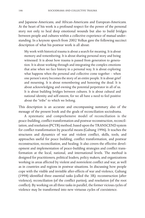and Japanese-Americans; and African-Americans and European-Americans. At the heart of his work is a profound respect for the power of the personal story not only to heal deep emotional wounds but also to build bridges between people and cultures within a collective experience of mutual understanding. In a keynote speech from 2002 Volkas gave the following succinct description of what his postwar work is all about:

My work with historical trauma is about a search for meaning. It is about memory and remembering. It is about sharing personal story and being witnessed. It is about how trauma is passed from generation to generation. It is about working through and integrating the complex emotions that arise when we face history in a personal way. It is about exploring what happens when the personal and collective come together – when one person's story becomes the story of an entire people. It is about grief and mourning. It is about remembering and honoring the dead. It is about acknowledging and owning the potential perpetrator in all of us. It is about building bridges between cultures. It is about cultural and national identity and self-esteem, for we all have a need to feel positive about the "tribe" to which we belong.

This description is an accurate and encompassing summary also of the message of the present book and the goals of reconciliation sociodrama.

A systematic and comprehensive model of reconciliation is the peace-building, conflict transformation and postwar reconstruction, reconciliation, and resolution (PCTR) method, based upon the TRANSCEND system for conflict transformation by peaceful means (Galtung 1996). It teaches the structures and dynamics of war and violent conflict, skills, tools, and approaches useful for peace building, conflict transformation, and postwar reconstruction, reconciliation, and healing. It also covers the effective development and implementation of peace-building strategies and conflict transformation at the local, national, and international levels. The method is designed for practitioners, political leaders, policy makers, and organizations working in areas affected by violent and nonviolent conflict and war, as well as in countries and regions in postwar situations. In discussing how people cope with the visible and invisible after-effects of war and violence, Galtung (1998) identified three essential tasks (called the 3R): reconstruction (after violence), reconciliation (of the conflict parties), and resolution (of the root conflict). By working on all three tasks in parallel, the former vicious cycles of violence may be transformed into new virtuous cycles of coexistence.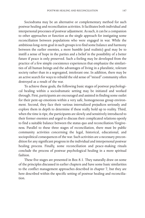Sociodrama may be an alternative or complementary method for such postwar healing and reconciliation activities. It facilitates both individual and interpersonal processes of postwar adjustment. As such, it can be a companion to other approaches or function as the single approach for instigating some reconciliation between populations who were engaged in war. While the ambitious long-term goal in such groups is to find some balance and harmony between the earlier enemies, a more humble (and realistic) goal may be to instill a sense of hope in the parties and a belief in the possibility of a better future if peace is only preserved. Such a feeling may be developed from the practice of a few simple coexistence experiences that emphasize the similarities of all human beings and the advantages of living in a pluralistic, tolerant society rather than in a segregated, intolerant one. In addition, there may be an active search for ways to rebuild the old sense of "mixed" community often destroyed as a result of the war.

To achieve these goals, the following basic stages of postwar psychological healing within a sociodramatic setting may be initiated and worked through. First, participants are encouraged and assisted in finding some outlet for their pent-up emotions within a very safe, homogeneous group environment. Second, they face their various internalized prejudices seriously and explore them in depth to determine if these really hold up to reality. Third, when the time is ripe, the participants are slowly and sensitively introduced to their former enemies and urged to discuss their complicated relations openly to find a suitable balance between the status quo and reconciliation/forgiveness. Parallel to these three stages of reconciliation, there must be public community activities concerning the legal, historical, educational, and sociopolitical consequences of the war. Such activities are a necessary precondition for any significant progress in the individual and interpersonal postwar healing process. Finally, some reconciliation and peace-making rituals conclude the process of postwar psychological healing in a more spiritual fashion.

These five stages are presented in Box 8.1. They naturally draw on some of the principles discussed in earlier chapters and have some basic similarities to the conflict management approaches described in chapter 7, but they are here described within the specific setting of postwar healing and reconciliation.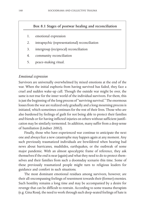## **Box 8.1 Stages of postwar healing and reconciliation**

- 1. emotional expression
- 2. intrapsychic (representational) reconciliation
- 3. intergroup (reciprocal) reconciliation
- 4. community reconciliation
- 5. peace-making ritual.

### *Emotional expression*

Survivors are universally overwhelmed by mixed emotions at the end of the war. When the initial euphoria from having survived has faded, they face a cruel and sudden wake-up call. Though the outside war might be over, the same is not true for the inner world of the individual survivors. For them, this is just the beginning of the long process of "surviving survival." The enormous losses from the war are realized only gradually and a long mourning process is initiated, which sometimes continues for the rest of their lives. Those who are also burdened by feelings of guilt for not being able to protect their families and friends or for having inflicted injuries on others without sufficient justification may be similarly tormented. In addition, many suffer from a deep sense of humiliation (Lindner 2002).

Finally, those who have experienced war continue to anticipate the next one and always fear a new catastrophe may happen again at any moment. Any such previously traumatized individuals are bewildered when hearing bad news about hurricanes, mudslides, earthquakes, or the outbreak of some major pandemic. With an almost apocalyptic frame of reference, they ask themselves if the end is near (again) and what they need to do to protect themselves and their families from such a doomsday scenario this time. Some of these previously traumatized people might turn to religious leaders for guidance and comfort in such situations.

The most dominant emotional residues among survivors, however, are their all-encompassing feelings of resentment towards their (former) enemies. Such hostility remains a long time and may be accompanied by a desire for revenge that can be difficult to restrain. According to some trauma therapists (e.g. Gina Ross), the need to work through such deep-seated feelings of hate is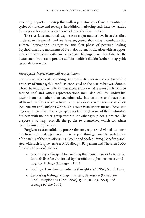especially important to stop the endless perpetuation of war in continuous cycles of violence and revenge. In addition, harboring such hate demands a heavy price because it is such a self-destructive force to bear.

These various emotional responses to major trauma have been described in detail in chapter 4, and we have suggested that crisis sociodrama is a suitable intervention strategy for this first phase of postwar healing. Psychodramatic reenactments of the major traumatic situation with an opportunity for emotional catharsis of pent-up feelings may, therefore, be the treatment of choice and provide sufficient initial relief for further intrapsychic reconciliation work.

### *Intrapsychic (representational) reconciliation*

In addition to the need for finding emotional relief, survivors need to confront a variety of intrapsychic conflicts connected to the war. What was done to whom, by whom, in which circumstances, and for what reason? Such conflicts around self and other representations may also call for individual psychodramatic, rather than sociodramatic, interventions and have been addressed in the earlier volume on psychodrama with trauma survivors (Kellermann and Hudgins 2000). This stage is an important one because it urges representatives of one group to work through some of their unfinished business with the other group without the other group being present. The purpose is to help reconcile the parties to themselves, which sometimes includes inner forgiveness.

Forgiveness is an unfolding process that may require individuals to transition from the initial experience of intense pain through possible modification of the status of their relationships (Scobie and Scobie 1998). Benefits associated with such forgiveness (see McCullough, Pargament and Thoresen 2000, for a recent review) include:

- promoting self-respect by enabling the injured parties to refuse to let their lives be dominated by harmful thoughts, memories, and negative feelings (Holmgren 1993)
- finding release from resentment (Enright *et al*. 1996; North 1987)
- decreasing feelings of anger, anxiety, depression (Davenport 1991; Fitzgibbons 1986, 1998), guilt (Halling 1994), and revenge (Cloke 1993).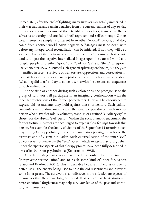Immediately after the end of fighting, many survivors are totally immersed in their war trauma and remain detached from the current realities of day-to-day life for some time. Because of their terrible experiences, many view themselves as unworthy and are full of self-reproach and self-contempt. Others view themselves simply as different from other "normal" people, as if they come from another world. Such negative self-images must be dealt with before any interpersonal reconciliation can be initiated. If not, they will be a source of further interpersonal confusion and conflict because such survivors tend to project the negative internalized images upon the external world and to split people into either "good" and "bad" or "us" and "them" categories. Earlier chapters have discussed such general splitting tendencies, but they are intensified in recent survivors of war, torture, oppression, and persecution. In most such cases, survivors have a profound need to talk extensively about "what they did to us" and try to come to terms with the personal consequences of such maltreatment.

At one time or another during such explorations, the protagonist or the group of survivors will participate in an imaginary confrontation with the inner representations of the former perpetrators. They will be encouraged to express old resentments they hold against these tormentors. Such painful encounters are not done initially with the actual perpetrator but with another person who plays that role. A voluntary stand-in or a trained "auxiliary ego" is chosen for the absent "evil" person. Within the sociodramatic enactment, the former torture survivors are encouraged to express their feelings towards that person. For example, the family of victims of the September 11 terrorist attack may thus get an opportunity to confront auxiliaries playing the roles of the terrorists and of Osama bin Laden. Such externalization of the inner "evil" object serves to demarcate the "evil" object, which in itself may bring relief. Other therapeutic aspects of this therapy process have been fully described in my earlier book on psychodrama (Kellermann 1992).

At a later stage, survivors may need to contemplate the road to "intrapsychic reconciliation" and to reach some kind of inner forgiveness (Staub and Pearlman 2001). This is desirable because it liberates or puts to better use all the energy being used to hold the old resentments and provides some inner peace. The survivors also rediscover more affectionate aspects of themselves that they have long repressed. If successful, such vicarious and representational forgiveness may help survivors let go of the past and start to forgive themselves.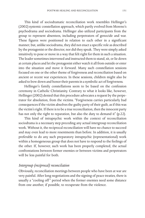This kind of sociodramatic reconciliation work resembles Hellinger's (2002) systemic constellation approach, which partly evolved from Moreno's psychodrama and sociodrama. Hellinger also utilized participants from the group to represent absentees, including perpetrators of genocide and war. These figures were positioned in relation to each other in a significant manner; but, unlike sociodrama, they did not enact a specific role as described by the protagonist or the director, nor did they speak. They were simply asked intuitively to pose or move in a way that felt right for them in such a situation. The leader sometimes intervened and instructed them to stand, sit, or lie down at certain places and let the protagonist either watch it all from outside or enter into the situation and move it forward. Many such constellation sessions focused on one or the other theme of forgiveness and reconciliation based on ancient or recent war experiences. In these sessions, children might also be asked to bow down and honor their parents in a symbolic act of forgiveness.

Hellinger's family constellations seem to be based on the confession ceremony in Catholic Christianity. Contrary to what it looks like, however, Hellinger (2002) denied that this procedure advocates a request by the perpetrator for absolution, from the victims. "Forgiveness carries particularly bad consequences if the victim absolves the guilty party of their guilt, as if this was the victim's right. If there is to be a true reconciliation, then the innocent party has not only the right to reparation, but also the duty to demand it" (p.22).

This kind of intrapsychic work within the context of reconciliation sociodrama is a necessary step preceding any actual intergroup reconciliation work. Without it, the reciprocal reconciliation will have no chance to succeed and may even lead to more resentments than before. In addition, it is usually preferable to do any such preparatory intrapsychic (representational) work within a homogeneous group that does not have to respond to the feelings of the other. If, however, such work has been properly completed, the actual confrontations between former enemies or between victims and perpetrators will be less painful for both.

#### *Intergroup (reciprocal) reconciliation*

Obviously, reconciliation meetings between people who have been at war are very painful. After long negotiations and the signing of peace treaties, there is usually a "cooling off " period when the former enemies need some distance from one another, if possible, to recuperate from the violence.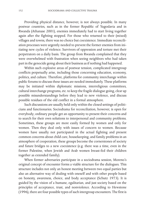Providing physical distance, however, is not always possible. In many postwar countries, such as in the former Republic of Yugoslavia and in Rwanda (Athanase 2001), enemies immediately had to start living together again after the fighting stopped. For those who returned to their (mixed) villages and towns, there was no choice but coexistence. Immediate reconciliation processes were urgently needed to prevent the former enemies from initiating new cycles of violence. Survivors of oppression and torture met their perpetrators on a daily basis. The group from Rwanda complained that they were overwhelmed with frustration when seeing neighbors who had taken part in the genocide going about their business as if nothing had happened.

Within such explosive areas of postwar tension, complicated intergroup conflicts perpetually arise, including those concerning education, economy, politics, and culture. Therefore, platforms for community interchange within public forums to discuss these issues are needed immediately. These platforms may be initiated within diplomatic missions, interreligious committees, cultural interchange programs, etc. to keep the fragile dialogue going, clear up possible misunderstandings before they lead to new violence, and discuss possible residues of the old conflict in a formal atmosphere.

Such discussions are usually held only within the closed settings of politicians and functionaries. Sociodrama for reconciliation, however, is open for everybody; ordinary people get an opportunity to present their concerns and to search for their own solutions to interpersonal and community problems. Sometimes, these groups are more easily formed by women and only for women. Then they deal only with issues of concern to women. Because women have usually not participated in the actual fighting and present common concerns about child care, housekeeping, and family problems in an atmosphere of cooperation, these groups become the cornerstones of society and future bridges to a new coexistence (e.g. there was a time, even in the former Palestine, when Jewish and Arab women breast-fed their children together as extended family).

When former adversaries participate in a sociodrama session, Moreno's original concept of encounter forms a viable structure for the dialogues. This structure includes not only an honest meeting between two equal parties but also an alternative way of dealing with oneself and with other people based on honesty, awareness, choice, and body acceptance (Schutz 1973). It is guided by the vision of a humane, egalitarian, and just society based on the principles of acceptance, trust, and nonviolence. According to Hewstone (1996), there are four possible types of such intergroup encounters. The first is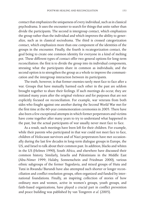contact that emphasizes the uniqueness of every individual, such as in classical psychodrama. It uses the encounter to search for things that unite rather than divide the participants. The second is intergroup contact, which emphasizes the group rather than the individual and which improves the ability to generalize, such as in classical sociodrama. The third is crossed categorization contact, which emphasizes more than one component of the identities of the groups in the encounter. Finally, the fourth is recategorization contact, the goal being to create one common identity for everyone in a kind of melting pot. These different types of contact offer two general options for long-term reconciliation: the first is to divide the group into its individual components, stressing what the participants share in common as individuals; and the second option is to strengthen the group as a whole to improve the communication and the intergroup interaction between its participants.

The truth, however, is that former enemies rarely meet face to face after a war. Groups that have mutually harmed each other in the past are seldom brought together to share their feelings. If such meetings do occur, they are initiated many years after the original violence and for purposes that are not explicitly focused on reconciliation. For example, war veterans from both sides who fought against one another during the Second World War met for the first time at the 60-year commemoration ceremonies in 2005. There have also been a few exceptional attempts in which former perpetrators and victims have come together after many years to try to understand what happened in the past, but the actual participants of war usually never meet face to face.

As a result, such meetings have been left for their children. For example, while their parents who participated in that war could not meet face to face, children of Holocaust survivors and of Nazi perpetrators have met occasionally during the last few decades in long-term dialogue groups in Europe, the US, and Israel to talk about their common past. In addition, blacks and whites in the US (Helmes 1990), South Africa, and elsewhere have discussed their common history. Similarly, Israelis and Palestinians in the Middle East (Abu-Nimer 1999; Halaby, Sonnenschein and Friedman 2000), various ethnic subgroups of the former Yugoslavia, and mixed groups of Hutu and Tutsi in Rwanda/Burundi have also attempted such shorter or longer reconciliation and conflict resolution groups, often organized and funded by international foundations. Finally, an inspiring collection of stories of how ordinary men and women, active in women's groups, youth groups, and faith-based organizations, have played a crucial part in conflict prevention and peace building was published by van Tongeren *et al*. (2005).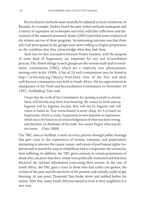Reconciliation methods must naturally be adjusted to local conditions. In Rwanda, for example, leaders found the pure verbal methods inadequate and a variety of expressive art techniques was tried, with later reflections and discussions of the material presented. Kester (2001) provided some evidence of the relative success of these programs. An interesting outcome was that those who had participated in the groups were more willing to forgive perpetrators on the condition that they acknowledge what they had done.

Such face-to-face encounters between former enemies, with the purpose of some kind of forgiveness, are important for any real reconciliation process. The closest things to such groups are the various truth and reconciliation commissions (TRC), which are a relatively new phenomenon, starting only in the 1980s. A list of 24 such commissions may be found at http://www.usip.org/library/truth.html. One of the first and most well-known commissions was held in South Africa. On his appointment as chairperson of the Truth and Reconciliation Commission on November 30 1995, Archbishop Tutu said:

I hope that the work of the Commission, by opening wounds to cleanse them, will thereby stop them from festering. We cannot be facile and say bygones will be bygones, because they will not be bygones and will return to haunt us. True reconciliation is never cheap, for it is based on forgiveness, which is costly. Forgiveness in turn depends on repentance, which has to be based on an acknowledgement of what was done wrong, and therefore on disclosure of the truth. You cannot forgive what you do not know… (Tutu 2000)

The TRC aims to facilitate a truth recovery process through public hearings that give voice to the experiences of victims, witnesses, and perpetrators, attempting to uncover the causes, nature, and extent of past human rights violations and to search for ways to rehabilitate and to compensate the victims for their suffering. In addition, the TRC gives amnesty to certain perpetrators of abuse who can prove that their crimes were politically motivated and that they disclosed the relevant information concerning their actions. In the case of South Africa, the TRC gave a voice to those who had earlier not spoken, the victims of the past, and the survivors of the present; and nobody could escape listening. At one point, Desmond Tutu broke down and sobbed before his nation. After that, many South Africans started to look at their neighbors in a new way.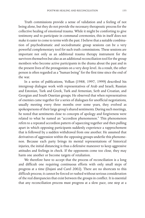Truth commissions provide a sense of validation and a feeling of not being alone, but they do not provide the necessary therapeutic process for the collective healing of emotional trauma. While it might be comforting to give testimony and to participate in communal ceremonies, this in itself does not make it easier to come to terms with the past. I believe that a suitable combination of psychodramatic and sociodramatic group sessions can be a very powerful complementary tool for such truth commissions. These sessions are important not only as an additional trauma therapy instrument for the survivors themselves but also as an additional reconciliation tool for the group members who become active participants in the drama about the past and in the present lives of the protagonists on a very deep level. As a result, the other person is often regarded as a "human being" for the first time since the end of the war.

In a series of publications, Volkan (1988, 1997, 1999) described his intergroup dialogue work with representatives of Arab and Israeli, Russian and Estonian, Turk and Greek, Turk and Armenian, Serb and Croatian, and Georgian and South Ossetian groups. He observed that when representatives of enemies came together for a series of dialogues for unofficial negotiations, usually meeting every three months over some years, they evolved as spokespersons of their large group's shared sentiments. During such meetings, he noted that sentiments close to concepts of apology and forgiveness were related to what he named an "accordion phenomenon." This phenomenon refers to a repeated accordion pattern of squeezing together and then pulling apart in which opposing participants suddenly experience a rapprochement that is followed by a sudden withdrawal from one another. He assumed that derivatives of aggression within the opposing groups underlie this phenomenon. Because each party brings its mental representations of historical injuries, the initial distancing is thus a defensive maneuver to keep aggressive attitudes and feelings in check. If the opponents come too close, they may harm one another or become targets of retaliation.

We therefore have to accept that the process of reconciliation is a long and difficult one requiring continuous efforts with only small steps of progress at a time (Dajani and Carel 2002). There are no shortcuts to this difficult process; it cannot be forced or rushed without serious consideration of the real disrepancies that exist between the groups in conflict. It is essential that any reconciliation process must progress at a slow pace, one step at a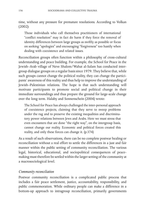time, without any pressure for premature resolutions. According to Volkan (2002):

Those individuals who call themselves practitioners of international "conflict resolution" may in fact do harm if they force the removal of identity differences between large groups as swiftly as possible or focus on seeking "apologies" and encouraging "forgiveness" too hastily when dealing with coexistence and related issues.

Reconciliation groups often function within a philosophy of cross-cultural understanding and peace building. For example, the School for Peace in the Jewish–Arab village of Neve Shalom/Wahat al-Salam has conducted intergroup dialogue groups on a regular basis since 1979. They believe that, while such groups cannot change the political reality, they can change the participants' awareness of this reality and thus help to improve the understanding of Jewish–Palestinian relations. The hope is that such understanding will motivate participants to promote social and political change in their immediate surroundings and thus prepare the ground for large-scale change over the long term. Halaby and Sonnenschein (2004) wrote:

The School for Peace has always challenged the inter-personal approach of coexistence projects, claiming that they serve to sweep problems under the rug and to preserve the existing inequalities and discriminatory power relations between Jews and Arabs. Here we must stress that even encounters that are done "the right way", on the intergroup basis, cannot change our reality. Economic and political forces created this reality, and only these forces can change it. (p.374)

As a result of such observations, there can be no complete postwar healing or reconciliation without a real effort to settle the differences in a just and fair manner within the public setting of community reconciliation. The various legal, historical, educational, and sociopolitical consequences of peacemaking must therefore be settled within the larger setting of the community at a macrosociological level.

### *Community reconciliation*

Postwar community reconciliation is a complicated public process that includes a fair peace settlement, justice, accountability, responsibility, and public commemoration. While ordinary people can make a difference in a bottom-up approach to intragroup reconciliation, primarily governments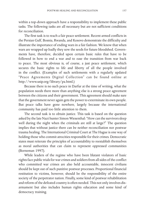within a top-down approach have a responsibility to implement these public tasks. The following tasks are all necessary but are not sufficient conditions for reconciliation.

The first task is to reach a fair peace settlement. Recent armed conflicts in the Persian Gulf, Bosnia, Rwanda, and Kosovo demonstrate the difficulty and illustrate the importance of ending wars in a fair fashion. We know that when wars are wrapped up badly they sow the seeds for future bloodshed. Governments have, therefore, decided upon certain basic rules that have to be followed in how to end a war and to ease the transition from war back to peace. The most obvious is, of course, a just peace settlement, which secures the basic rights to life and liberty of all the people involved in the conflict. (Examples of such settlements with a regularly updated "Peace Agreements Digital Collection" can be found online at http://www.usip.org/library/pa.html.)

Because there is no such peace in Darfur at the time of writing, what the population needs there more than anything else is a strong peace agreement between the citizens and their government. This agreement should make sure that the government never again gets the power to exterminate its own people. But peace talks have gone nowhere, largely because the international community has paid too little attention to them.

The second task is to obtain justice. This task is based on the question asked by the late Nazi hunter Simon Wiesenthal: "How can the survivors sleep well during the night when the criminals are still at large?" The question implies that without justice there can be neither reconciliation nor postwar trauma healing. The International Criminal Court at The Hague is one way of holding those who commit atrocities responsible for their crimes. Democratic states must reiterate the principles of accountability to reestablish themselves as moral authorities that can claim to represent oppressed communities (Borneman 1997).

While leaders of the regime who have been blatant violators of basic rights face public trials for war crimes and soldiers from all sides of the conflict who committed war crimes are also held accountable, innocent civilians should be kept out of such punitive postwar processes. Proportional financial restitution to victims, however, should be the responsibility of the entire society of the perpetrator nation. Finally, some kind of postwar rehabilitation and reform of the defeated country is often needed. This not only involves disarmament but also includes human rights education and some kind of democracy training.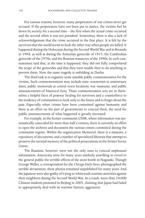For various reasons, however, many perpetrators of war crimes never get accused. If the perpetrators have not been put to justice, the victims feel let down by society for a second time – the first when the actual crime occurred and the second when it was not punished. Sometimes, there is also a lack of acknowledgement that the crime occurred in the first place. It is felt by the survivors that the world seems to look the other way when people are killed. It happened during the Holocaust during the Second World War and in Rwanda in 1994, as well as during the Armenian genocide of 1915, the Cambodian genocide of the 1970s, and the Bosnian massacres of the 1990s. In each case, statesmen said that, at the time it happened, they did not fully comprehend the scope of the genocides and that they were unable then to do anything to prevent them. Now the same tragedy is unfolding in Darfur.

The third task is to organize some suitable public commemoration for the victims. Such commemorations may include state ceremonies at anniversary dates, public memorials at central town locations, war museums, and public announcements of historical facts. These commemoration acts are in themselves a helpful facet of postwar healing for survivors and a counterforce to the tendency of communities to look only to the future and to forget about the past. Especially when crimes have been committed against humanity and there is an effort on the part of governments to conceal them, the need for public announcements of what happened is greatly increased.

For example, in the former communist USSR, where information was systematically concealed for more than half a century, there is currently an effort to open the archives and document the various crimes committed during the communist regime. Within the organization Memorial, there is a museum, a repository of documents, and a number of specialized libraries that attempt to preserve the societal memory of the political persecutions in the former Soviet Union.

The Russians, however, were not the only ones to conceal unpleasant information. Americans were for many years similarly unwilling to reveal to the general public the terrible effects of the atom bomb in Nagasaki. Though George Weller, a correspondent for the *Chicago Daily News*, photographed the terrible devastation, these photos remained unpublished for many years. And the Japanese were also guilty of trying to whitewash wartime atrocities against their neighbors during the Second World War. As a result, more than 10,000 Chinese students protested in Beijing in 2005, claiming that Japan had failed to appropriately deal with its wartime historic aggression.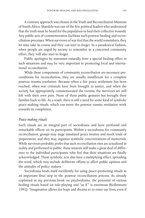A contrary approach was chosen in the Truth and Reconciliation Missions of South Africa. Mandela was one of the few political leaders who understood that the truth must be heard for the population to heal their collective wounds. Any public acts of commemoration facilitate such postwar healing and reconciliation processes. When survivors of war feel that the world remembers, they let time take its course and they can start to forget. In a paradoxical fashion, when people are urged by society to remember in a concerted community effort, they will also start to forget.

Public apologies by statesmen naturally have a special healing effect in such situations and may be very important in promoting local and international reconciliation.

While these components of community reconciliation are necessary preconditions for reconciliation, they are usually insufficient for a complete postwar trauma resolution. Because when a fair peace settlement has been reached, when war criminals have been brought to justice, and when the society has appropriately commemorated the victims, the survivors are still left with their own pain. None of these public gestures has brought their families back to life. As a result, there is still a need for some kind of symbolic peace-making rituals, which can move the postwar trauma resolution work towards its completion.

#### *Peace-making rituals*

Such rituals are an integral part of sociodrama and have profound and remarkable effects on its participants. Within a sociodrama for community reconciliation, groups may stage simulated peace treaties and mock trials of perpetrators; and they may organize symbolic concretizations of memorials. While survivors probably prefer that such reconciliation rites are actualized in reality and performed in public, these sessions still make a great deal of difference to the individual participants, who feel that their situations are finally acknowledged. These symbolic acts also have a multiplying effect, spreading the word, which may include deliberate efforts to affect public opinion and the attitudes of policy makers.

Sociodrama lends itself excellently for using peace-promoting rituals as an important final step in the postwar reconciliation process. As already explained in my previous book on psychodrama, the potential of various healing rituals based on role-playing and "as if " is enormous (Kellermann 1992). "Imagination allows for hope and dreams to re-enter our lives, even if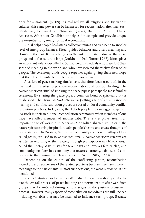only for a moment" (p.109). As realized by all religions and by various cultures, this same power can be harnessed for reconciliation after war. Such rituals may be based on Christian, Quaker, Buddhist, Muslim, Native American, African, or Gandhian principles for example and provide unique opportunities for gaining spiritual reconciliation.

Ritual helps people heal after a collective trauma and transcend to another level of intergroup balance. Ritual guides behavior and offers meaning and closure to the past. Ritual strengthens the link of the individual to the social group and to the culture at large (Durkheim 1961; Turner 1967). Ritual plays an important role, especially for traumatized individuals who have lost their sense of meaning in the world and who have isolated themselves from other people. The ceremony binds people together again, giving them new hope that their insurmountable problems can be overcome.

A variety of peace-making rituals have, therefore, been used both in the East and in the West to promote reconciliation and postwar healing. The Native American ritual of smoking the peace pipe is perhaps the most familiar ceremony. By sharing the peace pipe, a common bond of spiritual unity is established. The Hawaiian *Ho-O-Pono-Pono* (setting straight) ritual is another healing and conflict resolution procedure based on local community conflict resolution practices. In Uganda, the Acholi people use raw eggs, twigs, and livestock in their traditional reconciliation ceremonies when members of one tribe have killed members of another tribe. The *barisaa*, prayer tree, is an important site of worship in Siberian/Mongolian shamanism. It calls the nature spirits to bring inspiration, calm people's hearts, and create thoughts of peace and love. In Rwanda, traditional community courts with village elders, called *gacaca*, are used to solve disputes. Finally, Native American veterans are assisted in returning to their society through participation in a Navajo ritual called the Enemy Way. It lasts for seven days and involves family, clan, and community members in a ceremony that restores harmony, balance, and connection to the traumatized Navajo veteran (Parson 1985; 1990).

Depending on the culture of the conflicting parties, reconciliation sociodrama can utilize any of these ritual practices because they have inherent meanings to the participants. In most such sessions, the word *sociodrama*is not mentioned.

Reconciliation sociodrama is an alternative intervention strategy to facilitate the overall process of peace building and normalization after war. Such groups may be initiated during various stages of the postwar adjustment process. However, many aspects of reconciliation sociodrama are still unclear, including variables that may be assumed to influence such groups. Because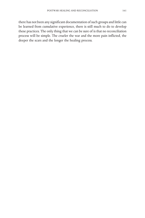there has not been any significant documentation of such groups and little can be learned from cumulative experience, there is still much to do to develop these practices. The only thing that we can be sure of is that no reconciliation process will be simple. The crueler the war and the more pain inflicted, the deeper the scars and the longer the healing process.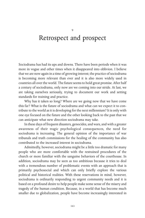# Retrospect and prospect

9

Sociodrama has had its ups and downs. There have been periods when it was more in vogue and other times when it disappeared into oblivion. I believe that we are now again in a time of growing interest; the practice of sociodrama is becoming more relevant than ever and it is also more widely used in countries all over the world. The future seems to hold great promise. After half a century of sociodrama, only now are we coming into our stride. At last, we are taking ourselves seriously, trying to document our work and setting standards for training and practice.

Why has it taken so long? Where are we going now that we have come this far? What is the future of sociodrama and what can we expect it to contribute to the world as it is developing for the next millennium? It is only with one eye focused on the future and the other looking back to the past that we can anticipate what new direction sociodrama may take.

In these days of frequent disasters, genocides, and wars, and with a greater awareness of their tragic psychological consequences, the need for sociodrama is increasing. The general opinion of the importance of war tribunals and truth commissions for the healing of the community has also contributed to the increased interest in sociodrama.

Admittedly, however, sociodrama might be a little too dramatic for many people who are more comfortable with the restrained procedures of the church or more familiar with the sanguine behaviors of the courthouse. In addition, sociodrama may be seen as too ambitious because it tries to deal with a tremendous number of problematic events with an approach that is primarily psychosocial and which can only briefly explore the various political and historical realities. With these reservations in mind, however, sociodrama is ordinarily responding to urgent community needs and it is based on a profound desire to help people make some sense of the misery and tragedy of the human condition. Because, in a world that has become much smaller due to globalization, people have become increasingly interested in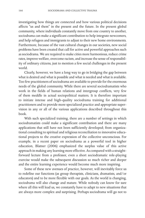investigating how things are connected and how various political decisions affects "us and them" in the present and the future. In the present global community, where individuals constantly move from one country to another, sociodrama can make a significant contribution to help integrate newcomers, and help refugees and immigrants to adjust to their new home environments. Furthermore, because of the vast cultural changes in our societies, new social problems have been created that call for active and powerful approaches such as sociodrama. We are required to make cities more harmonious, reduce crime rates, improve welfare, overcome racism, and increase the sense of responsibility of ordinary citizens, just to mention a few social challenges in the present world.

Clearly, however, we have a long way to go in bridging the gap between what is desired and what is possible and what is needed and what is available. Too few practitioners of sociodrama are available to provide for the enormous needs of the global community. While there are several sociodramatists who work in the fields of human relations and intergroup conflicts, very few of them meddle in actual sociopolitical matters. It is therefore important to initiate intense and high-quality sociodrama training for additional practitioners and to provide more specialized practice and appropriate supervision in any or all of the various applications described throughout this book.

With such specialized training, there are a number of settings in which sociodramatists could make a significant contribution and there are many applications that still have not been sufficiently developed; from organizational consulting to spiritual and religious reconciliation to innovative educational projects to the creative expression of the collective unconscious. For example, in a recent paper on sociodrama as a powerful tool in higher education, Blatner (2006) emphasized the surplus value of this active approach in making any learning more effective. As compared with a straightforward lecture from a professor, even a short sociodramatic role-playing exercise would make the subsequent discussion so much richer and deeper and the entire learning experience would become much more inspiring.

Some of these new avenues of practice, however, will inevitably force us to redefine our functions (as group therapists, clinicians, dramatists, and/or educators) and to be more flexible with our goals. As the world is changing, sociodrama will also change and mature. While nobody can know for sure where all this will lead us, we constantly have to adapt to new situations that are always more complex and surprising. Perhaps sociodrama will go not to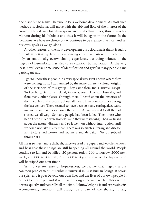RETROSPECT AND PROSPECT 165

one place but to many. That would be a welcome development. As most such methods, sociodrama will move with the ebb and flow of the interest of the crowds. Thus it was for Shakespeare in Elizabethan times; thus it was for Moreno during his lifetime; and thus it will be again in the future. In the meantime, we have no choice but to continue to be creative inventors and set our own goals as we go along.

Another reason for the slow development of sociodrama is that it is such a difficult undertaking. Not only is sharing collective pain with others is not only an emotionally overwhelming experience, but being witness to the tragedy of humankind may also cause vicarious traumatization. At the very least, it will evoke some sense of identification and grief in many people. One participant said:

I got to know these people in a very special way. First I heard where they were coming from. I was amazed by the many different cultural origins of the members of this group. They came from India, Russia, Egypt, Turkey, Italy, Germany, Ireland, America, South America, Australia, and from many other places. Through them, I heard about the histories of their peoples, and especially about all their different misfortunes during the last century. There seemed to have been so many earthquakes, wars, massacres and famines all over the world. As we listened to all the sad stories, we all wept. So many people had been killed. Then those who hadn't been killed were homeless and they were starving. Then we heard about the natural disasters, and so it went on without interruption until we could not take in any more. There was so much suffering and disease and torture and horror and madness and despair… We all sobbed through it all.

All this is so much more difficult, since we read the papers and watch the news, and hear that these things are still happening all around the world. People continue to kill and be killed; 20 persons today, 200 tomorrow, 2000 next week, 200,000 next month, 2,000,000 next year, and so on. Perhaps we also will be wiped out next time?

With a certain sense of hopelessness, we realize that tragedy is our common predicament. It is what is universal in us as human beings. It colors our spirit and it goes beyond our own lives and the lives of our own people. It cannot be destroyed and it will live on long after we have left this earth. It occurs, quietly and naturally all the time. Acknowledging it and expressing its accompanying emotions will always be a part of the sharing in any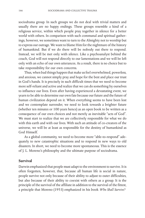sociodrama group. In such groups we do not deal with trivial matters and usually there are no happy endings. These groups resemble a kind of a religious service, within which people pray together in silence for a better world with others. In comparison with such communal and spiritual gatherings, however, we sometimes want to turn to the Almighty not to worship but to express our outrage. We want to blame Him for the nightmare of the history of humankind. But if we do there will be nobody out there to respond. Instead, we will be met only with silence. Like a psychoanalyst behind the couch, God will not respond directly to our lamentations and we will be left only with an echo of our own utterances. As a result, there is no choice but to take responsibility for our own concerns.

Thus, when bad things happen that make us feel overwhelmed, powerless, and anxious, we cannot simply pray and hope for the best and place our trust in God's hands. It is precisely in such difficult times that we need to become more self-reliant and active and realize that we can do something by ourselves to influence our lives. Even after having experienced a devastating event, we yearn to be able to determine our own fate because our future and the future of human civilization depend on it. When everything seems to have been lost and we contemplate surrender, we need to look towards a brighter future (whether ten minutes or 100 years hence) as an open book to be written as a consequence of our own choices and not merely as inevitable "acts of God". We must start to realize that we are collectively responsible for what we do with this earth and with our lives. With such an attitude of co-creators of the universe, we will be at least as responsible for the destiny of humankind as God Himself.

As a global community, we need to become more "able-to-respond" adequately to new catastrophic situations and to respond in new ways to old disasters. In short, we need to become more spontaneous. This is the essence of J. L. Moreno's philosophy and the ultimate purpose of sociodrama.

#### **Survival**

Darwin emphasized that people must adapt to the environment to survive. It is often forgotten, however, that, because all human life is social in nature, people survive not only because of their ability to adjust to outer difficulties, but also because of their ability to coexist with others as a group. It is the principle of the survival of the affiliate in addition to the survival of the fittest, a principle that Moreno (1953) emphasized in his book *Who Shall Survive?*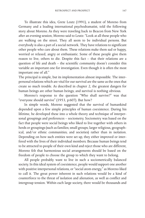RETROSPECT AND PROSPECT 167

To illustrate this idea, Grete Leutz (1991), a student of Moreno from Germany and a leading international psychodramatist, told the following story about Moreno. As they were traveling back to Beacon from New York after an evening session, Moreno said to Leutz: "Look at all these people who are walking on the street. They all seem to be individual persons. But everybody is also a part of a social network. They have relations to significant other people who care about them. These relations make them sad or happy, worried or relaxed, angry or enthusiastic. Some of these people give them reason to live, others to die. Despite this fact – that their relations are a question of life and death – the scientific community doesn't consider this variable an important one for investigation. Even though it is often the most important one of all."

The principal is simple, but its implementation almost impossible. The interpersonal relations which are vital for our survival are the same as the ones that create so much trouble. As described in chapter 2, the greatest dangers for human beings are other human beings; and survival is nothing obvious.

Moreno's response to the question "Who shall survive?" was that "everyone should survive" (1953, p.607). But how?

In simple words, Moreno suggested that the survival of humankind depended upon a few simple principles of human coexistence. During his lifetime, he developed these into a whole theory and technique of interpersonal groupings and preferences – sociometry. Sociometry was based on the fact that people were social beings who liked to live together with others in herds or groupings (such as families; small groups; larger religious, geographical, and/or ethnic communities; and societies) rather than in isolation. Depending on how such entities were set up, they either improved or interfered with the lives of their individual members. Because human beings tend to be attracted to people of their own kind and reject those who are different, Moreno felt that harmonious social arrangements should be based on the freedom of people to choose the group to which they want to belong.

All people probably want to live in such a sociometrically balanced society. In this ideal system of coexistence, people would support one another with positive interpersonal relations, or "social atom energy," as Moreno liked to call it. The great power inherent in such relations would be a kind of counterforce to the threat of isolation and alienation, as well as conflict and intergroup tension. Within each large society, there would be thousands and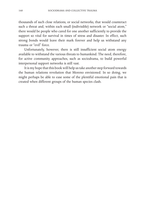thousands of such close relations, or social networks, that would counteract such a threat and, within each small (indivisible) network or "social atom," there would be people who cared for one another sufficiently to provide the support so vital for survival in times of stress and disaster. In effect, such strong bonds would leave their mark forever and help us withstand any trauma or "evil" force.

Unfortunately, however, there is still insufficient social atom energy available to withstand the various threats to humankind. The need, therefore, for active community approaches, such as sociodrama, to build powerful interpersonal support networks is still vast.

It is my hope that this book will help us take another step forward towards the human relations revolution that Moreno envisioned. In so doing, we might perhaps be able to ease some of the plentiful emotional pain that is created when different groups of the human species clash.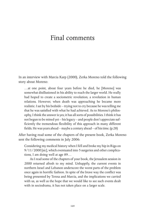# Final comments

In an interview with Marcia Karp (2000), Zerka Moreno told the following story about Moreno:

…at one point, about four years before he died, he [Moreno] was somewhat disillusioned in his ability to reach the larger world. He really had hoped to create a sociometric revolution; a revolution in human relations. However, when death was approaching he became more realistic. I sat by his bedside – trying not to cry because he was telling me that he was satisfied with what he had achieved. As to Moreno's philosophy, I think the answer is yes; it has all sorts of possibilities. I think it has not begun to be mined yet – his legacy – and people don't appreciate sufficiently the tremendous flexibility of this approach in many different fields. He was years ahead – maybe a century ahead – of his time. (p.28)

After having read some of the chapters of the present book, Zerka Moreno sent the following comments in July 2006:

Considering my medical history when I fell and broke my hip in Riga on 9/11/2000 [sic], which eventuated into 5 surgeries and other complications, I am doing well at age 89…

As I read some of the chapters of your book, the Jerusalem session in 2000 returned afresh to my mind. Unhappily, the current events in northern Israel and Lebanon underscore the worst parts of the problem once again in horrific fashion. In spite of the brave way the conflict was being presented by Teresa and Marcia, and the implications we carried with us, as well as the hope that we would like to see such events dealt with in sociodrama, it has not taken place on a larger scale.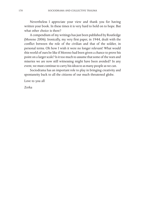Nevertheless I appreciate your view and thank you for having written your book. In these times it is very hard to hold on to hope. But what other choice is there?

A compendium of my writings has just been published by Routledge (Moreno 2006). Ironically, my very first paper, in 1944, dealt with the conflict between the role of the civilian and that of the soldier, in personal terms. Oh how I wish it were no longer relevant! What would this world of ours be like if Moreno had been given a chance to prove his point on a larger scale? Is it too much to assume that some of the wars and miseries we are now still witnessing might have been avoided? In any event, we must continue to carry his ideas to as many people as we can.

Sociodrama has an important role to play in bringing creativity and spontaneity back to all the citizens of our much threatened globe.

Love to you all

Zerka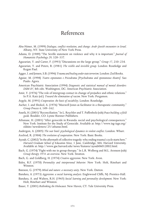## References

- Abu-Nimer, M. (1999) *Dialogue, conflict resolution, and change: Arab–Jewish encounters in Israel*. Albany, NY: State University of New York Press.
- Adams, D. (1989) "The Seville statement on violence and why it is important." *Journal of Humanistic Psychology 29*, 328–337.
- Agazarian, Y. and Carter, F. (1993) "Discussions on the large group." *Group 17*, 210–234.
- Agazarian, Y. and Peters, R. (1981) *The visible and invisible group*. London: Routledge and Kegan Paul.
- Agger, I. and Jensen, S.B. (1996)*Trauma and healing under state terrorism*. London: Zed Books.
- Aguiar, M. (1998) *Teatro espontaneo e Psicodrama [Psychodrama and spontaneous theatre].* Sao Paulo: Agora.
- American Psychiatric Association (1994) *Diagnostic and statistical manual of mental disorders: DSM-IV*, 4th edn. Washington, DC: American Psychiatric Association.
- Amir, Y. (1976) "The role of intergroup contact in change of prejudice and ethnic relations." In P.A. Katz (ed.) *Toward the elimination of racism*. New York: Pergamon.
- Argyle, M. (1991) *Cooperation: the basis of sociability*. London: Routledge.
- Ascher, I. and Shokol, A. (1976) "Maxwell Jones as facilitator in a therapeutic community." *Group Process 6*, 149–162.
- Assefa, H. (2001) "Reconciliation." In L. Reychler and T. Paffenholz (eds) *Peace building: a field guide*. Boulder, CO: Lynne Rienner Publishers.
- Athanase, H. (2001) "After genocide in Rwanda: social and psychological consequences." New York: Institute for the Study of Genocide. Available at: http://www.isg-iags.org/ oldsite/newsletters/25/athanse.html.
- Audergon, A. (2005) *The war hotel: psychological dynamics in violent conflict*. London: Whurr.
- Axelrod, R. (1984) *The evolution of cooperation*. New York: Basic Books.
- Ayoub, C. (2002) "In the aftermath of collective tragedy: why ending trauma's cycle starts here." *Harvard Graduate School of Education News*, 1 June. Cambridge, MA: Harvard University. Available at: http://www.gse.harvard.edu/news/features/ayoub06012002.html.
- Bach, G. (1974) "Fight with me in group therapy." In L.R. Wolberg and M.L. Aronson (eds) *Group therapy 1974: an overview*. New York: Stratton.
- Bach, G. and Goldberg, H. (1974) *Creative aggression*. New York: Avon.
- Bales, R.F. (1970) *Personality and interpersonal behavior*. New York: Holt, Rinehart and Winston.
- Bateson, G. (1979) *Mind and nature: a necessary unity*. New York: Dutton.
- Bandura, A. (1973) *Aggression: a social learning analysis*. Englewood Cliffs, NJ: Prentice-Hall.
- Bandura, A. and Walters, R.H. (1965) *Social learning and personality development*. New York: Holt, Rinehart and Winston.
- Bauer, Y. (2001) *Rethinking the Holocaust*. New Haven, CT: Yale University Press.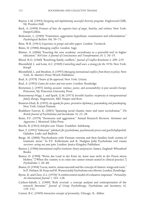- Baytos, L.M. (1995) *Designing and implementing successful diversity programs*. Englewood Cliffs, NJ: Prentice-Hall.
- Beck, A. (1999) *Prisoners of hate: the cognitive basis of anger, hostility, and violence*. New York: HarperCollins.
- Berkowitz, L. (1989) "Frustration–aggression hypothesis: examination and reformulation." *Psychological Bulletin 106*, 59–73.
- Bion, W.R. (1961) *Experience in groups and other papers*. London: Tavistock.
- Bisno, H. (1988) *Managing conflict*. London: Sage.
- Blatner, A. (2006) "Enacting the new academy: sociodrama as a powerful tool in higher education." *ReVision: A Journal of Consciousness and Transformation 29*, 3, 30–35.
- Blood, R.O. (1960) "Resolving family conflicts." *Journal of Conflict Resolution 4*, 209–219.
- Bloomfield, L. and Leiss, A.C. (1969) *Controlling small wars: a strategy for the 1970s*. New York: Knopf.
- Bloomfield, L. and Moulton, A. (1997) *Managing international conflict: from theory to policy*. New York: St. Martin's Press/Worth Publishers.
- Boal, A. (1979) *Theatre of the oppressed*. New York: Urizen.
- Boal, A. (1992) *Games for actors and non-actors*. London: Routledge.
- Borneman, J. (1997) *Settling accounts: violence, justice, and accountability in post-socialist Europe*. Princeton, NJ: Princeton University Press.
- Boszormenyi-Nagy, I. and Spark, G.M. (1973) *Invisible loyalties: reciprocity in intergenerational family therapy*. Hagerstown, MD: Harper and Row.
- Boutros-Ghali, B. (1992) *An agenda for peace: preventive diplomacy, peacemaking and peacekeeping*. New York: United Nations.
- Bradshaw-Tauvon, K. (2001) "Spanning social chasms: inner and outer sociodramas." *The British Journal of Psychodrama and Sociodrama 16*, 23–28.
- Brain, P.F. (1979) "Hormones and aggression." Annual Research Reviews. *Hormones and Aggression 2*. Montreal: Eden Press.
- Brecht, B. (1963) *Schriften zum Theater*. Frankfurt: Suhrkamp.
- Buer, F. (1991) "Editorial." *Jahrbuch für psychodrama, psychosoziale praxis and gesellschaftspolitik*. Opladen: Leske and Budrich.
- Burge, M. (2000) "Psychodrama with Vietnam veterans and their families: both victims of traumatic stress." In P.F. Kellermann and K. Hudgins (eds) *Psychodrama with trauma survivors: acting out your pain*. London: Jessica Kingsley Publishers.
- Burton, J. (1986) *International conflict resolution: theory and practice*. Sussex, England: Wheasheaf Books.
- Bustos, D. (1990) "Wenn das Land in der Krise ist, kann man nicht in der Praxis sitzen bleiben." ["When the country is in crisis one cannot remain seated in clinical practice."] *Psychodrama 3*, 30–48.
- Bustos, D. (1994) "Locus, matrix, status nascendi and the concept of clusters: wings and roots." In P. Holmes, M. Karp and M. Watson (eds) *Psychodrama since Moreno*. London: Routledge.
- Byrne, D. and Clore, G.L. (1970) "A reinforcement model of evaluative responses." *Personality: An International Journal 1*, 103–128.
- Carlson-Sabelli, L. (1989) "Role reversal: a concept analysis and reinterpretation of the research literature." *Journal of Group Psychotherapy, Psychodrama and Sociometry 42*, 139–152.
- Carson, R.C. (1969) *Interaction concepts of personality*. Chicago, IL: Aldine.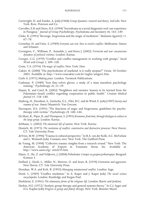#### REFERENCES 173

- Cartwright, D. and Zander, A. (eds) (1968) *Group dynamics: research and theory*, 2nd edn. New York: Row, Peterson and Co.
- Carvalho, E.R and Otero, H.E. (1994) "Sociodrama as a social diagnostic tool: our experience in Paraguay." *Journal of Group Psychotherapy, Psychodrama and Sociometry 46*, 143–149.
- Cloke, K. (1993) "Revenge, forgiveness and the magic of mediation." *Mediation Quarterly 11*, 67–78.
- Cornelius, H. and Faire, S. (1989) *Everyone can win: how to resolve conflict*. Melbourne: Simon and Schuster.
- Covington, C., Williams, P., Arundale, J. and Knox J. (2002) *Terrorism and war: unconscious dynamics of political violence*. London: Karnac.
- Cowger, C.G. (1979) "Conflict and conflict management in working with groups." *Social Work with Groups 2*, 309–320.
- Crum, T.A. (1976) *The magic of conflict*. New York: Hart.
- Cukier, R. (2000) "The psychodrama of mankind: is it really utopian?" *Forum*, 30 October 2002. Available at: http://www.rosacukier.com.br/ingles/artigos1.htm.
- Curle A. (1971) *Making peace*. London: Tavistock Publications.
- Cushman, P. (1989) "Iron fists–velvet gloves: a study of a mass marathon psychology training." *Psychotherapy 26*, 23–39.
- Dajani, K. and Carel, R. (2002) "Neighbors and enemies: lessons to be learned from the Palestinian–Israeli conflict regarding cooperation in public health." *Croatian Medical Journal 43*, 138–140.
- Dasberg, H., Davidson, S., Gurlachu, G.L., Filet, B.C. and de Wind, E. (eds) (1987)*Society and trauma of war*. Assen/Maastrich: Van Gorcum.
- Davenport, D.S. (1991) "The functions of anger and forgiveness: guidelines for psychotherapy with victims." *Psychotherapy 28*, 140–144.
- De Maré, R., Piper, R. and Thompson, S. (1991)*Koinonia: from hate, through dialogue to culture in the large group*. London: Karnac.
- deMause, L. (2002) *The emotional life of nations*. New York: Karnac.
- Deutsch, M. (1973) *The resolution of conflict: constructive and destructive processes*. New Haven, CT: Yale University Press.
- deVries, M.W. (1996) "Trauma in cultural perspective." In B.A. van der Kolk, A.C. McFarlane and L. Weisaeth (eds) *Traumatic stress*. New York: The Guilford Press.
- de Young, M. (1998) "Collective trauma: insights from a research errand." New York: The American Academy of Experts in Traumatic Stress, Inc. Available at: http://www.aaets.org/ article55.htm.
- Djuric, Z., Ilic, Z. and Veljkovic, J. (2004) *Psihodrama: Uasopis za grupnu psihoterapiju.* Beograd: Kosmos 1. ´
- Dollard, J., Doob, L., Miller, N., Mowrer, O. and Sears, R. (1939) *Frustration and aggression*. New Haven, CT: Yale University Press.
- Donahue, W.A. and Kolt, R. (1993) *Managing interpersonal conflict*. London: Sage.
- Doob, L. (1985) "Conflict resolution." In A. Kuper and J. Kuper (eds) *The social science encyclopedia*. London: Routledge and Kegan Paul.
- Durkheim, E. (1961) *The elementary forms of the religious life*. London: Barrie and Jenkins.
- Durkin, H.E. (1972) "Analytic group therapy and general systems theory." In C.J. Sager and H.S. Kaplan (eds) *Progress in group and family therapy*. New York: Brunner Mazel.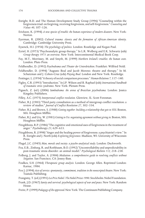- Enright, R.D. and The Human Development Study Group (1996) "Counseling within the forgiveness triad: on forgiving, receiving forgiveness, and self-forgiveness." *Counseling and Values 40*, 107–126.
- Erickson, K. (1994) *A new species of trouble: the human experience of modern disasters*. New York: Norton.
- Eyerman, R. (2002) *Cultural trauma: slavery and the formation of African-American identity*. Cambridge: Cambridge University Press.
- Eysenck, H.I. (1954) *The psychology of politics*. London: Routledge and Kegan Paul.
- Ezriel, H. (1973) "Psychoanalytic group therapy." In L.R. Wolberg and E.K. Schwartz (eds) *Group therapy 1973: an overview*. New York: Intercontinental Medical Book Corp.
- Fay, M.T., Morrissey, M. and Smyth, M. (1999) *Northern Ireland's troubles: the human costs*. London: Pluto Press.
- Feldhendler, D. (1992) *Psychodrama und Theater der Unterdrückten*. Frankfurt: Wilfried Nold.
- Feldhendler, D. (1994) "Augusto Boal and Jacob Moreno: theatre and therapy." In M. Schutzman and J. Cohen-Cruz (eds) *Playing Boal*. London and New York: Routledge.
- Festinger, L. (1954) "A theory of social comparison processes."*Human Relations 7*, 117–140.
- Figley, C.R. (1993) "Introduction." In J.P. Wilson and B. Raphael (eds) *International handbook of traumatic stress syndromes*. New York: Plenum Press.
- Figusch, Z. (ed.) (2006) *Sambadrama: the arena of Brazilian psychodrama*. London: Jessica Kingsley Publishers.
- Filley, A.C. (1975) *Interpersonal conflict resolution*. Glenview, IL: Scott Foresman.
- Fisher, R.J. (1983) "Third party consultation as a method of intergroup conflict resolution: a review of studies." *Journal of Conflict Resolution 27*, 302–334.
- Fisher, R.J. and Brown, S. (1988) *Getting together: building a relationship that gets to YES*. Boston, MA: Houghton Mifflin.
- Fisher, R.J. and Ury, W. (1981)*Getting to Yes: negotiating agreement without giving in*. Boston, MA: Houghton Mifflin.
- Fitzgibbons, R.P. (1986) "The cognitive and emotional uses of forgiveness in the treatment of anger." *Psychotherapy 23*, 629–633.
- Fitzgibbons, R. (1998) "Anger and the healing power of forgiveness: a psychiatrist's view." In R. Enright and J. North (eds) *Exploring forgiveness.* Madison, WI: University of Wisconsin Press.
- Flugel, J.C. (1945) *Man, morals and society: a psycho-analytical study*. London: Duckworth.
- Foa, E.B., Zinbarg, R. and Rothbaum, B.O. (1992) "Uncontrollability and unpredictability in post-traumatic stress disorder: an animal model." *Psychological Bulletin 112*, 218–238.
- Folberg, J. and Taylor, A. (1984) *Mediation: a comprehensive guide to resolving conflicts without litigation*. San Francisco, CA: Jossey-Bass.
- Foulkes, S.H. (1964) *Therapeutic group analysis*. London: George Allen. Reprinted London: Karnac, 1984.
- Fox J. (1994) Acts of service: spontaneity, commitment, tradition in the nonscripted theatre. New York: Tusitala Publishing.
- Frangsmy, T. (ed.) (1991) *Les Prix Nobel: The Nobel Prizes 1990*. Stockholm: Nobel Foundation.
- Frank, J.D. (1967) *Sanity and survival: psychological aspects of war and peace*. New York: Random House.
- Freire, P. (1999) *Pedagogy of the oppressed*. New York: The Continuum Publishing Company.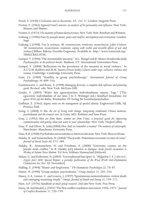#### REFERENCES 175

Freud, S. (1930) *Civilization and its discontents. S.E., Vol. 21*. London: Hogarth Press.

Fromm, E. (1962) *Sigmund Freud's mission: an analysis of his personality and influence*. New York: Shimon and Shuster.

Fromm, E. (1973)*The anatomy of human destructiveness*. New York: Holt, Rinehart and Winston.

- Galtung, J. (1996) *Peace by peaceful means: peace and conflict, development and civilization*. London: Sage.
- Galtung, J. (1998) *Tras la violencia, 3R: reconstruccion, resolucion, reconciliacion*. [*After Violence: 3R, reconstruction, reconciliation, resolution: coping with visible and invisible effects of war and violence*.] Bilbao: Bakeaz/Gernika Gogoratuz. Available at: http://www.transcend.org/ TRRECBAS.HTM.
- Gampel, Y. (1996) "The interminable uncanny." In L. Rangel and R. Moses-Hrushovski (eds) *Psychoanalysis at the political border*. Madison, CT: International Universities Press.
- Gampel, Y. (2000) "Reflections on the prevalence of the uncanny in social violence." In A.C.G.M. Robben and M.M. Suarez-Orozo (eds) *Cultures under siege: collective violence and trauma*. Cambridge: Cambridge University Press.
- Gans, J.S. (1989) "Hostility in group psychotherapy." *International Journal of Group Psychotherapy 39*, 499–516.
- Gardenswartz, L. and Rowe, A. (1998) *Managing diversity: a complete desk reference and planning guide.* Revised edn. New York: McGraw-Hill.
- Geisler, F. (2005) "Wider den egozentrischen Individualismus unserer Tage." ["The egocentric individualism of our time."] In T. Wittinger (ed.) *Handbuch Soziodrama: Die ganze Welt auf der Bühne*. Wiesbaden: VS Verlag für Sozialwissenschaften.
- Goffman, E. (1963) *Stigma: notes on the management of spoiled identity*. Englewood Cliffs, NJ: Prentice-Hall.
- Gong, S. (2004) *Yi Shu: the art of living with change. Integrating traditional Chinese medicine, psychodrama and the creative arts*. St Louis, MO: Robbins and Sons Press.
- Gray, J. (1992) *Men are from Mars, women are from Venus: a practical guide for improving communication and getting what you want in your relationships*. New York: HarperCollins.
- Gray, P. and Oliver, K. (eds) (2004) *How shall we remember a trauma? The memory of catastrophe*. Manchester: Manchester University Press.
- Haas, R.B. (1948) *Psychodrama and sociodrama in American education*. New York: Beacon House.
- Halaby, R. and Sonnenschein, N. (2004) "The Jewish–Palestinian encounter in time of crisis." *Journal of Social Issues 60*, 373–389.
- Halaby, R., Sonnenschein, N. and Friedman, A. (2000) "University courses on the Jewish–Arab conflict." In R. Halaby (ed.) *Identities in dialogue: Arab–Jewish encounters in Wahat al-Salam/Neve Shalom*. Tel Aviv: Kibbutz Hameuchad (Hebrew).
- Halasz, G. and Kellerman, N. (2005). "Unconditional hate (part 1). "*Mifgashim 5,* 5. *[ Also in G. Zygier (ed.) ADC Special Report: a periodic publication of the B'nai B'rith Anti-Defamation Commission Inc*. No. 30, November]
- Halling, S. (1994) "Shame and forgiveness." *The Humanistic Psychologist 22*, 74–87.
- Hamer, N. (1990) "Group-analytic psychodrama." *Group Analysis 23*, 245–254.
- Haney, C.A., Leimer, C. and Lowery, J. (1997) "Spontaneous memorialization: violent death and emerging mourning rituals." *Omega: Journal of Death and Dying 35*, 159–171.
- Hare, A.P. (1976) *Handbook of small group research.* 2nd edn New York: Free Press.
- Harty, M. and Modell, J. (1991) "The first conflict resolution movement, 1956–1971."*Journal of Conflict Resolution 35*, 720–759.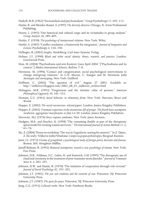- Haskell, M.R. (1962) "Socioanalysis and psychoanalysis."*Group Psychotherapy 15*, 105–113.
- Hayles, R. and Mendez-Russel, A. (1997) *The diversity directive*. Chicago, IL: Irwin Professional Publishing.
- Hearst, L. (1993) "Our historical and cultural cargo and its vicissitudes in group analysis." *Group Analysis 26*, 389–405.
- Heider, F. (1958) *The psychology of interpersonal relations*. New York: Wiley.
- Heitler, S. (1987) "Conflict resolution: a framework for integration." *Journal of Integrative and Eclectic Psychotherapy 6*, 334–350.
- Hellinger, B. (2002) *Insights*. Heidelberg: Carl-Auer-Systeme Verlag.
- Helmes, J.Y. (1990) *Black and white racial identity: theory, research, and practice*. London: Greenwood Press.
- Hess, M. (2004) "Psychodrama und sein Kontext: Gaza April 2004." ["Psychodrama and its context."] *Medico International Schweiz, Bulletin*, 7–8.
- Hewstone, M. (1996) "Contact and categorization: social psychological interventions to change intergroup relations." In C.N. Macrae, C. Stangor and M. Hewstone (eds) *Stereotypes and stereotyping*. New York: Guilford.
- Hoffman, C. (2002) "The question of evil." August 27 2002. Available at: http://milkriver.blogspot.com/2002\_08\_01\_milkriver\_archive.html
- Holmgren, M.R. (1993) "Forgiveness and the intrinsic value of persons." *American Philosophical Quarterly 30*, 341–352.
- Homans, G.C. (1961) *Social behavior: its elementary forms*. New York: Harcourt, Brace and World.
- Hopper, E. (2002) *The social unconscious: selected papers*. London: Jessica Kingsley Publishers.
- Hopper, E. (2003) *Traumatic experience in the unconscious life of groups. The fourth basic assumption: incohesion: aggregation/massification or (ba) I:A/M*. London: Jessica Kingsley Publishers.
- Horowitz, M.J. (1976) *Stress response syndromes*. New York: Jason Aronson.
- Hudgins, M.K. and Drucker, K. (1998) "The containing double as part of the therapeutic spiral model for treating trauma survivors." *The International Journal of Action Methods 51*, 2,  $'$  63-74.
- Ilic, Z. (2004) "Notes on workshop 'The war in Yugoslavia: searing for answers'." In Z. Djuric, ´ ´ ´Z. Ilic and J. Veljkovic (eds) *Psihodrama: Casopis za grupnu psihoterapiju*. Beograd: Kosmos.
- Janis, I.L. (1972) *Victims of groupthink: a psychological study of foreign-policy decisions and fiascoes*. Boston, MA: Houghton Mifflin.
- Janoff-Bulman, R. (1992) *Shattered assumptions: toward a new psychology of trauma*. New York: Free Press.
- Johnson, D.R., Feldman, S.C., Lubin, H. and Soutwick, S.M. (1995) "The therapeutic use of ritual and ceremony in the treatment of post-traumatic stress disorder."*Journal of Traumatic Stress 8*, 2, 283–291.
- Johnson, D.W. and Dustin, R. (1970) "The initiation of cooperation through role reversal." *Journal of Social Psychology 82*, 193–203.
- Johnson, J.T. (1981) *The just war tradition and the restraint of war*. Princeton, NJ: Princeton University Press.
- Johnson, J.T. (1987) *The quest for peace*. Princeton, NJ: Princeton University Press.
- Jung, C.G. (1953) *Collected works*. New York: Pantheon Books.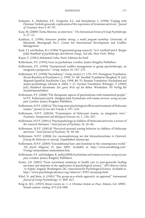#### REFERENCES 177

- Kalayjian, A., Shahinian, S.P., Gergerian, E.L. and Saraydarian, L. (1996) "Coping with Ottoman Turkish genocide: exploration of the experience of Armenian survivors." *Journal of Traumatic Stress 9*, 87–97.
- Karp, M. (2000) "Zerka Moreno: an interview." *The International Forum of Group Psychotherapy 8*, 27–32.
- Kaufman, E. (1996) *Innovative problem solving: a model program/workshop*. University of Maryland, Monograph No.7. Center for International Development and Conflict Management.
- Kaul, T.J. and Bednar, R.I. (1986) "Experiential group research." In S. Garfield and A. Bergin (eds) *Handbook of psychotherapy and behavior change*, 3rd edn. New York: Wiley.
- Kayat, C. (1981) *Mohammed Cohen*. Paris: Editions du Seuil.
- Kellermann, P.F. (1992) *Focus on psychodrama*. London: Jessica Kingsley Publishers.
- Kellermann, P.F. (1996) "Interpersonal conflict management in group psychotherapy: an integrative perspective." *Group Analysis 29*, 257–275.
- Kellermann, P.F. (1998) "Sociodrama." *Group Analysis 31*, 179–195. Portuguese Translation: *Revista Brasileira de Psicodrama 6*, 2, 1998, 51–68. Swedish Translation: Berglind, H. (ed.) *Skapande Ögonblick*. Stockholm: Cura, 1998, 40–53. Russian Translation: *Psychodrama and modern psychotherapy*. Ukraine 4, 2004, 7–21. German Translation: Wittinger, T. (2005) (ed.) *Handbuch Soziodrama: Die ganze Welt auf der Bühne*. Wiesbaden: VS Verlag für Sozialwissenschaften.
- Kellermann, P.F. (2000) "The therapeutic aspects of psychodrama with traumatized people." In P.F. Kellermann and K. Hudgins (eds) *Psychodrama with trauma survivors: acting out your pain*. London: Jessica Kingsley Publishers.
- Kellermann, N.P.F. (2001a) "The long-term psychological effects and treatment of Holocaust trauma." *Journal of Loss and Trauma 6*, 197–218.
- Kellermann, N.P.F. (2001b) "Transmission of Holocaust trauma: an integrative view." *Psychiatry: Interpersonal and Biological Processes 64*, 3, 256–267.
- Kellermann, N.P.F. (2001c) "Psychopathology in children of Holocaust survivors: a review of the research literature." *Israel Journal of Psychiatry 38*, 36–46.
- Kellermann, N.P.F. (2001d) "Perceived parental rearing behavior in children of Holocaust survivors." *Israel Journal of Psychiatry 38*, 58–68.
- Kellermann, N.P.F. (2004) *Zur Auseinandersetzung mit dem Nationalsozialismus in Österreich*. [*Facing the Holocaust in Austria*]. Unpublished manuscript.
- Kellermann, N.P.F. (2005) "Unconditional hate: anti-Semitism in the contemporary world." *The Jewish Magazine 91*, June 2005. Available at: http://www.jewishmag.com/ 91mag/antisemitism/antisemitism.htm.
- Kellermann, P.F. and Hudgins, K. (eds) (2000) *Psychodrama with trauma survivors: acting out your pain*. London: Jessica Kingsley Publishers.
- Kester, J.D. (2001) "From eyewitness testimony to health care to post-genocide healing successes and surprises in the application of psychological science." *APS Observer Online 14*, 6 (July/August). Washington, DC: Association for Pychological Science. Available at: http://www.psychologicalscience.org/observer/ 0701/pressymp.html.
- Kibel, H. and Stein, A. (1981) "The group-as-a-whole approach: an appraisal." *International Journal of Group Psychotherapy 31*, 409–427.
- King Jr, M.L. (1967) *Massey Lecture no. 5: A Christmas Sermon on Peace.* Atlanta, GA: MWC. Sound cassette: analog. 671224–000.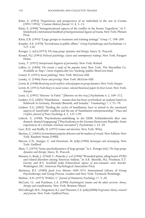- Klain, E. (1992) "Experiences and perspectives of an individual in the war in Croatia (1991/1992)." *Croatian Medical Journal 33*, 4, 3–13.
- Klain, E. (1998) "Intergenerational aspects of the conflict in the former Yugoslavia." In Y. Danieli (ed.) *International handbook of multigenerational legacies of trauma*. New York: Plenum Press.
- Klein, E.B. (1993) "Large groups in treatment and training settings." *Group 17*, 198–209.
- Knepler, A.E. (1970) "Sociodrama in public affairs." *Group Psychotherapy and Psychodrama 13*, 127–134.
- Kreeger, L. (ed.) (1975) *The large group: dynamics and therapy*. Itasca, IL: Peacock.
- Kressel, N.J. (1993) *Political psychology: classic and contemporary readings*. New York: Paragon House.
- Leary, T. (1957) *Interpersonal diagnosis of personality*. New York: Roland.
- LeBon, G. (1896) *The crowd: a study of the popular mind*. New York: The Macmillan Co. Available at: http://etext.virginia.edu/toc/modeng/public/BonCrow.html.
- Lemert, E. (1951) *Social pathology*. New York: McGraw-Hill.
- Lensky, G. (1966) *Power and privilege*. New York: McGraw-Hill.
- Lewin, K. (1948) *Resolving social conflicts: selected papers on group dynamics*. New York: Harper.
- Lewin, K. (1951) *Field theory in social science: selected theoretical papers by Kurt Lewin*. New York: Atarper.
- Leutz, G. (1991) "Moreno 'in Fahrt'." [Moreno on the way.] *Psychodrama 4*, 2, 169–172.
- Lindner, E.G. (2001) "Humiliation trauma that has been overlooked: an analysis based on fieldwork in Germany, Rwanda/Burundi, and Somalia." *Traumatology 7*, 1, 51–79.
- Lindner, E.G. (2002) "Healing the cycles of humiliation: how to attend to the emotional aspects of 'unsolvable' conflicts and the use of 'humiliation entrepreneurship'." *Peace and Conflict: Journal of Peace Psychology 8*, 2, 125–139.
- Lobeck, G. (1990) "Psychodrama-ausbildung in der DDR: Erlebnisbericht über eine deutsch–deutsch begegnung" ["Psychodrama in the German Democratic Republic: Some experiences of a German–German encounter"]. *Psychodrama 3*, 23–29.
- Luce, R.D. and Raiffa, H. (1957) *Games and decisions*. New York: Wiley.
- Mackay, C. (1841) *Extraordinary popular delusions and the madness of crowds*. New Edition: New York: Random House (1980).
- Macrae, C.N., Stangor, C. and Hewstone, M. (eds) (1996) *Stereotypes and stereotyping*. New York: Guilford.
- Main, T. (1975) "Some psychodynamics of large groups." In L. Kreeger (ed.) *The large group: dynamics and therapy*. Itasca, IL: Peacock.
- Manson, S., Beals, J., O'Nell, T., Piasecki, J. *et al.* (1996) "Wounded spirits, ailing hearts: PTSD and related disorders among American Indians." In A.K. Marsella, M.J. Friedman, E.T. Gerrity and R.S. Scurfield (eds) *Ethnocultural aspects of post-traumatic stress disorder*. Washington, DC: American Psychological Association Press.
- Marineau, R.F. (1989) *Jacob Levy Moreno 1889–1974*. International Library of Group Psychotherapy and Group Process. London and New York: Tavistock/Routledge.
- Maslow, A.H. (1977) "Politics 3." *Journal of Humanistic Psychology 17*, 5–20.
- McCann, I.L. and Pearlman, L.A. (1990) *Psychological trauma and the adult survivor: theory, therapy and transformation*. New York: Brunner/Mazel.
- McCullough, M.E., Pargament, K.I. and Thoresen, C.E. (eds) (2000) *Forgiveness: theory, research and practice*. New York: Guilford Press.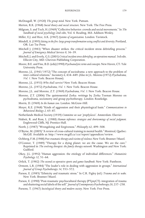## REFERENCES 179

McDougall, W. (1920) *The group mind*. New York: Putnam.

- Merton, R.K. (1968) *Social theory and social structure*. New York: The Free Press.
- Milgram, S. and Toch, H. (1969) "Collective behavior: crowds and social movements." In *The handbook of social psychology* 2nd edn, Vol. 4. Reading, MA: Addison-Wesley.
- Miller, E.J. and Rice, A.K. (1967) *Systems of organization*. London: Tavistock.
- Mindell, A. (1995)*Sitting in the fire: large group transformation using conflict and diversity*. Portland, OR: Lao Tse Press.
- Mitchell J. (1983) "When disaster strikes: the critical incident stress debriefing process." *Journal of Emergency Medical Services 8*, 36–39.
- Mitchell, J. and Everly, G.S. (2001) *Critical incident stress debriefing: an operations manual*. 3rd edn. Ellicott City, MD: Chevron Publishing Corporation.
- Moore, B.E. and Fine, B.D. (eds) (1990) *Psychoanalytic terms and concepts*. New Haven, CT: Yale University Press.
- Moreno, J.L. (1943/1972) "The concept of sociodrama: a new approach to the problem of inter-cultural relations." *Sociometry 6*, 434–449. (Also in J.L. Moreno (1972) *Psychodrama, Vol. 1*. New York: Beacon House).
- Moreno, J.L. (1953) *Who shall survive?* New York: Beacon House.
- Moreno, J.L. (1972) *Psychodrama, Vol. 1*. New York: Beacon House.
- Moreno, J.L. and Moreno, Z.T. (1969) *Psychodrama, Vol. 3*. New York: Beacon House.

Moreno, Z.T. (2006) The quintessential Zerka: writings by Zerka Toeman Moreno on pychodrama, sociometry and group pychotherapy. London: Routledge.

- Morris, D. (1969) *In the human zoo*. London: McGraw-Hill.
- Moyer, K.E. (1968) "Kinds of aggression and their physiological basis." *Communications in Behavioral Biology 2*, 65–87.
- Netherlands Medical Society (1939) *Committee on war 'prophylaxis'*. Amsterdam: Elsevier.
- Nisbett, R. and Ross, L. (1980) *Human inference: strategies and shortcomings of social judgment*. Englewood Cliffs, NJ: Prentice-Hall.
- North, J. (1987) "Wrongdoing and forgiveness." *Philosophy 62*, 499–508.
- O'Byrne, M. (2005) "A review of cross-cultural training in mental health." Montreal, Quebec: McGill. Available at: http://www.mcgill.ca/ccs/report/appendices/review.
- Ochberg, F.M. (1988) *Post-traumatic therapy and victims of violence*. New York: Brunner/Mazel.
- O'Connor, T. (1989) "Therapy for a dying planet: we are the cause. We are the cure." Reprinted in *The evolving therapist: the family therapy network*. Washington and New York: Guilford.
- Okey, J.L. (1992) "Human aggression: the etiology of individual differences." *Humanistic Psychology 32*, 51–64.
- Orlick, T. (1982) *The second co-operative sports and games handbook*. New York: Pantheon.
- Ormont, L.R. (1984) "The leader's role in dealing with aggression in groups." *International Journal of Group Psychotherapy 34*, 553–572.
- Parson, E. (1985) "Ethnicity and traumatic stress." In C.R. Figley (ed.) *Trauma and its wake*. New York: Brunner/Mazel.
- Parson, E. (1990) "Post-traumatic psychocultural therapy (PTpsyCT): integration of trauma and shattering social labels of the self."*Journal of Contemporary Psychotherapy 20*, 237–258.
- Parsons, T. (1967) *Sociological theory and modern society*. New York: Free Press.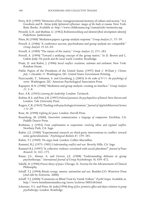- Perry, B.D. (1999) "Memories of fear: transgenerational memory of culture and society." In J. Goodwin and R. Attias (eds) *Splintered reflections: images of the body in trauma*. New York: Basic Books. Available at: http://www.childtrauma.org/ctamaterials/memories.asp.
- Petzold, G.H. and Mathias, U. (1982) *Rollenentwicklung und Identitet* [*Role development identity*]. Paderborn: Junfermann.
- Pines, M. (1988) "Mediation papers: a group-analytic response."*Group Analysis 21*, 57–59.
- Powell, A. (1986) "A conference success: psychodrama and group analysis are compatible." *Group Analysis 19*, 63–65.
- Powell, A. (1989) "The nature of the matrix." *Group Analysis 22*, 271–281.
- Powell, A. (1994) "Toward a unifying concept of the group matrix." In D. Brown and L. Linkin (eds) *The psyche and the social world*. London: Routledge.
- Pruitt, D. and Rubin, J. (1986) *Social conflict: escalation, stalemate and settlement*. New York: Random House.
- Public Papers of the Presidents of the United States. (1997) *Book 2: William J. Clinton: July 1–December 31.* Washington, DC: United States Government Printing.
- Pyszczynski, T., Solomon, S. and Greenberg, J. (2003) *In the wake of 9/11: the psychology of terror*. Washington, DC: American Psychological Association Press.
- Rapoport, R.N. (1988) "Mediation and group analysis: creating an interface." *Group Analysis 21*, 3–8.
- Rice, A.K. (1965) *Learning for leadership*. London: Tavistock.
- Robins, R.S. and Post, J.M. (1997) *Political paranoia: the psychopolitics of hatred*. New Haven and London: Yale University Press.
- Rogers, C.R. (1965) "Dealing with psychological tensions."*Journal of Applied Behavioral Science 1*, 6–29.
- Rose, M. (1998) *Fighting for peace*. London: Harvill Press.
- Rosenberg, M. (2000). *Nonviolent communication: a language of compassion*. Encihitas, CA: Puddle Dancer Press.
- Rothman, J. (1992) *From confrontation to cooperation: resolving ethnic and regional conflict*. Newbury Park, CA: Sage.
- Rubin, J.Z. (1980) "Experimental research on third-party interventions in conflict: toward some generalizations." *Psychological Bulletin 87*, 379–381.
- Rubin, T.I. (1969) *The angry book*. London: Collier-Macmillan.
- Rummel, R.J. (1975–1981) *Understanding conflict and war*. Beverly Hills, CA: Sage.
- Rummel R.J. (1997) "Is collective violence correlated with social pluralism?" *Journal of Peace Research 34*, 163–175.
- Rutan, J.S., Alonso, A. and Groves, J.E. (1988) "Understanding defenses in group psychotherapy." *International Journal of Group Psychotherapy 38*, 459–472.
- Sabelli, H. (1990) *Process theory of peace*. Chicago, IL: Society for the Advancement of Clinical Philosophy.
- Scheff, T.J. (1994) *Bloody revenge: emotion, nationalism and war*. Boulder,CO: Westview Press (2nd edn by iUniverse, 2000).
- Scheff, T.J. (2004) "Comments on Blind Trust by Vamik Volkan." *PsychCritique*. Available at: http://www.humiliationstudies.org/news/archives/000168.html.
- Schermer, V.L. and Pines, M. (eds) (1994) *Ring of fire: primitive affect and object relations in group psychotherapy*. London: Routledge.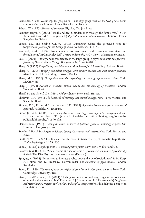## REFERENCES 181

- Schneider, S. and Weinberg, H. (eds) (2003) *The large-group revisited: the herd, primal horde, crowds and masses*. London: Jessica Kingsley Publishers.
- Schutz, W. (1973) *Elements of encounter.* Big Sur, CA: Joy Press.
- Schützenberger, A. (2000) "Health and death: hidden links through the family tree." In P.F. Kellermann and M.K. Hudgins (eds) *Psychodrama with trauma survivors*. London: Jessica Kingsley Publishers.
- Scobie, E.D. and Scobie, G.E.W. (1998) "Damaging events: the perceived need for forgiveness." *Journal for the Theory of Social Behaviour 28*, 373–401.
- Scurfield, R.M. (1985) "Post-trauma stress assessment and treatment: overview and formulations." In C.R. Figley (ed.)*Trauma and its wake, Vol. 1*. New York: Brunner/Mazel.
- Seel, R. (2001) "Anxiety and incompetence in the large group: a psychodynamic perspective." *Journal of Organizational Change Management 14*, 5, 493–504.
- Sharp, G. (1973)*The politics of nonviolent action*. Manchester, NH: Extending Horizons Books.
- Sharp, G. (2005) *Waging nonviolent struggle: 20th century practice and 21st century potential*. Manchester, NH: Extending Horizons Books.
- Shaw, M.E. (1976) *Group dynamics: the psychology of small group behavior*. New York: McGraw-Hill
- Shay, J. (1994) *Achilles in Vietnam: combat trauma and the undoing of character*. London: Touchstone Books.

Sherif, M. and Sherif, C. (1969) *Social psychology*. New York: Harper.

- Sholevar, G.P. (1981) *The handbook of marriage and marital therapy*. New York: Medical and Scientific Books.
- Simmel, E.C., Hahn, M.E. and Walters, J.K. (1983) *Aggressive behavior: a genetic and neural approach*. Hillsdale, NJ: Erlbaum.
- Simon Jr., W.E. (2005) *On becoming American: reasserting citizenship in the immigration debate*. Heritage Lecture No. 890, July 21. Available at: http://heritage.org/research/ politicalphilosophy/h1890.cfm.
- Slaikeu, K.A. (1996) *When push comes to shove: a practical guide to mediating disputes*. San Francisco, CA: Jossey-Bass.
- Smedes, L.B. (1984) *Forgive and forget: healing the hurts we don't deserve*. New York: Harper and Row.
- Smith, T.W. (1992) "Hostility and health: current status of a psychosomatic hypothesis." *Health Psychology 11*, 139–150.
- Sobel, J. (1983) *Everybody wins: 393 noncompetitive games*. New York: Walker and Co.
- Solotowitzki, R. (2004) "Social drama and sociodrama." *Psychodrama and modern psychotherapy 4,* 4–6: The Kiev Psychodrama Association (Russian).
- Sprague, K. (1998) "Permission to interact: a who, how and why of sociodrama." In M. Karp, P. Holmes and K. Bradshaw Tauvon (eds) *The handbook of psychodrama*. London: Routledge.
- Staub, E. (1989) *The roots of evil: the origins of genocide and other group violence*. New York: Cambridge University Press.
- Staub, E. and Pearlman, L.A. (2001) "Healing, reconciliation and forgiving after genocide and other collective violence." In G.Raymond, S.J. Helmick and R.L Petersen (eds) *Forgiveness and reconciliation: religion, public policy, and conflict transformation*. Philadelphia: Templeton Foundation Press.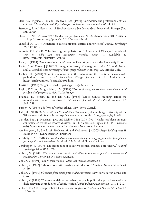- Stein, S.A., Ingersoll, R.E. and Treadwell, T.W. (1995) "Sociodrama and professional/ethical conflicts." *Journal of Group Psychotherapy, Psychodrama and Sociometry 48*, 31–41.
- Sternberg, P. and Garcia, A. (1989) *Sociodrama: who's in your shoes?* New York: Praeger (2nd edn, 2000).
- Stossel, S. (2001) "Terror TV." *The American prospect online 12,* 18, October 22 2001. Available at: http://prospect.org/print/V12/18/stossel-s.html.
- Suedfeld, P. (1997) "Reactions to societal trauma: distress and/or stress." *Political Psychology 18*, 849–861.
- Sunstein, C.R. (1999) "The law of group polarization." University of Chicago Law School. John M. Olin Law and Economics Working Paper 91. Available http://ssrn.com/abstract=199668.
- Tajfel, H. (1981)*Human groups and social categories*. Cambridge: Cambridge University Press.
- Tajfel, H. and Turner, J. (1986) "An integrative theory of inter-group conflict." In W.G. Austen and S. Worchel (eds) *Psychology of inter-group relations*. Monterey, CA: Brooks Cole.
- Tauber, C.D. (2004) "Recent developments in the Balkans and the coalition for work with pschodrama and peace." *Nonviolent Change Journal 18*, 2. Available at: http://circlepoint.org/ncarticle0601.html.
- Tavris, C. (1983) "Anger defused." *Psychology Today 16*, 25–35.
- Taylor, D.M. and Moghaddam, F.M. (1987) *Theories of intergroup relations: international social psychological perspectives*. New York: Praeger.
- Triandis, H., Brislin, R. and Hui C.H. (1988) "Cross cultural training across the individualism–collectivism divide." *International Journal of Intercultural Relations 12*, 269–289.
- Turner, V. (1967) *The forest of symbols*. Ithaca, New York: Cornell.
- Tutu, D. (2000) *On the Truth and Reconciliation Commission.* Johannesburg: University of the Witswatersrand. Available at: http://www.wits.ac.za/histp/tutu\_quotes\_by.htm#trc.
- Van den Bout, J., Havenaar, J.M. and Meijler-Iljina, L.I. (1995) "Health problems in areas contaminated by the Chernobyl disaster." In R.J. Kleber, C.R. Figley and B.P.R. Gersons (eds) *Beyond trauma: cultural and societal dynamics*. New York: Plenum.
- van Tongeren, P., Brenk, M., Hellema, M. and Verhoeven, J. (2005) *People building peace II*. Boulder, CO: Lynne Rienner Publishers.
- Verzberger, Y. (1990) *The world in their minds: information processing, cognition and perception in foreign policy decision-making*. Stanford, CA: Stanford University Press.
- Verzberger, Y. (1997) "The antinomies of collective political trauma: a pre-theory." *Political Psychology 18*, 4, 863–876.
- Volkan, V. (1988) *The need to have enemies and allies: from clinical practice to international relationships*. Northvale, NJ: Jason Aronson.
- Volkan, V. (1991) "On chosen trauma." *Mind and Human Interaction 3*, 13.
- Volkan, V. (1992) "Ethnonationalistic rituals: an introduction." *Mind and Human Interaction 4*, 3–19.
- Volkan, V. (1997) *Bloodlines: from ethnic pride to ethnic terrorism*. New York: Farrar, Straus and Giroux.
- Volkan, V. (1999) "The tree model: a comprehensive psychopolitical approach to unofficial diplomacy and the reduction of ethnic tension." *Mind and Human Interaction 10*, 142–210.
- Volkan, V. (2001) "September 11 and societal regression." *Mind and Human Interaction 12*, 196–216.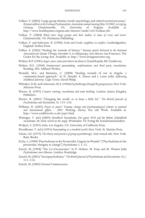## REFERENCES 183

- Volkan, V. (2002) "Large-group identity: border psychology and related societal processes." *Keynote address at the German Psychoanalytic Association annual meeting May 10 2002, in Leipzig, Germany.* Charlottesville, VA: University of Virginia. Available at: http://www.healthsystem.virginia.edu/internet/csmhi/vol13volkan.cfm
- Volkan, V. (2004) *Blind trust: large groups and their leaders in times of crises and terror*. Charlottesville, VA: Pitchstone Publishing.
- Volkan, V. and Itzkowitz, N. (1994) *Turks and Greeks: neighbors in conflict*. Cambridgeshire, England: Eothen Press.
- Volkas, A. (2002) "Healing the wounds of history." *Keynote speech delivered to the National Association for Drama Therapy, November 9, in Albuquerque, New Mexico.* San Francisco: The Center for the Living Arts. Available at: http://www.livingartscenter.org.
- Walters, R.P. (1981) *Anger: yours, mine and what to do about it*. Grand Rapids, MI: Zondervan.
- Walton, R.E. (1969) *Interpersonal peacemaking: confrontations and third party consultation*. Reading, MA: Addison-Wesley.
- Wessells, M.G. and Monteiro, C. (2000) "Healing wounds of war in Angola: a community-based approach." In D. Donald, A. Dawes and J. Louw (eds) *Addressing childhood adversity.* Cape Town: David Philip.
- Whitaker, D.M. and Lieberman, M.A. (1964) *Psychotherapy through the group process*. New York: Atherton Press.
- Wiener, R. (1997) *Creative training: sociodrama and team building*. London: Jessica Kingsley Publishers.
- Wiener, R. (2001) "Changing the world: or at least a little bit." *The British Journal of Psychodrama and Sociodrama 16*, 115–118.
- Williams, D. (2001) *Power or peace? Trauma, change and psychoanalogical climate in national and international affairs – 2001.* Woking, Surrey: Eos Life Work. Available at: http://www.eoslifework.co.uk/pop1.html.
- Wittinger, T. (ed.) (2005) *Handbuch Soziodrama: Die ganze Welt auf der Bühne*. [*Handbook sociodrama: the whole world on the stage*]. Wiesbaden: VS Verlag für Sozialwissenschaften.
- Wolpert, S. (1991) *India*. Los Angeles, CA: University of California Press.
- Woodhouse, T. (ed.) (1991) *Peacemaking in a troubled world*. New York: St. Martins Press.
- Yalom, I.D. (1975) *The theory and practice of group psychotherapy*. 2nd revised edn. New York: Basic Books.
- Zichy, L. (1990) "Psychodrama in der Perestroika: Ungarn im Wandel." ["Psychodrama in the perestroika: Hungary in change"] *Psychodrama 3,* 3–21.
- Zuretti, M. (1994) "The Co-Unconscious." In P. Holmes, M. Karp and M. Watson (eds) *Psychodrama since Moreno*. London: Routledge.
- Zuretti, M. (2001) "Sociopsychodrama." *The British Journal of Psychodrama and Sociodrama 16*,1, 111–114.

Zuretti, M. (2005) *Personal Communication*.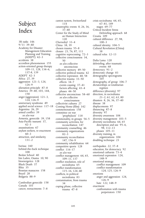# Subject Index

3R tasks 146 9/11 39–40 Academy for Disaster Management Education Planning and Training (ADEPT) 42–3 accidents 38 accordion phenomenon 155 action-oriented group therapy 109–11, 128, 134–6, 137-8, 139 ADEPT 42–3 Africa 27, 39 aggression 121–3, 124, 126–9 alienation principle 87–8 America 39–40, 103, 144, 158 anger (aggression) 121–3,  $124, 126 - 9$ anniversary syndrome 49 applied social science 117–18 Argentina 26, 29 armed conflict 39 *see also* war Armenia, genocide 39, 158 Asia-Pacific tsunami 37,  $42 - 3$ assassinations 67 asylum seekers, re-enactment 60–3 attraction, and similarity 131–2 barisaa 160 behind-the-back technique 108 Beslan School 40 bin Laden, Osama 10, 90 bioenergetics 128 Black Death 37 Blitz 35 Bosnian massacres 158 Brazil 28 Bulgaria 88–9 Cambodian genocide 158 Canada 103

cancer, reenactments 7–8

canton system, Switzerland 114 catastrophic events 8, 26, 36,  $37 - 40$ Center for the Study of Mind an Human Interaction 120 Chernobyl 33–4 China 38, 39 chosen trauma 55–8 closure 23, 76, 87, 111 cognitive reprocessing 72–3 collective consciousness 34, 50 *see also* collective unconscious collective memory 49–50 collective political trauma 42 collective repression 48, 58 collective trauma 33–50 effects 34–7 events causing 37–41 factors affecting 43–4 phases 44–50 collective unconscious 58–60 *see also* collective consciousness collectivist cultures 27 Coming Home (film) 142 commemorations 158 committee on war 'prophylaxis' 118 commonality, in groups 54–5 community activities, for reconciliation 147 community counselling 46 community organizations 82–3 community reconciliation 147, 156–9 community rehabilitation 64 competitive sports 128 conflict 116–17 *see also* war conflict management 64, 65, 109–11, 137 conflict resolution, role of sociodrama 65 conflict transformation 115–16, 124–40 conflicts, in political sociodrama 83 contamination, from trauma 34 coping phase, collective trauma 47–8

67–81, 149 stages 69–77 Critical Incident Stress Debriefing approach 68 Croatia 109 cultural difference 27, 98, 100–3 cultural identity 104–5 Cultural Revolution (China) 38 cultural roles 12–13 Dalia Lama 120 debriefing, after traumatic events 68 democracy 91–2 democratic change 83 demographic spectograms 107 demography, of group 106–7 dictatorships *see* totalitarian regimes difference (diversity) 97 direction, in sociodrama 21–2, 61, 62, 63, 80 disasters 8, 26, 36, 37–40 disease 38 displacements 97 distancing 87–8 diversity 97 diversity awareness 104 diversity management 103–5 diversity sociodrama 64, 65 description and use 95–6, 98, 112–13 phases 105–11 diversity training, in organizations 104 doubling technique 23 earthquakes 22, 37–8 education, for democracy 92 emotional catharsis 73–4 emotional expression 124, 148–9 emotional strategy conflict management 109 conflict transformation 124, 125, 126–9 emotions anger and aggression 124, 126–9 hate 122, 148–9 enactment confrontation with trauma perpetrators 150

crisis sociodrama 64, 65,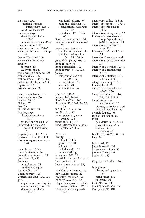enactment *cont*. emotional conflict management 126–7 *see also* reenactments enactment stage diversity sociodrama 108–9 political sociodrama 86–7 encounter groups 128 encounter structure 152–3 'enemy of the people' concept 89 Enemy Way ritual 160 environment *see* settings equality in group 20 *see also* inequality equipment, microphones 20 ethnic tensions 120 ethnocentrism 100–3, 112 evaluation of others 129–30 explosions 38 extreme weather 38 family constellations 151 family gatherings 30 famines 38, 50 Finland 37 fires 38 First World War 38 focusing stage diversity sociodrama 107–8 political sociodrama 86 For everything there is a season (biblical verse) 141 forgetting, need for 68–9 forgiveness 149, 150, 151 frustration-aggression theory 128 game theory 132–3 gender differences 98 generalization function 19 genocides 39, 158 Germany re-unification 25 *see also* Nazi regime Gestalt effect 19 Gestalt therapy 128 Ghandi, Mahatma 120, 121

goals cognitive reprocessing 73 conflict management 137 diversity sociodrama 112–13

emotional catharsis 74 political sociodrama 93 reconciliation sociodrama 146, 147 sociodrama 17–18, 26, 64–5 Good Friday agreement 143 group activities, for memorial 77 group-as-whole strategy conflict management 111 conflict transformation 124, 125, 136–9 group demography 106–7 group identity 55 group polarization 102 group therapy 9–10, 128 groups composition and size 19–20, 106 reconciliation 145 in society 90 in sociodrama 54 hate 122, 148–9 healing 140, 148–9 Ho-O-Pono-Pono 160 Holocaust 49, 56–7, 74, 79, 158 Holodomor famine 50 hostility 116–17 human potential growth groups 128 human suffering 44 humanistic psychology, peace promotion 119 IAGP 24 identity cultural 104–5 group 55, 130 national 47 sociodramatists 11 *see also* self-image immigrants  $103, 164$ impartiality, in sociodrama 11 India, conflict 121 Indian Ocean tsunami 37, 42–3 individual contributions 20 individualist cultures 27 inequality, resolution 82 injustices, resolution 82 integrative approach, conflict transformation 139–40 inter-disciplinary approach  $10 - 11$ 

intergroup conflict 116–21 intergroup encounters 152–3 intergroup reconciliation  $151-9$ international aid agencies 42 International Association of Group Psychotherapy (IAGP), congresses 24 international competitive sports 128 International Criminal Court 157 international events *see* world international peace promotion 119 interpersonal conflict 123–4 interpersonal relationships 167–8 interpersonal strategy 110, 124, 125, 131–6 interpersonal support 75 Intifada, Israel 25 intrapsychic reconciliation 149–51, 150 intrapsychic strategy 110, 124, 125, 129–31 introductory stage crisis sociodrama 70 diversity sociodrama 106 political sociodrama 85 invisible loyalties 56 Irish potato famine 36 Israel boundaries in 24–5, 113 chosen trauma 56–7 conflict 26–7 terrorism 40–1 Israelis 25, 56–7, 130, 153 Italy 36 Japan 144, 158 Jones, Maxwell 134 judgemental attitude 97 Just War Theory 66 justice 82, 157 King, Martin Luther 120–1 large groups identity and aggression 130 social forces 137 in society 90 Latin America 41 listening to survivors 46 local patriotism 101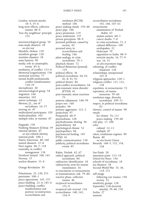## SUBJECT INDEX 187

London, terrorist attacks  $34-5, 35-6$ long-term effects, collective trauma 48–9 'love thy neighbour' principle 122 macrosociological group 54 man-made disasters 38 *see also* war Mandela, Nelson 159 marathon groups 128 maritime disasters 38 mass hysteria 90 media, role in catastrophic events 45–6 mediation, of conflict 133–6 Memorial (organization) 158 memorial activities 77 mental health professionals, conflict transformation 118–19 microphones 20 microsociological group 54 migration 164 minorities 102 mirror technique 23 Moreno, J.L., use of sociodrama 16–17 moving on 47 mulitcultural participants 105 multiculturalism 102 multiple roles, in wartime 87 Nagasaki 158 Nanking Massacre (China) 39 national identity 47 *see also* cultural identity national pride 100–1 Native Americans 40, 160 natural disasters 37–8 Nazi regime 86–7, 118 neutrality, in conflict management 138 Northern Ireland 100, 143 Norway 37 nuclear disasters 33–4 Orange Revolution 50 Palestinians 25, 230, 253 patriotism 100–1 peace agreements 143, 157 peace building 23–4, 145–6 peace-building, conflict

> transformation and postwar reconstruction, reconciliation and

resolution (PCTR) method 146 peace-making rituals 159–60 peace pipe 160 peace promotion 119 peace settlements 157 person perception 98–9 personal problems, caused by society 82 personal story, in reconciliation and healing 146 plant analogy, in crisis sociodrama 70–1 playback theatre 72 Political Behaviour (journal) 119 political effects 36 political sociodrama 64, 65, 81–8, 91, 93 political theatre 84 post-conflict reconciliation 64 post-traumatic stress disorder (PTSD) 41 post-traumatic stress reactions 75 postwar adjustment 144–59 prayer tree 160 prejudice 96 primary aggression 121–3 projections 97 Propanolol 68–9 psychodrama 128 psychodynamic sharing 96 psychohistory 84 psychological climate 52 psychopolitics 84 psychosocial healing 145 PTSD 41 public commemoration 158 publicity, political sociodrama events 85 Rabin, Yitzhak 42, 67 radical approach, political sociodrama 84 radioactive identification 34 radioactivity, term for trauma transmission 34 re-enactments *see* reenactments re-traumatization, risk 79–80 reactive phase, collective trauma 46 reciprocal reconciliation 151–9 reciprocal role reversal 134 reconciliation 140, 143, 154–9

reconciliation sociodrama 141, 146, 147–61 reenactments assassination of Yitzhak Rabin 67 asylum seekers 60–3 cancer deaths 7–8 in crisis sociodrama 71–2 cultural difference 109 earthquakes 22 Holocaust 79 opposition to Stalin 88–9 terrorist attacks 16, 77–9 war 16, 35 *see also* enactment stage reframing, of conflict situations 134 relationships, interpersonal 167–8 religious approaches 120–1 religious conflict 121, 132, 138 repetition, in reenactments 72 repression, of trauma memories 59–60 resolution stage, diversity sociodrama 109–11 respect, in political sociodrama 83 rhetoric, control of masses 90 rituals for closure 76, 111 peace-making 159–60 role-play 17, 100 roles cultural 12–13 multiple 87 rulers, totalitarian regimes 90 Russia 40 *see also* Soviet Union Rwanda 144–5, 152, 154, 158 Sao Paulo 28 saturation point 113–14 School for Peace 156 schools of sociodrama 18 sea disasters 38 Second World War 35, 38, 118, 153 self-image following war trauma 150 society 52 sensitivity groups 128 September 11th (terrorist attacks) 39–40, 150 Serbia 27 sessions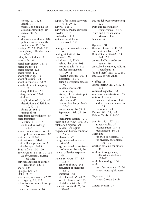support, for trauma survivors

closure 23, 76, 87 length 19 political sociodrama 85 as social gatherings 30 statements 22, 76 settings diversity sociodrama 104 political sociodrama 82 sociodrama 19, 164 sharing 23, 75, 87–8, 111 shock phase, collective trauma 45–6 skills, for sociodrama 21 slave trade 40 social atom energy 167–8 social change 83 social conflict 123 social forces 137 social gatherings 30 social pluralism 103 social unconscious 58–9 socialization, into majority 102 societry, definition 51 society, study of 53–4 sociodrama application 63–6, 64, 83 description and definition 10, 15–16 future of 163–6 timing of 68 sociodrama reconciliation 65 sociodramatists identity 11, 104–5 skills and knowledge  $21 - 2$ socioeconomic issues, use of political sociodrama 83 sociometry 167–8 sociopathology 51–4 sociopolitical perspective 9 socio-therapy 18–19 South Africa 154, 159 Soviet Union 38, 48, 91, 158 *see also* Armenia; Russia; Ukraine spiritual approaches, conflict resolution 120–1 sports 128 Sprague, Ken 28 Stalin 88–9 statements, in sessions 22, 76 stereotyping 98, 113 subjectiveness, in relationships 130 summary statements 76

74–5, 79–80 survival 166–7 survivors *see* trauma survivors Sweden 37, 83 Switzerland 114 systemic constellation approach 151 talking about traumatic events 68 talking stick ritual 76 teamwork 20 techniques 18, 22–3 behind-the-back 108 closure rituals 76, 111 conflict management 109–11 focusing exercises 107–8 mediation 134–6 person-perception process 99 *see also* reenactments; role-play television, role in catastrophic events 45–6 terrorist attacks 40 London bombings 34–5, 35–6 reenactments 16, 77–9 September 11th 39–40, 150 sociodrama session 77–9 'them and us' view 130, 150 totalitarian regimes 90–1 *see also* Nazi regime tragedy, and human condition 165–6 transferences 97 transgenerational memory 49–50 transgenerational transmission of trauma 36, 49, 56 trauma, collective response 41–4 trauma survivors 57, 135, 142–3 ability to forgive 143 discussion of incidents 68–9 emotions 148 of Holocaust 56, 74, 79 use of role-reversal 135 of Stalin dictatorship 89 traumatic events 8, 26, 36, 37–40 Zuretti, Monica 29

tree model (peace promotion) 120 truth and reconciliation commissions 154–5 Truth and Reconciliation Missions 159 tsunami 37 Uganda 160 Ukraine 33–4, 36, 38, 50 unconditional hate 122 United States 39–40, 103, 144, 158 universal effects, collective trauma 49 unresolved situations, political sociodrama 87 'us and them' view 130, 150 USSR *see* Soviet Union V-effect 88 verbal sharing 23, 75, 87–8, 111 verfremdungseffect 88 vicarious traumatization 165 victims of trauma financial restitution 157 and reciprocal role reversal 135 response to 48 Vietnam War 38, 142 Volkan, Vamik 119–20 war 38, 115, 127, 142 armed conflict 39 reconciliation 143–4 reenactments 16, 35 warm-ups for crisis sociodrama 70 for diversity sociodrama 100, 106 weather, extreme conditions 38 working through stage, diversity sociodrama  $109 - 11$ workplace settings 104 world use of sociodrama 23–30 *see also* catastrophic events Yugoslavia 145 *see also* Croatia; Serbia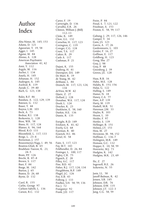## Author Index

Abu-Nimer, M. 145, 153 Adams, D. 121 Agazarian, Y. 19, 58 Agger, I. 145 Aguiar, M. 84 Alonso, A. 128 American Psychiatric Association 41, 42 Amir, Y. 112 Argyle, M. 116 Ascher, I. 134 Assefa, H. 145 Athanase, H. 152 Audergon, A. 145 Axelrod, R. 119 Ayoub, C. 39–40 Bach, G. 123, 138 Bales, R.F. 86 Bandura, A. 122, 129, 139 Bateson, G. 132 Bauer, Y. 44 Baytos, L.M. 103 Beck, A. 73 Bednar, R.I. 138 Berkowitz, L. 128 Bion, W.R. 58 Bisno, H. 117, 124 Blatner, A. 96, 164 Blood, R.O. 133 Bloomfield, L. 117, 133 Borge, L. 23–4 Borneman, J. 157 Boszormenyi-Nagy, I. 49, 56 Boutros-Ghali, B. 65 Bradshaw-Tauvon, K. 23, 24–5 Brain, P.F. 126 Brecht, B. 87–8 Brown, S. 117 Buer, F. 84 Burge, M. 142 Burton, J. 65 Bustos, D. 26, 68 Byrne, D. 132 Carel, R. 155 Carlin, George 97 Carlson-Sabelli, L. 136 Carson, R.C. 132

Carter, F. 19 Cartwright, D. 136 Carvalho, E.R. 26 Clinton, William J. (Bill) 112–13 Cloke, K. 149 Clore, G.L. 132 Cornelius, H. 117, 123 Covington, C. 119 Cowger, C.G. 124 Crum, T.A. 117 Cukier, R. 29 Curle A. 117 Cushman, P. 21 Dajani, K. 155 Dasberg, H. 41 Davenport, D.S. 149 De Maré, R. 19 de Young, M. 42 deMause, L. 84 Deutsch, M. 117, 123, 124, 134 deVries, M.W. 42 Djuric, Z. 27 Dollard, J. 128 Donahue, W.A. 117, 124 Doob, L. 124 Drucker, K. 23 Durkheim, E. 58, 160 Durkin, H.E. 136 Dustin, R. 135 Enright, R.D. 149 Erickson, K. 41, 42 Everly, G.S. 68 Eyerman, R. 40 Eysenck, H.I. 86 Ezriel, H. 58 Faire, S. 117, 123 Fay, M.T. 143 Feldhendler, D. 26, 84 Festinger, L. 100, 117 Figley, C.R. 75 Figusch, Z. 28 Filley, A.C. 117 Fine, B.D. 42 Fisher, R.J. 117, 124, 134 Fitzgibbons, R.P. 149 Flugel, J.C. 126 Foa, E.B. 43 Folberg, J. 133 Foulkes, S.H. 58, 59, 136 Fox J. 72 Frangsmyr 92 Frank, J.D. 117

Freire, P. 84 Freud, S. 7, 121, 122 Friedman, A. 153 Fromm, E. 58, 59, 117 Galtung, J. 29, 117, 126, 146 Gampel, Y. 34 Gans, J.S. 123 Garcia, A. 17, 26 Gardenswartz, L. 103 Geisler, F. 16, 27 Goffman, E. 117 Goldberg, H. 123 Gong, Shu 27 Gray, J. 98 Gray, P. 48 Greenberg, J. 39 Groves, J.E. 128 Haas, R.B. 16 Hahn, M.E. 128 Halaby, R. 153, 156 Halas, G. 122 Halling, S. 149 Hamer, N. 18 Haney, C.A. 77 Hare, A.P. 139 Harty, M. 119 Haskell, M.R. 51 Havenaar, J.M. 33 Hayles, R. 103 Hearst, L. 10 Heider, F. 97 Heitler, S. 139 Hellinger, B. 151 Helmes, J.Y. 153 Hess, M. 27 Hewstone, M. 98, 152 Hoffman, C. 136–7 Holmgren, M.R. 149 Homans, G.C. 132 Hopper, E. 10, 58, 59 Horowitz, M.J. 73 Hudgins, K. 142 Hudgins, M.K. 23, 69 Ilic, Z. 27 Ingersoll, R.E. 26 Itzkowitz, N. 55 Janis, I.L. 58 Janoff-Bulman, R. 42 Jensen, S.B. 145 Johnson, D.R. 76 Johnson, D.W. 135 Johnson, J.T. 122–3 Jung, C.G. 58, 59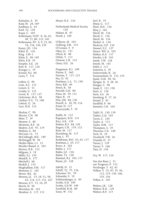Kalayjian, A. 39 Karp, M. 24, 169 Kaufman, E. 65 Kaul, T.J. 138 Kayat, C. 105 Kellermann, N.P.F. 8, 36, 41, 49, 72, 80, 122, 142 Kellermann, P.F. 8, 9, 23, 69, 74, 134, 150, 159 Kester, J.D. 154 Kibel, H. 136 King 120–1 Klain, E. 49, 145 Klein, E.B. 19 Knepler, A.E. 26 Kolt, R. 117, 124 Kreeger, L. 19 Kressel, N.J. 84 Leary, T.  $132$ LeBon, G. 90 Leiss, A.C. 133 Lemert, E. 51 Lensky, G. 123 Lewin, K. 117, 137 Lieberman, M.A. 58 Lindner, E.G. 73, 148 Lobeck, G. 26 Luce, R.D. 132 Mackay, C. 90 Macrae, C.N. 98 Main, T. 19 Manson, S. 40 Marineau, R.F. 16 Maslow, A.H. 97, 119 Mathias, U. 84 McCann, I.L. 73 McCullough, M.E. 149 McDougall, W. 58 Meijler-Iljina, L.I. 33 Mendez-Russel, A. 103 Merton, R.K. 123 Milgram, S. 19 Miller, E.J. 139 Mindell, A. 177 Mitchell J. 68 Modell, J. 119 Moghaddam, F.M. 117 Monteiro, C. 145 Moore, B.E. 42 Moreno, J.L. 15, 18, 51, 58, 65, 114, 117, 151, 167 Moreno, Z.T. 15, 16, 29 Morris, D. 58 Morrissey, M. 143 Moulton, A. 117, 133

Moyer, K.E. 126 Netherlands Medical Society 118 Nisbett, R. 97 North, J. 149 O'Byrne, M. 103 Ochberg, F.M. 135 O'Connor, T. 9 Okey, J.L. 121 Oliver, K. 48 Orlick, T. 111 Ormont, L.R. 123 Otero, H.E. 26 Pargament, K.I. 149 Parson, E. 160 Parsons, T. 117, 123 Paz, O. 92 Pearlman, L.A. 73, 150 Perry, B.D. 49 Peters, R. 58 Petzold, G.H. 84 Pines, M. 59, 131 Piper, R. 19 Post, J.M. 84, 130 Powell, A. 18, 59, 116 Pruitt, D. 117 Pyszczynski, T. 39 Raiffa, H. 132 Rapoport, R.N. 133 Rice, A.K. 139 Robins, R.S. 84, 130 Rogers, C.R. 119, 132 Rose, M. 117 Rosenberg, M. 117 Ross, L. 97 Rothbaum, B.O. 43, 65, 117 Rothman, J. 65, 117 Rowe, A. 103 Rubin, J. 117 Rubin, J.Z. 134 Rubin, T.I. 128 Rummel, R.J. 103, 117 Rutan, J.S. 128 Sabelli, H. 21 Scheff, T.J. 57, 126 Schermer, V.L. 59 Schneider, S. 19 Schützenberger, A. 49 Scobie, E.D. 149 Scobie, G.E.W. 149 Scurfield, R.M. 80 Scutz, W. 152 Seel, R. 19 Sharp, G. 117 Shaw, M.E. 136 Shay, J. 142 Sherif, M. 136 Sherif, C. 136 Sherif, M. 136 Shokol, A. 134 Walters, R.P. 117

Sholevar, G.P. 134 Simmel, E.C. 127 Simon, W.E. Jr. 103 Slaikeu, K.A. 117 Smedes, L.B. 143 Smith, T.W. 128 Smyth, M. 143 Sobel, J. 111 Solomon, S. 39 Solotowitzki, R. 26 Sonnenschein, N. 153, 155 Spark, G.M. 49, 56 Sprague, K. 9, 28, 36 Stangor, C. 98 Staub, E. 121, 150 Stein, A. 136 Stein, S.A. 26 Sternberg, P. 17, 26 Stossel, S. 45 Suedfeld, P. 44 Sunstein, C.R. 102 Tajfel, H. 130, 139 Tauber, C.D. 145 Tavris, C. 129 Taylor, A. 133 Taylor, D.M. 117 Thompson, S. 19 Thoresen, C.E. 149 Toch, H. 19 Treadwell, T.W. 26 Triandis, H. 27 Turner, J. 139 Turner, V. 160 Tutu, D. 154 Ury, W. 117, 124 Van den Bout, J. 33 van Tongeren, P. 153 Verzberger, Y. 42, 43 Volkan, V. 25, 47, 55, 56, 112, 119, 130, 146, 155, 156 Volkas, A. 145 Walters, J.K. 128 Walters, R.H. 129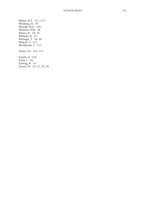AUTHOR INDEX 191

Walton, R.E. 117, 133 Weinberg, H. 19 Wessells, M.G. 145 Whitaker, D.M. 58 Wiener, R. 18, 26 Williams, D. 52 Wittinger, T. 18, 26 Wolpert, S. 121 Woodhouse, T. 117

Yalom, I.D. 136, 137

Zander, A. 136 Zichy, L. 26 Zinbarg, R. 43 Zuretti, M. 16–17, 29, 59